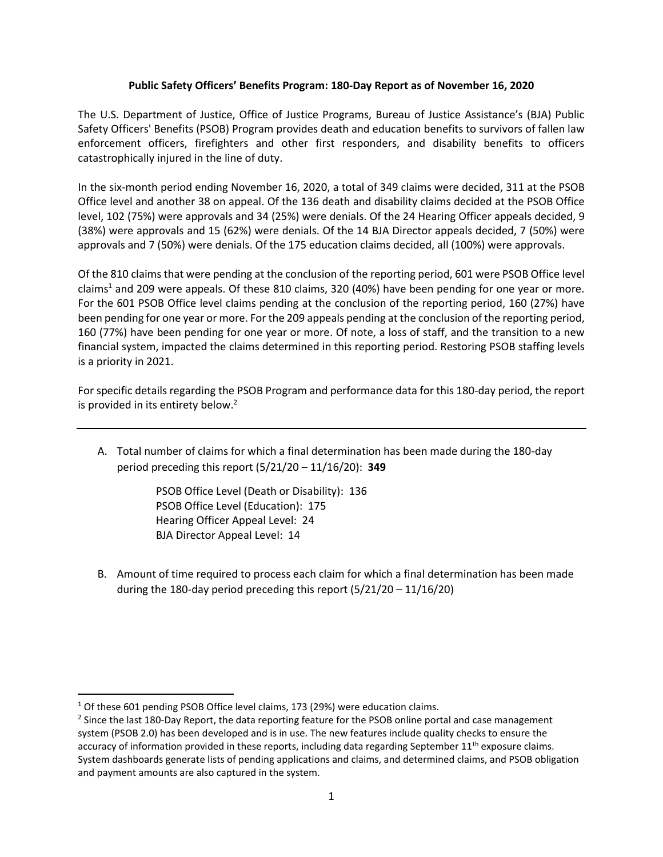## **Public Safety Officers' Benefits Program: 180-Day Report as of November 16, 2020**

The U.S. Department of Justice, Office of Justice Programs, Bureau of Justice Assistance's (BJA) Public Safety Officers' Benefits (PSOB) Program provides death and education benefits to survivors of fallen law enforcement officers, firefighters and other first responders, and disability benefits to officers catastrophically injured in the line of duty.

In the six-month period ending November 16, 2020, a total of 349 claims were decided, 311 at the PSOB Office level and another 38 on appeal. Of the 136 death and disability claims decided at the PSOB Office level, 102 (75%) were approvals and 34 (25%) were denials. Of the 24 Hearing Officer appeals decided, 9 (38%) were approvals and 15 (62%) were denials. Of the 14 BJA Director appeals decided, 7 (50%) were approvals and 7 (50%) were denials. Of the 175 education claims decided, all (100%) were approvals.

Of the 810 claims that were pending at the conclusion of the reporting period, 601 were PSOB Office level claims<sup>1</sup> and 209 were appeals. Of these 810 claims, 320 (40%) have been pending for one year or more. For the 601 PSOB Office level claims pending at the conclusion of the reporting period, 160 (27%) have been pending for one year or more. For the 209 appeals pending at the conclusion of the reporting period, 160 (77%) have been pending for one year or more. Of note, a loss of staff, and the transition to a new financial system, impacted the claims determined in this reporting period. Restoring PSOB staffing levels is a priority in 2021.

For specific details regarding the PSOB Program and performance data for this 180-day period, the report is provided in its entirety below.<sup>2</sup>

A. Total number of claims for which a final determination has been made during the 180-day period preceding this report (5/21/20 – 11/16/20): **349**

> PSOB Office Level (Death or Disability): 136 PSOB Office Level (Education): 175 Hearing Officer Appeal Level: 24 BJA Director Appeal Level: 14

B. Amount of time required to process each claim for which a final determination has been made during the 180-day period preceding this report (5/21/20 – 11/16/20)

l

<sup>&</sup>lt;sup>1</sup> Of these 601 pending PSOB Office level claims, 173 (29%) were education claims.

<sup>&</sup>lt;sup>2</sup> Since the last 180-Day Report, the data reporting feature for the PSOB online portal and case management system (PSOB 2.0) has been developed and is in use. The new features include quality checks to ensure the accuracy of information provided in these reports, including data regarding September  $11<sup>th</sup>$  exposure claims. System dashboards generate lists of pending applications and claims, and determined claims, and PSOB obligation and payment amounts are also captured in the system.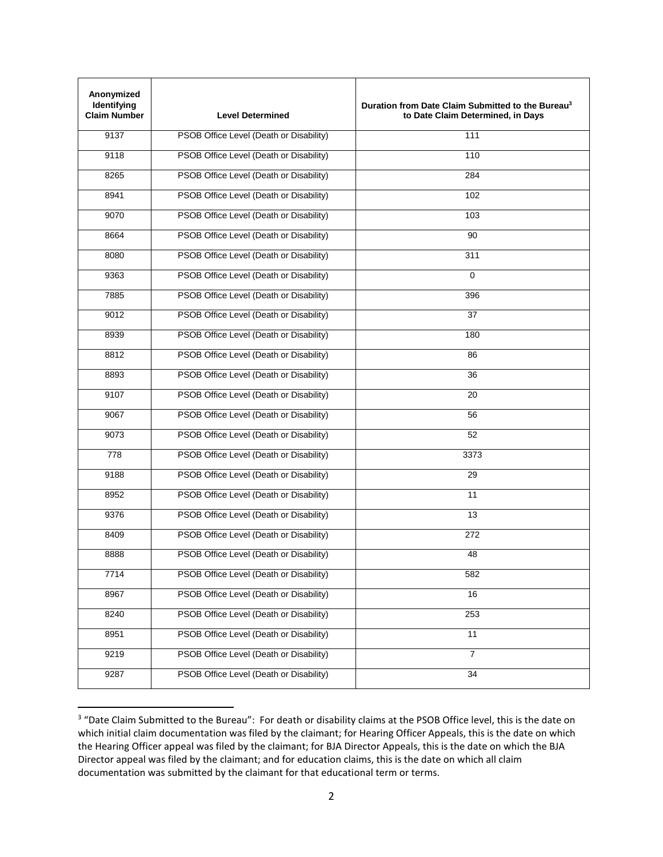| Anonymized<br>Identifying<br><b>Claim Number</b> | <b>Level Determined</b>                 | Duration from Date Claim Submitted to the Bureau <sup>3</sup><br>to Date Claim Determined, in Days |
|--------------------------------------------------|-----------------------------------------|----------------------------------------------------------------------------------------------------|
| 9137                                             | PSOB Office Level (Death or Disability) | 111                                                                                                |
| 9118                                             | PSOB Office Level (Death or Disability) | 110                                                                                                |
| 8265                                             | PSOB Office Level (Death or Disability) | 284                                                                                                |
| 8941                                             | PSOB Office Level (Death or Disability) | 102                                                                                                |
| 9070                                             | PSOB Office Level (Death or Disability) | 103                                                                                                |
| 8664                                             | PSOB Office Level (Death or Disability) | 90                                                                                                 |
| 8080                                             | PSOB Office Level (Death or Disability) | 311                                                                                                |
| 9363                                             | PSOB Office Level (Death or Disability) | 0                                                                                                  |
| 7885                                             | PSOB Office Level (Death or Disability) | 396                                                                                                |
| 9012                                             | PSOB Office Level (Death or Disability) | 37                                                                                                 |
| 8939                                             | PSOB Office Level (Death or Disability) | 180                                                                                                |
| 8812                                             | PSOB Office Level (Death or Disability) | 86                                                                                                 |
| 8893                                             | PSOB Office Level (Death or Disability) | 36                                                                                                 |
| 9107                                             | PSOB Office Level (Death or Disability) | 20                                                                                                 |
| 9067                                             | PSOB Office Level (Death or Disability) | 56                                                                                                 |
| 9073                                             | PSOB Office Level (Death or Disability) | 52                                                                                                 |
| 778                                              | PSOB Office Level (Death or Disability) | 3373                                                                                               |
| 9188                                             | PSOB Office Level (Death or Disability) | 29                                                                                                 |
| 8952                                             | PSOB Office Level (Death or Disability) | 11                                                                                                 |
| 9376                                             | PSOB Office Level (Death or Disability) | 13                                                                                                 |
| 8409                                             | PSOB Office Level (Death or Disability) | 272                                                                                                |
| 8888                                             | PSOB Office Level (Death or Disability) | 48                                                                                                 |
| 7714                                             | PSOB Office Level (Death or Disability) | 582                                                                                                |
| 8967                                             | PSOB Office Level (Death or Disability) | 16                                                                                                 |
| 8240                                             | PSOB Office Level (Death or Disability) | 253                                                                                                |
| 8951                                             | PSOB Office Level (Death or Disability) | 11                                                                                                 |
| 9219                                             | PSOB Office Level (Death or Disability) | $\overline{7}$                                                                                     |
| 9287                                             | PSOB Office Level (Death or Disability) | 34                                                                                                 |

<sup>&</sup>lt;sup>3</sup> "Date Claim Submitted to the Bureau": For death or disability claims at the PSOB Office level, this is the date on which initial claim documentation was filed by the claimant; for Hearing Officer Appeals, this is the date on which the Hearing Officer appeal was filed by the claimant; for BJA Director Appeals, this is the date on which the BJA Director appeal was filed by the claimant; and for education claims, this is the date on which all claim documentation was submitted by the claimant for that educational term or terms.

 $\overline{\phantom{a}}$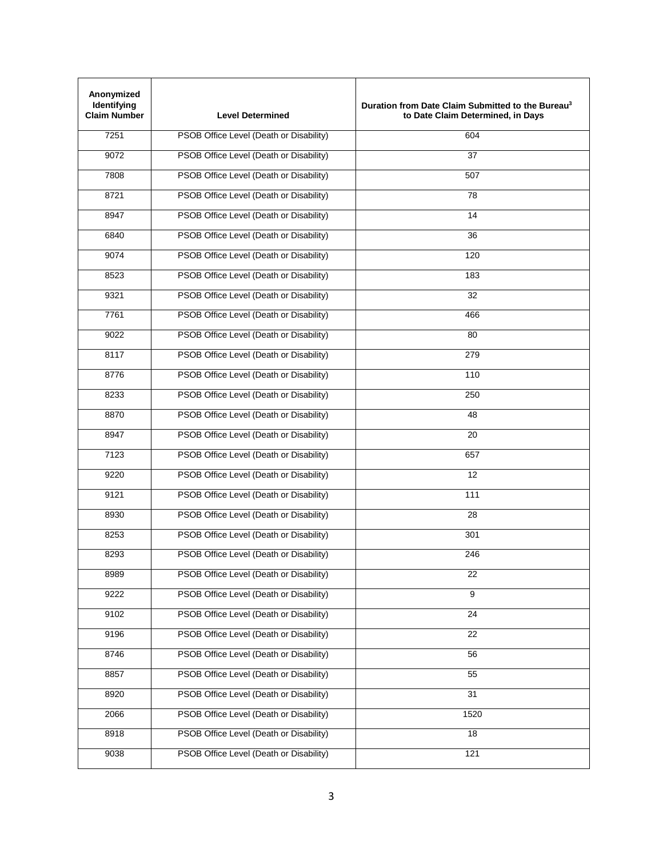| Anonymized<br>Identifying<br><b>Claim Number</b> | <b>Level Determined</b>                 | Duration from Date Claim Submitted to the Bureau <sup>3</sup><br>to Date Claim Determined, in Days |
|--------------------------------------------------|-----------------------------------------|----------------------------------------------------------------------------------------------------|
| 7251                                             | PSOB Office Level (Death or Disability) | 604                                                                                                |
| 9072                                             | PSOB Office Level (Death or Disability) | 37                                                                                                 |
| 7808                                             | PSOB Office Level (Death or Disability) | 507                                                                                                |
| 8721                                             | PSOB Office Level (Death or Disability) | 78                                                                                                 |
| 8947                                             | PSOB Office Level (Death or Disability) | 14                                                                                                 |
| 6840                                             | PSOB Office Level (Death or Disability) | 36                                                                                                 |
| 9074                                             | PSOB Office Level (Death or Disability) | 120                                                                                                |
| 8523                                             | PSOB Office Level (Death or Disability) | 183                                                                                                |
| 9321                                             | PSOB Office Level (Death or Disability) | 32                                                                                                 |
| 7761                                             | PSOB Office Level (Death or Disability) | 466                                                                                                |
| 9022                                             | PSOB Office Level (Death or Disability) | 80                                                                                                 |
| 8117                                             | PSOB Office Level (Death or Disability) | 279                                                                                                |
| 8776                                             | PSOB Office Level (Death or Disability) | 110                                                                                                |
| 8233                                             | PSOB Office Level (Death or Disability) | 250                                                                                                |
| 8870                                             | PSOB Office Level (Death or Disability) | 48                                                                                                 |
| 8947                                             | PSOB Office Level (Death or Disability) | 20                                                                                                 |
| 7123                                             | PSOB Office Level (Death or Disability) | 657                                                                                                |
| 9220                                             | PSOB Office Level (Death or Disability) | 12                                                                                                 |
| 9121                                             | PSOB Office Level (Death or Disability) | 111                                                                                                |
| 8930                                             | PSOB Office Level (Death or Disability) | 28                                                                                                 |
| 8253                                             | PSOB Office Level (Death or Disability) | 301                                                                                                |
| 8293                                             | PSOB Office Level (Death or Disability) | 246                                                                                                |
| 8989                                             | PSOB Office Level (Death or Disability) | 22                                                                                                 |
| 9222                                             | PSOB Office Level (Death or Disability) | 9                                                                                                  |
| 9102                                             | PSOB Office Level (Death or Disability) | $\overline{24}$                                                                                    |
| 9196                                             | PSOB Office Level (Death or Disability) | 22                                                                                                 |
| 8746                                             | PSOB Office Level (Death or Disability) | 56                                                                                                 |
| 8857                                             | PSOB Office Level (Death or Disability) | 55                                                                                                 |
| 8920                                             | PSOB Office Level (Death or Disability) | 31                                                                                                 |
| 2066                                             | PSOB Office Level (Death or Disability) | 1520                                                                                               |
| 8918                                             | PSOB Office Level (Death or Disability) | 18                                                                                                 |
| 9038                                             | PSOB Office Level (Death or Disability) | 121                                                                                                |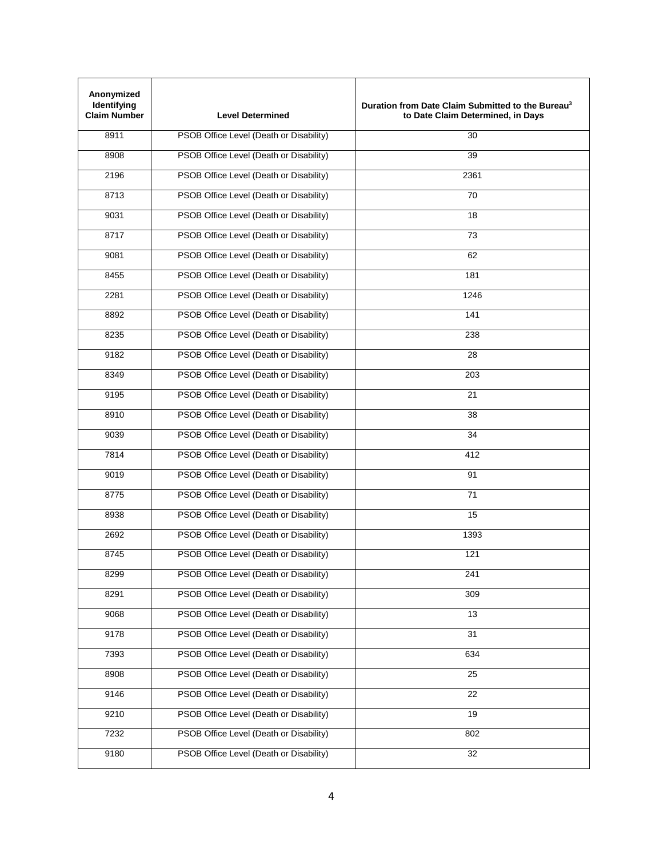| Anonymized<br>Identifying<br><b>Claim Number</b> | <b>Level Determined</b>                 | Duration from Date Claim Submitted to the Bureau <sup>3</sup><br>to Date Claim Determined, in Days |
|--------------------------------------------------|-----------------------------------------|----------------------------------------------------------------------------------------------------|
| 8911                                             | PSOB Office Level (Death or Disability) | 30                                                                                                 |
| 8908                                             | PSOB Office Level (Death or Disability) | 39                                                                                                 |
| 2196                                             | PSOB Office Level (Death or Disability) | 2361                                                                                               |
| 8713                                             | PSOB Office Level (Death or Disability) | 70                                                                                                 |
| 9031                                             | PSOB Office Level (Death or Disability) | 18                                                                                                 |
| 8717                                             | PSOB Office Level (Death or Disability) | 73                                                                                                 |
| 9081                                             | PSOB Office Level (Death or Disability) | 62                                                                                                 |
| 8455                                             | PSOB Office Level (Death or Disability) | 181                                                                                                |
| 2281                                             | PSOB Office Level (Death or Disability) | 1246                                                                                               |
| 8892                                             | PSOB Office Level (Death or Disability) | 141                                                                                                |
| 8235                                             | PSOB Office Level (Death or Disability) | 238                                                                                                |
| 9182                                             | PSOB Office Level (Death or Disability) | 28                                                                                                 |
| 8349                                             | PSOB Office Level (Death or Disability) | 203                                                                                                |
| 9195                                             | PSOB Office Level (Death or Disability) | 21                                                                                                 |
| 8910                                             | PSOB Office Level (Death or Disability) | 38                                                                                                 |
| 9039                                             | PSOB Office Level (Death or Disability) | 34                                                                                                 |
| 7814                                             | PSOB Office Level (Death or Disability) | 412                                                                                                |
| 9019                                             | PSOB Office Level (Death or Disability) | 91                                                                                                 |
| 8775                                             | PSOB Office Level (Death or Disability) | 71                                                                                                 |
| 8938                                             | PSOB Office Level (Death or Disability) | 15                                                                                                 |
| 2692                                             | PSOB Office Level (Death or Disability) | 1393                                                                                               |
| 8745                                             | PSOB Office Level (Death or Disability) | 121                                                                                                |
| 8299                                             | PSOB Office Level (Death or Disability) | 241                                                                                                |
| 8291                                             | PSOB Office Level (Death or Disability) | 309                                                                                                |
| 9068                                             | PSOB Office Level (Death or Disability) | $\overline{13}$                                                                                    |
| 9178                                             | PSOB Office Level (Death or Disability) | 31                                                                                                 |
| 7393                                             | PSOB Office Level (Death or Disability) | 634                                                                                                |
| 8908                                             | PSOB Office Level (Death or Disability) | 25                                                                                                 |
| 9146                                             | PSOB Office Level (Death or Disability) | 22                                                                                                 |
| 9210                                             | PSOB Office Level (Death or Disability) | 19                                                                                                 |
| 7232                                             | PSOB Office Level (Death or Disability) | 802                                                                                                |
| 9180                                             | PSOB Office Level (Death or Disability) | $\overline{32}$                                                                                    |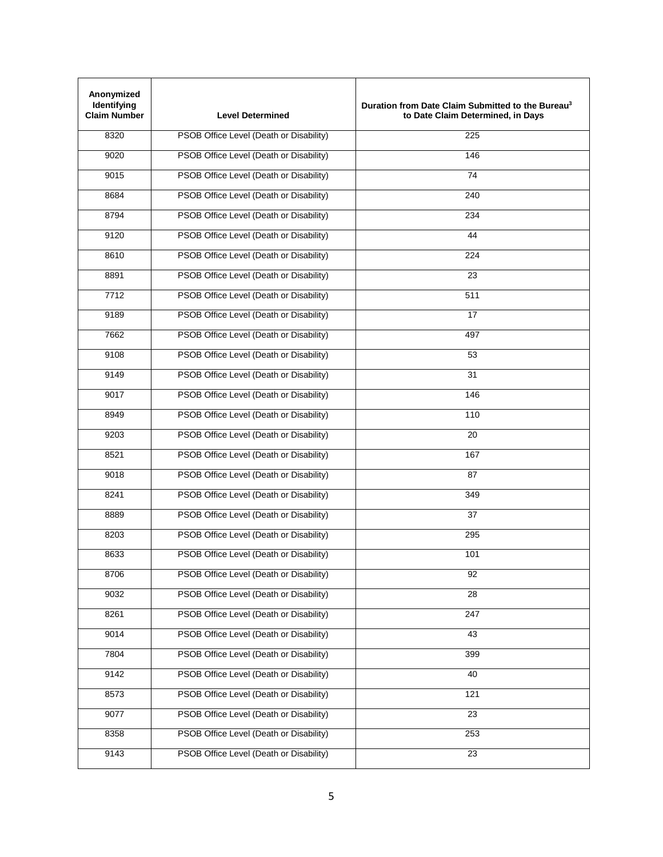| Anonymized<br>Identifying<br><b>Claim Number</b> | <b>Level Determined</b>                 | Duration from Date Claim Submitted to the Bureau <sup>3</sup><br>to Date Claim Determined, in Days |
|--------------------------------------------------|-----------------------------------------|----------------------------------------------------------------------------------------------------|
| 8320                                             | PSOB Office Level (Death or Disability) | 225                                                                                                |
| 9020                                             | PSOB Office Level (Death or Disability) | 146                                                                                                |
| 9015                                             | PSOB Office Level (Death or Disability) | 74                                                                                                 |
| 8684                                             | PSOB Office Level (Death or Disability) | 240                                                                                                |
| 8794                                             | PSOB Office Level (Death or Disability) | 234                                                                                                |
| 9120                                             | PSOB Office Level (Death or Disability) | 44                                                                                                 |
| 8610                                             | PSOB Office Level (Death or Disability) | 224                                                                                                |
| 8891                                             | PSOB Office Level (Death or Disability) | 23                                                                                                 |
| 7712                                             | PSOB Office Level (Death or Disability) | 511                                                                                                |
| 9189                                             | PSOB Office Level (Death or Disability) | 17                                                                                                 |
| 7662                                             | PSOB Office Level (Death or Disability) | 497                                                                                                |
| 9108                                             | PSOB Office Level (Death or Disability) | 53                                                                                                 |
| 9149                                             | PSOB Office Level (Death or Disability) | 31                                                                                                 |
| 9017                                             | PSOB Office Level (Death or Disability) | 146                                                                                                |
| 8949                                             | PSOB Office Level (Death or Disability) | 110                                                                                                |
| 9203                                             | PSOB Office Level (Death or Disability) | 20                                                                                                 |
| 8521                                             | PSOB Office Level (Death or Disability) | 167                                                                                                |
| 9018                                             | PSOB Office Level (Death or Disability) | 87                                                                                                 |
| 8241                                             | PSOB Office Level (Death or Disability) | 349                                                                                                |
| 8889                                             | PSOB Office Level (Death or Disability) | 37                                                                                                 |
| 8203                                             | PSOB Office Level (Death or Disability) | 295                                                                                                |
| 8633                                             | PSOB Office Level (Death or Disability) | 101                                                                                                |
| 8706                                             | PSOB Office Level (Death or Disability) | 92                                                                                                 |
| 9032                                             | PSOB Office Level (Death or Disability) | 28                                                                                                 |
| 8261                                             | PSOB Office Level (Death or Disability) | 247                                                                                                |
| 9014                                             | PSOB Office Level (Death or Disability) | 43                                                                                                 |
| 7804                                             | PSOB Office Level (Death or Disability) | 399                                                                                                |
| 9142                                             | PSOB Office Level (Death or Disability) | 40                                                                                                 |
| 8573                                             | PSOB Office Level (Death or Disability) | 121                                                                                                |
| 9077                                             | PSOB Office Level (Death or Disability) | 23                                                                                                 |
| 8358                                             | PSOB Office Level (Death or Disability) | 253                                                                                                |
| 9143                                             | PSOB Office Level (Death or Disability) | $\overline{23}$                                                                                    |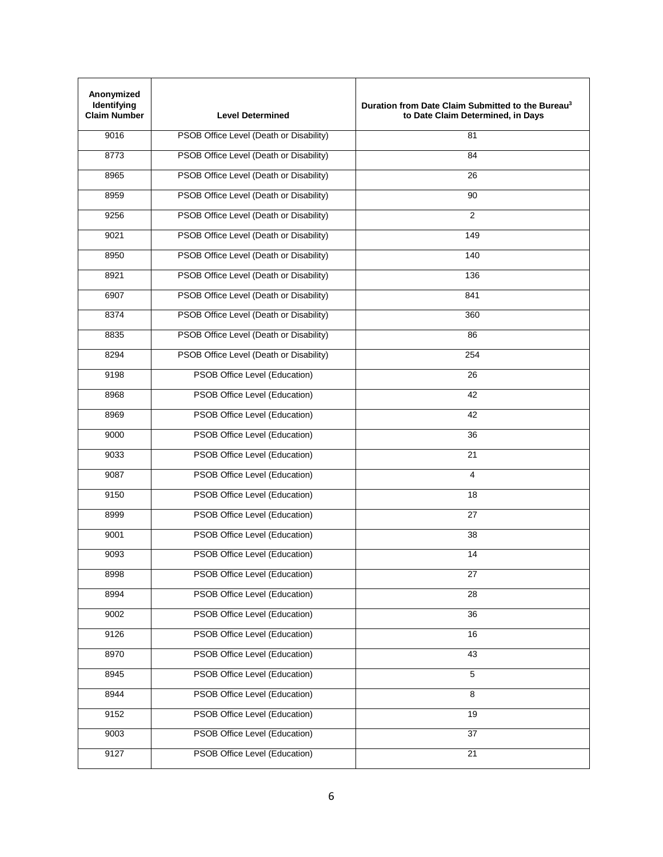| Anonymized<br>Identifying<br><b>Claim Number</b> | <b>Level Determined</b>                 | Duration from Date Claim Submitted to the Bureau <sup>3</sup><br>to Date Claim Determined, in Days |
|--------------------------------------------------|-----------------------------------------|----------------------------------------------------------------------------------------------------|
| 9016                                             | PSOB Office Level (Death or Disability) | 81                                                                                                 |
| 8773                                             | PSOB Office Level (Death or Disability) | 84                                                                                                 |
| 8965                                             | PSOB Office Level (Death or Disability) | 26                                                                                                 |
| 8959                                             | PSOB Office Level (Death or Disability) | 90                                                                                                 |
| 9256                                             | PSOB Office Level (Death or Disability) | $\overline{2}$                                                                                     |
| 9021                                             | PSOB Office Level (Death or Disability) | 149                                                                                                |
| 8950                                             | PSOB Office Level (Death or Disability) | 140                                                                                                |
| 8921                                             | PSOB Office Level (Death or Disability) | 136                                                                                                |
| 6907                                             | PSOB Office Level (Death or Disability) | 841                                                                                                |
| 8374                                             | PSOB Office Level (Death or Disability) | 360                                                                                                |
| 8835                                             | PSOB Office Level (Death or Disability) | 86                                                                                                 |
| 8294                                             | PSOB Office Level (Death or Disability) | 254                                                                                                |
| 9198                                             | PSOB Office Level (Education)           | 26                                                                                                 |
| 8968                                             | PSOB Office Level (Education)           | 42                                                                                                 |
| 8969                                             | PSOB Office Level (Education)           | 42                                                                                                 |
| 9000                                             | PSOB Office Level (Education)           | 36                                                                                                 |
| 9033                                             | PSOB Office Level (Education)           | 21                                                                                                 |
| 9087                                             | PSOB Office Level (Education)           | 4                                                                                                  |
| 9150                                             | PSOB Office Level (Education)           | 18                                                                                                 |
| 8999                                             | PSOB Office Level (Education)           | 27                                                                                                 |
| 9001                                             | PSOB Office Level (Education)           | 38                                                                                                 |
| 9093                                             | PSOB Office Level (Education)           | 14                                                                                                 |
| 8998                                             | PSOB Office Level (Education)           | 27                                                                                                 |
| 8994                                             | PSOB Office Level (Education)           | 28                                                                                                 |
| 9002                                             | PSOB Office Level (Education)           | 36                                                                                                 |
| 9126                                             | PSOB Office Level (Education)           | 16                                                                                                 |
| 8970                                             | PSOB Office Level (Education)           | 43                                                                                                 |
| 8945                                             | PSOB Office Level (Education)           | 5                                                                                                  |
| 8944                                             | PSOB Office Level (Education)           | 8                                                                                                  |
| 9152                                             | PSOB Office Level (Education)           | 19                                                                                                 |
| 9003                                             | PSOB Office Level (Education)           | 37                                                                                                 |
| 9127                                             | PSOB Office Level (Education)           | 21                                                                                                 |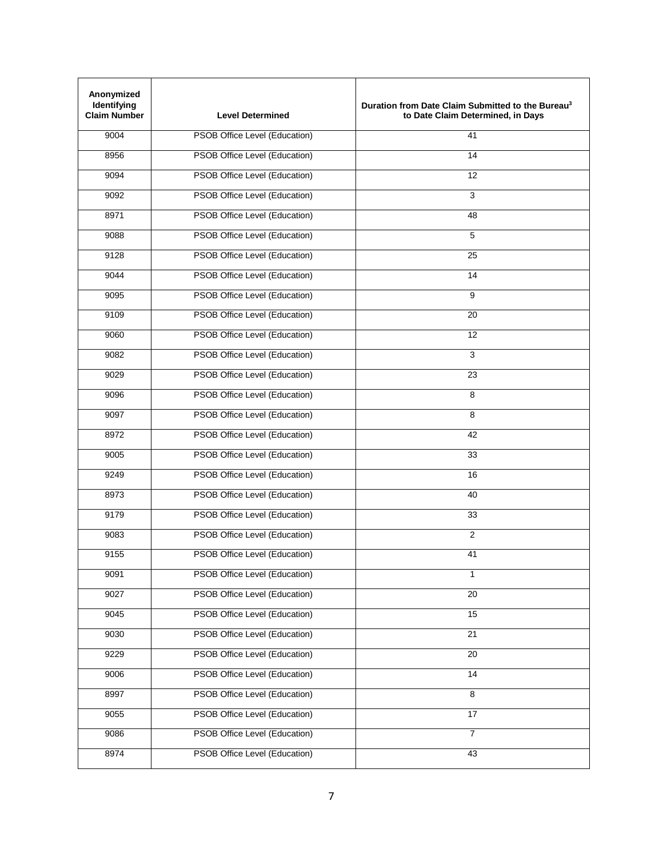| Anonymized<br>Identifying<br><b>Claim Number</b> | <b>Level Determined</b>              | Duration from Date Claim Submitted to the Bureau <sup>3</sup><br>to Date Claim Determined, in Days |
|--------------------------------------------------|--------------------------------------|----------------------------------------------------------------------------------------------------|
| 9004                                             | PSOB Office Level (Education)        | 41                                                                                                 |
| 8956                                             | PSOB Office Level (Education)        | 14                                                                                                 |
| 9094                                             | PSOB Office Level (Education)        | 12                                                                                                 |
| 9092                                             | <b>PSOB Office Level (Education)</b> | 3                                                                                                  |
| 8971                                             | PSOB Office Level (Education)        | 48                                                                                                 |
| 9088                                             | PSOB Office Level (Education)        | 5                                                                                                  |
| 9128                                             | PSOB Office Level (Education)        | 25                                                                                                 |
| 9044                                             | PSOB Office Level (Education)        | 14                                                                                                 |
| 9095                                             | PSOB Office Level (Education)        | 9                                                                                                  |
| 9109                                             | PSOB Office Level (Education)        | 20                                                                                                 |
| 9060                                             | PSOB Office Level (Education)        | 12                                                                                                 |
| 9082                                             | PSOB Office Level (Education)        | $\overline{3}$                                                                                     |
| 9029                                             | <b>PSOB Office Level (Education)</b> | 23                                                                                                 |
| 9096                                             | PSOB Office Level (Education)        | 8                                                                                                  |
| 9097                                             | PSOB Office Level (Education)        | 8                                                                                                  |
| 8972                                             | PSOB Office Level (Education)        | 42                                                                                                 |
| 9005                                             | PSOB Office Level (Education)        | 33                                                                                                 |
| 9249                                             | PSOB Office Level (Education)        | 16                                                                                                 |
| 8973                                             | PSOB Office Level (Education)        | 40                                                                                                 |
| 9179                                             | PSOB Office Level (Education)        | 33                                                                                                 |
| 9083                                             | PSOB Office Level (Education)        | $\overline{2}$                                                                                     |
| 9155                                             | PSOB Office Level (Education)        | 41                                                                                                 |
| 9091                                             | PSOB Office Level (Education)        | 1                                                                                                  |
| 9027                                             | PSOB Office Level (Education)        | 20                                                                                                 |
| 9045                                             | PSOB Office Level (Education)        | 15                                                                                                 |
| 9030                                             | PSOB Office Level (Education)        | 21                                                                                                 |
| 9229                                             | PSOB Office Level (Education)        | $\overline{20}$                                                                                    |
| 9006                                             | PSOB Office Level (Education)        | 14                                                                                                 |
| 8997                                             | PSOB Office Level (Education)        | 8                                                                                                  |
| 9055                                             | PSOB Office Level (Education)        | $\overline{17}$                                                                                    |
| 9086                                             | PSOB Office Level (Education)        | $\overline{7}$                                                                                     |
| 8974                                             | PSOB Office Level (Education)        | 43                                                                                                 |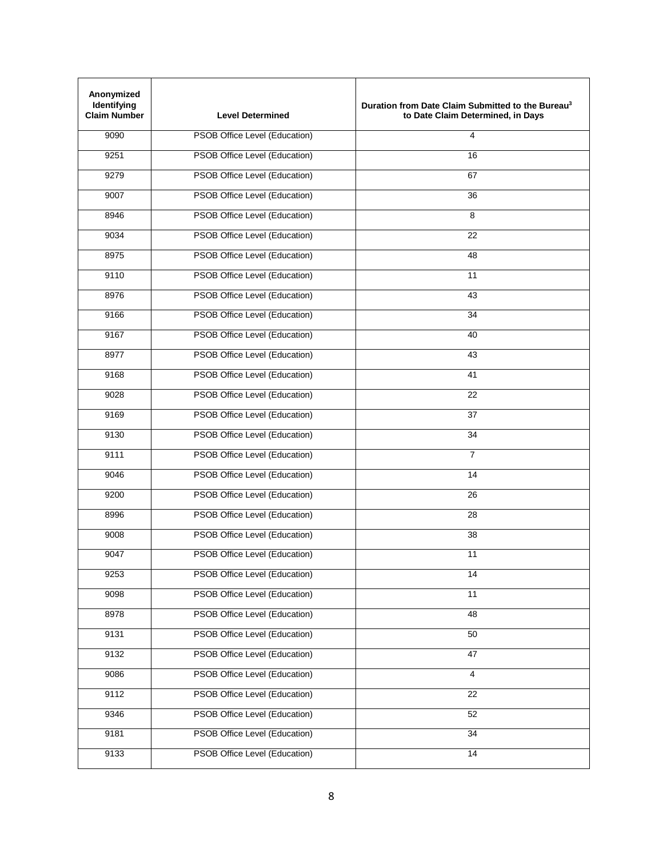| Anonymized<br>Identifying<br><b>Claim Number</b> | <b>Level Determined</b>              | Duration from Date Claim Submitted to the Bureau <sup>3</sup><br>to Date Claim Determined, in Days |
|--------------------------------------------------|--------------------------------------|----------------------------------------------------------------------------------------------------|
| 9090                                             | PSOB Office Level (Education)        | $\overline{\mathbf{4}}$                                                                            |
| 9251                                             | PSOB Office Level (Education)        | 16                                                                                                 |
| 9279                                             | PSOB Office Level (Education)        | 67                                                                                                 |
| 9007                                             | PSOB Office Level (Education)        | 36                                                                                                 |
| 8946                                             | PSOB Office Level (Education)        | 8                                                                                                  |
| 9034                                             | PSOB Office Level (Education)        | 22                                                                                                 |
| 8975                                             | PSOB Office Level (Education)        | 48                                                                                                 |
| 9110                                             | PSOB Office Level (Education)        | 11                                                                                                 |
| 8976                                             | PSOB Office Level (Education)        | 43                                                                                                 |
| 9166                                             | PSOB Office Level (Education)        | 34                                                                                                 |
| 9167                                             | PSOB Office Level (Education)        | 40                                                                                                 |
| 8977                                             | PSOB Office Level (Education)        | 43                                                                                                 |
| 9168                                             | PSOB Office Level (Education)        | 41                                                                                                 |
| 9028                                             | PSOB Office Level (Education)        | 22                                                                                                 |
| 9169                                             | PSOB Office Level (Education)        | 37                                                                                                 |
| 9130                                             | PSOB Office Level (Education)        | 34                                                                                                 |
| 9111                                             | PSOB Office Level (Education)        | $\overline{7}$                                                                                     |
| 9046                                             | PSOB Office Level (Education)        | 14                                                                                                 |
| 9200                                             | PSOB Office Level (Education)        | 26                                                                                                 |
| 8996                                             | PSOB Office Level (Education)        | 28                                                                                                 |
| 9008                                             | PSOB Office Level (Education)        | 38                                                                                                 |
| 9047                                             | PSOB Office Level (Education)        | 11                                                                                                 |
| 9253                                             | PSOB Office Level (Education)        | 14                                                                                                 |
| 9098                                             | PSOB Office Level (Education)        | 11                                                                                                 |
| 8978                                             | <b>PSOB Office Level (Education)</b> | 48                                                                                                 |
| 9131                                             | PSOB Office Level (Education)        | 50                                                                                                 |
| 9132                                             | PSOB Office Level (Education)        | 47                                                                                                 |
| 9086                                             | PSOB Office Level (Education)        | $\overline{4}$                                                                                     |
| 9112                                             | PSOB Office Level (Education)        | $\overline{22}$                                                                                    |
| 9346                                             | PSOB Office Level (Education)        | 52                                                                                                 |
| 9181                                             | PSOB Office Level (Education)        | 34                                                                                                 |
| 9133                                             | PSOB Office Level (Education)        | $\overline{14}$                                                                                    |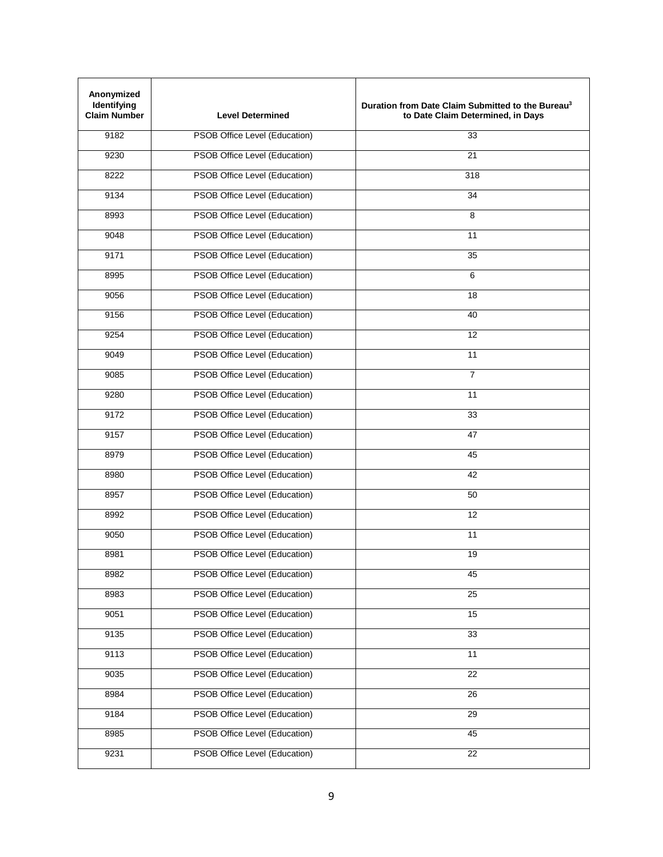| Anonymized<br>Identifying<br><b>Claim Number</b> | <b>Level Determined</b>              | Duration from Date Claim Submitted to the Bureau <sup>3</sup><br>to Date Claim Determined, in Days |
|--------------------------------------------------|--------------------------------------|----------------------------------------------------------------------------------------------------|
| 9182                                             | PSOB Office Level (Education)        | 33                                                                                                 |
| 9230                                             | PSOB Office Level (Education)        | 21                                                                                                 |
| 8222                                             | PSOB Office Level (Education)        | 318                                                                                                |
| 9134                                             | <b>PSOB Office Level (Education)</b> | 34                                                                                                 |
| 8993                                             | PSOB Office Level (Education)        | 8                                                                                                  |
| 9048                                             | PSOB Office Level (Education)        | 11                                                                                                 |
| 9171                                             | PSOB Office Level (Education)        | 35                                                                                                 |
| 8995                                             | PSOB Office Level (Education)        | 6                                                                                                  |
| 9056                                             | PSOB Office Level (Education)        | 18                                                                                                 |
| 9156                                             | PSOB Office Level (Education)        | 40                                                                                                 |
| 9254                                             | PSOB Office Level (Education)        | $\overline{12}$                                                                                    |
| 9049                                             | PSOB Office Level (Education)        | 11                                                                                                 |
| 9085                                             | PSOB Office Level (Education)        | $\overline{7}$                                                                                     |
| 9280                                             | PSOB Office Level (Education)        | 11                                                                                                 |
| 9172                                             | PSOB Office Level (Education)        | 33                                                                                                 |
| 9157                                             | PSOB Office Level (Education)        | 47                                                                                                 |
| 8979                                             | PSOB Office Level (Education)        | 45                                                                                                 |
| 8980                                             | PSOB Office Level (Education)        | 42                                                                                                 |
| 8957                                             | PSOB Office Level (Education)        | 50                                                                                                 |
| 8992                                             | PSOB Office Level (Education)        | 12                                                                                                 |
| 9050                                             | PSOB Office Level (Education)        | 11                                                                                                 |
| 8981                                             | PSOB Office Level (Education)        | 19                                                                                                 |
| 8982                                             | PSOB Office Level (Education)        | 45                                                                                                 |
| 8983                                             | PSOB Office Level (Education)        | $\overline{25}$                                                                                    |
| 9051                                             | PSOB Office Level (Education)        | 15                                                                                                 |
| 9135                                             | PSOB Office Level (Education)        | 33                                                                                                 |
| 9113                                             | PSOB Office Level (Education)        | 11                                                                                                 |
| 9035                                             | PSOB Office Level (Education)        | 22                                                                                                 |
| 8984                                             | PSOB Office Level (Education)        | 26                                                                                                 |
| 9184                                             | PSOB Office Level (Education)        | 29                                                                                                 |
| 8985                                             | PSOB Office Level (Education)        | 45                                                                                                 |
| 9231                                             | PSOB Office Level (Education)        | $\overline{22}$                                                                                    |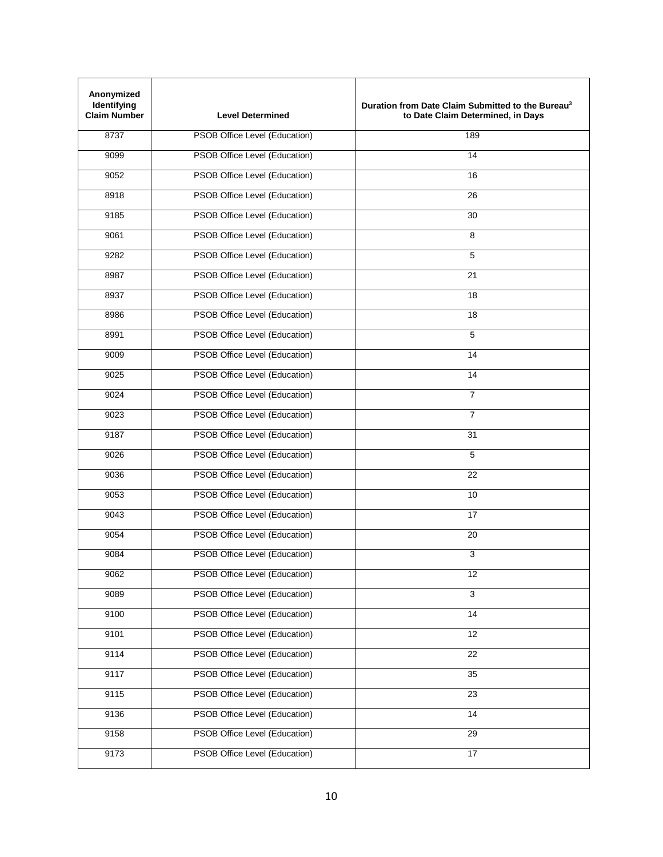| Anonymized<br>Identifying<br><b>Claim Number</b> | <b>Level Determined</b>              | Duration from Date Claim Submitted to the Bureau <sup>3</sup><br>to Date Claim Determined, in Days |
|--------------------------------------------------|--------------------------------------|----------------------------------------------------------------------------------------------------|
| 8737                                             | PSOB Office Level (Education)        | 189                                                                                                |
| 9099                                             | PSOB Office Level (Education)        | 14                                                                                                 |
| 9052                                             | PSOB Office Level (Education)        | 16                                                                                                 |
| 8918                                             | PSOB Office Level (Education)        | 26                                                                                                 |
| 9185                                             | PSOB Office Level (Education)        | 30                                                                                                 |
| 9061                                             | PSOB Office Level (Education)        | 8                                                                                                  |
| 9282                                             | PSOB Office Level (Education)        | 5                                                                                                  |
| 8987                                             | PSOB Office Level (Education)        | 21                                                                                                 |
| 8937                                             | PSOB Office Level (Education)        | 18                                                                                                 |
| 8986                                             | PSOB Office Level (Education)        | 18                                                                                                 |
| 8991                                             | PSOB Office Level (Education)        | 5                                                                                                  |
| 9009                                             | PSOB Office Level (Education)        | 14                                                                                                 |
| 9025                                             | <b>PSOB Office Level (Education)</b> | 14                                                                                                 |
| 9024                                             | PSOB Office Level (Education)        | $\overline{7}$                                                                                     |
| 9023                                             | PSOB Office Level (Education)        | $\overline{7}$                                                                                     |
| 9187                                             | PSOB Office Level (Education)        | 31                                                                                                 |
| 9026                                             | PSOB Office Level (Education)        | 5                                                                                                  |
| 9036                                             | PSOB Office Level (Education)        | 22                                                                                                 |
| 9053                                             | PSOB Office Level (Education)        | 10                                                                                                 |
| 9043                                             | PSOB Office Level (Education)        | 17                                                                                                 |
| 9054                                             | PSOB Office Level (Education)        | 20                                                                                                 |
| 9084                                             | PSOB Office Level (Education)        | 3                                                                                                  |
| 9062                                             | PSOB Office Level (Education)        | 12                                                                                                 |
| 9089                                             | PSOB Office Level (Education)        | 3                                                                                                  |
| 9100                                             | <b>PSOB Office Level (Education)</b> | 14                                                                                                 |
| 9101                                             | <b>PSOB Office Level (Education)</b> | 12                                                                                                 |
| 9114                                             | PSOB Office Level (Education)        | 22                                                                                                 |
| 9117                                             | PSOB Office Level (Education)        | 35                                                                                                 |
| 9115                                             | PSOB Office Level (Education)        | 23                                                                                                 |
| 9136                                             | PSOB Office Level (Education)        | 14                                                                                                 |
| 9158                                             | PSOB Office Level (Education)        | 29                                                                                                 |
| 9173                                             | PSOB Office Level (Education)        | 17                                                                                                 |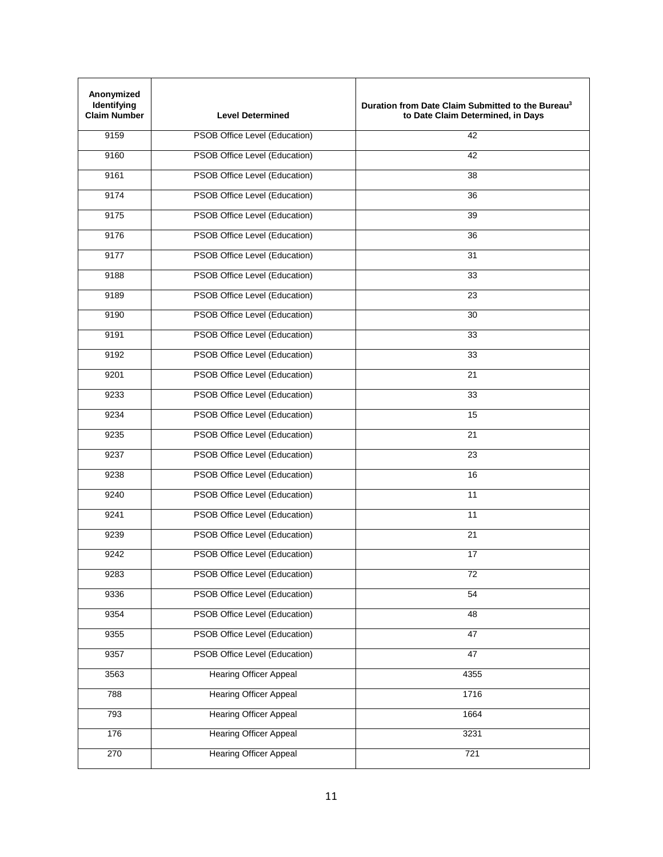| Anonymized<br>Identifying<br><b>Claim Number</b> | <b>Level Determined</b>              | Duration from Date Claim Submitted to the Bureau <sup>3</sup><br>to Date Claim Determined, in Days |
|--------------------------------------------------|--------------------------------------|----------------------------------------------------------------------------------------------------|
| 9159                                             | PSOB Office Level (Education)        | 42                                                                                                 |
| 9160                                             | PSOB Office Level (Education)        | 42                                                                                                 |
| 9161                                             | PSOB Office Level (Education)        | 38                                                                                                 |
| 9174                                             | PSOB Office Level (Education)        | 36                                                                                                 |
| 9175                                             | PSOB Office Level (Education)        | 39                                                                                                 |
| 9176                                             | PSOB Office Level (Education)        | 36                                                                                                 |
| 9177                                             | PSOB Office Level (Education)        | 31                                                                                                 |
| 9188                                             | PSOB Office Level (Education)        | 33                                                                                                 |
| 9189                                             | PSOB Office Level (Education)        | 23                                                                                                 |
| 9190                                             | PSOB Office Level (Education)        | 30                                                                                                 |
| 9191                                             | PSOB Office Level (Education)        | 33                                                                                                 |
| 9192                                             | PSOB Office Level (Education)        | 33                                                                                                 |
| 9201                                             | PSOB Office Level (Education)        | 21                                                                                                 |
| 9233                                             | PSOB Office Level (Education)        | 33                                                                                                 |
| 9234                                             | PSOB Office Level (Education)        | 15                                                                                                 |
| 9235                                             | PSOB Office Level (Education)        | 21                                                                                                 |
| 9237                                             | PSOB Office Level (Education)        | 23                                                                                                 |
| 9238                                             | PSOB Office Level (Education)        | 16                                                                                                 |
| 9240                                             | PSOB Office Level (Education)        | 11                                                                                                 |
| 9241                                             | PSOB Office Level (Education)        | 11                                                                                                 |
| 9239                                             | PSOB Office Level (Education)        | 21                                                                                                 |
| 9242                                             | PSOB Office Level (Education)        | 17                                                                                                 |
| 9283                                             | PSOB Office Level (Education)        | 72                                                                                                 |
| 9336                                             | PSOB Office Level (Education)        | 54                                                                                                 |
| 9354                                             | <b>PSOB Office Level (Education)</b> | 48                                                                                                 |
| 9355                                             | <b>PSOB Office Level (Education)</b> | 47                                                                                                 |
| 9357                                             | PSOB Office Level (Education)        | 47                                                                                                 |
| 3563                                             | <b>Hearing Officer Appeal</b>        | 4355                                                                                               |
| 788                                              | <b>Hearing Officer Appeal</b>        | 1716                                                                                               |
| 793                                              | <b>Hearing Officer Appeal</b>        | 1664                                                                                               |
| 176                                              | <b>Hearing Officer Appeal</b>        | 3231                                                                                               |
| 270                                              | <b>Hearing Officer Appeal</b>        | $\overline{721}$                                                                                   |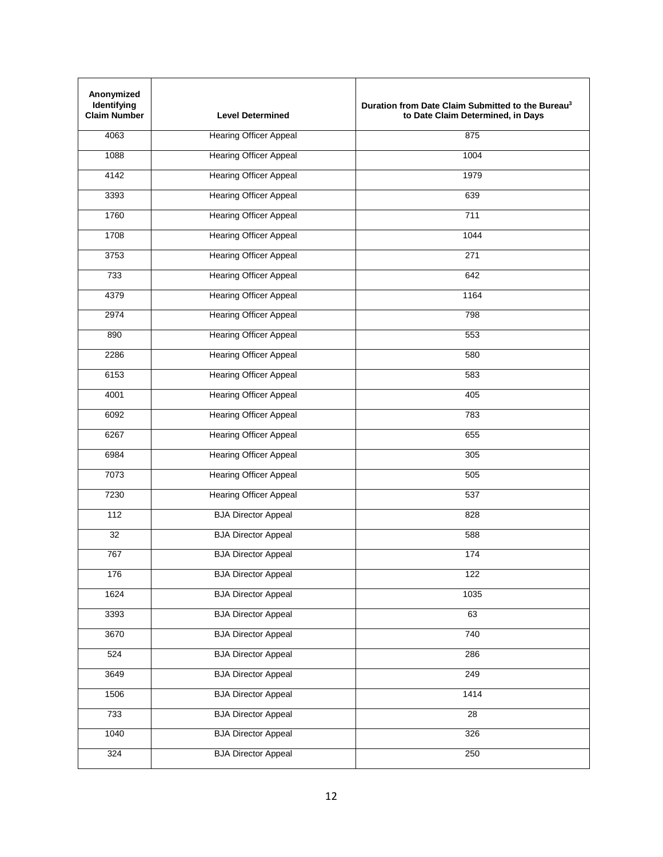| Anonymized<br>Identifying<br><b>Claim Number</b> | <b>Level Determined</b>       | Duration from Date Claim Submitted to the Bureau <sup>3</sup><br>to Date Claim Determined, in Days |
|--------------------------------------------------|-------------------------------|----------------------------------------------------------------------------------------------------|
| 4063                                             | <b>Hearing Officer Appeal</b> | 875                                                                                                |
| 1088                                             | <b>Hearing Officer Appeal</b> | 1004                                                                                               |
| 4142                                             | <b>Hearing Officer Appeal</b> | 1979                                                                                               |
| 3393                                             | <b>Hearing Officer Appeal</b> | 639                                                                                                |
| 1760                                             | <b>Hearing Officer Appeal</b> | 711                                                                                                |
| 1708                                             | <b>Hearing Officer Appeal</b> | 1044                                                                                               |
| 3753                                             | <b>Hearing Officer Appeal</b> | 271                                                                                                |
| 733                                              | <b>Hearing Officer Appeal</b> | 642                                                                                                |
| 4379                                             | <b>Hearing Officer Appeal</b> | 1164                                                                                               |
| 2974                                             | <b>Hearing Officer Appeal</b> | 798                                                                                                |
| 890                                              | <b>Hearing Officer Appeal</b> | 553                                                                                                |
| 2286                                             | <b>Hearing Officer Appeal</b> | 580                                                                                                |
| 6153                                             | <b>Hearing Officer Appeal</b> | 583                                                                                                |
| 4001                                             | <b>Hearing Officer Appeal</b> | 405                                                                                                |
| 6092                                             | <b>Hearing Officer Appeal</b> | 783                                                                                                |
| 6267                                             | <b>Hearing Officer Appeal</b> | 655                                                                                                |
| 6984                                             | <b>Hearing Officer Appeal</b> | 305                                                                                                |
| 7073                                             | <b>Hearing Officer Appeal</b> | 505                                                                                                |
| 7230                                             | <b>Hearing Officer Appeal</b> | 537                                                                                                |
| 112                                              | <b>BJA Director Appeal</b>    | 828                                                                                                |
| 32                                               | <b>BJA Director Appeal</b>    | 588                                                                                                |
| 767                                              | <b>BJA Director Appeal</b>    | 174                                                                                                |
| 176                                              | <b>BJA Director Appeal</b>    | 122                                                                                                |
| 1624                                             | <b>BJA Director Appeal</b>    | 1035                                                                                               |
| 3393                                             | <b>BJA Director Appeal</b>    | 63                                                                                                 |
| 3670                                             | <b>BJA Director Appeal</b>    | 740                                                                                                |
| 524                                              | <b>BJA Director Appeal</b>    | 286                                                                                                |
| 3649                                             | <b>BJA Director Appeal</b>    | 249                                                                                                |
| 1506                                             | <b>BJA Director Appeal</b>    | 1414                                                                                               |
| 733                                              | <b>BJA Director Appeal</b>    | $\overline{28}$                                                                                    |
| 1040                                             | <b>BJA Director Appeal</b>    | 326                                                                                                |
| 324                                              | <b>BJA Director Appeal</b>    | 250                                                                                                |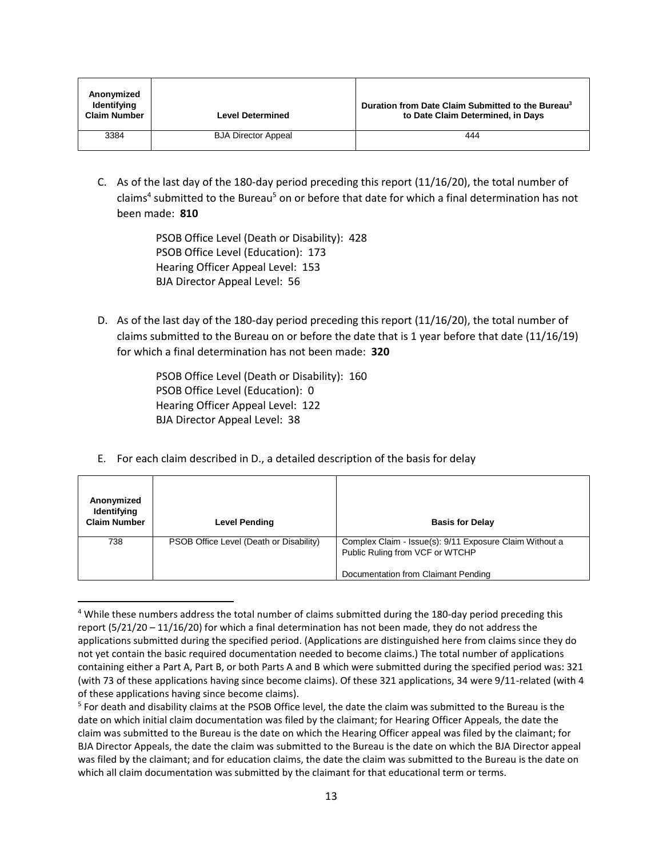| Anonymized<br><b>Identifying</b><br><b>Claim Number</b> | <b>Level Determined</b>    | Duration from Date Claim Submitted to the Bureau <sup>3</sup><br>to Date Claim Determined, in Days |
|---------------------------------------------------------|----------------------------|----------------------------------------------------------------------------------------------------|
| 3384                                                    | <b>BJA Director Appeal</b> | 444                                                                                                |

C. As of the last day of the 180-day period preceding this report (11/16/20), the total number of claims<sup>4</sup> submitted to the Bureau<sup>5</sup> on or before that date for which a final determination has not been made: **810**

> PSOB Office Level (Death or Disability): 428 PSOB Office Level (Education): 173 Hearing Officer Appeal Level: 153 BJA Director Appeal Level: 56

D. As of the last day of the 180-day period preceding this report (11/16/20), the total number of claims submitted to the Bureau on or before the date that is 1 year before that date (11/16/19) for which a final determination has not been made: **320**

> PSOB Office Level (Death or Disability): 160 PSOB Office Level (Education): 0 Hearing Officer Appeal Level: 122 BJA Director Appeal Level: 38

 $\overline{\phantom{a}}$ 

E. For each claim described in D., a detailed description of the basis for delay

| Anonymized<br>Identifying<br><b>Claim Number</b> | <b>Level Pending</b>                    | <b>Basis for Delay</b>                                                                                                            |
|--------------------------------------------------|-----------------------------------------|-----------------------------------------------------------------------------------------------------------------------------------|
| 738                                              | PSOB Office Level (Death or Disability) | Complex Claim - Issue(s): 9/11 Exposure Claim Without a<br>Public Ruling from VCF or WTCHP<br>Documentation from Claimant Pending |

<sup>4</sup> While these numbers address the total number of claims submitted during the 180-day period preceding this report (5/21/20 – 11/16/20) for which a final determination has not been made, they do not address the applications submitted during the specified period. (Applications are distinguished here from claims since they do not yet contain the basic required documentation needed to become claims.) The total number of applications containing either a Part A, Part B, or both Parts A and B which were submitted during the specified period was: 321 (with 73 of these applications having since become claims). Of these 321 applications, 34 were 9/11-related (with 4 of these applications having since become claims).

<sup>5</sup> For death and disability claims at the PSOB Office level, the date the claim was submitted to the Bureau is the date on which initial claim documentation was filed by the claimant; for Hearing Officer Appeals, the date the claim was submitted to the Bureau is the date on which the Hearing Officer appeal was filed by the claimant; for BJA Director Appeals, the date the claim was submitted to the Bureau is the date on which the BJA Director appeal was filed by the claimant; and for education claims, the date the claim was submitted to the Bureau is the date on which all claim documentation was submitted by the claimant for that educational term or terms.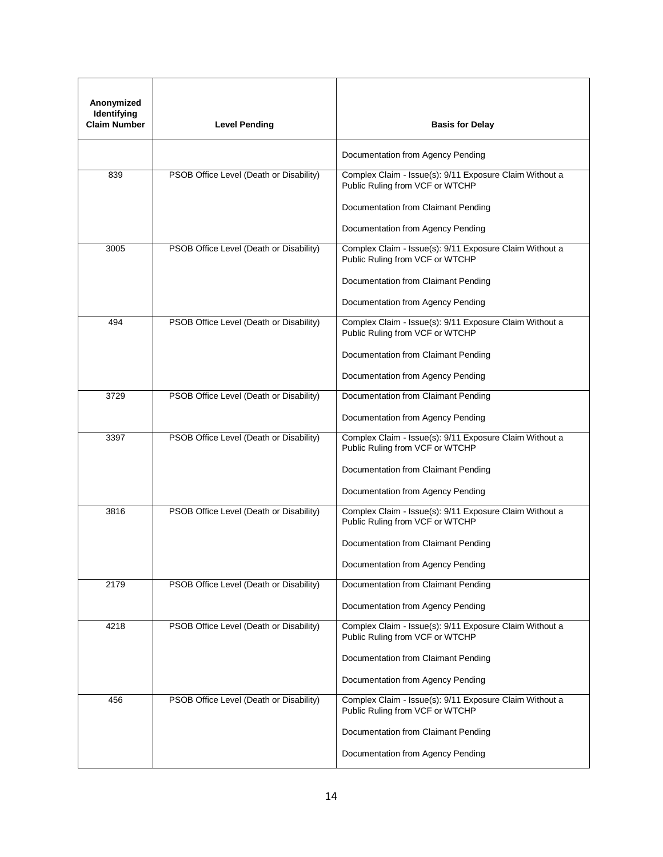| Anonymized<br>Identifying<br><b>Claim Number</b> | <b>Level Pending</b>                    | <b>Basis for Delay</b>                                                                     |
|--------------------------------------------------|-----------------------------------------|--------------------------------------------------------------------------------------------|
|                                                  |                                         | Documentation from Agency Pending                                                          |
| 839                                              | PSOB Office Level (Death or Disability) | Complex Claim - Issue(s): 9/11 Exposure Claim Without a<br>Public Ruling from VCF or WTCHP |
|                                                  |                                         | Documentation from Claimant Pending                                                        |
|                                                  |                                         | Documentation from Agency Pending                                                          |
| 3005                                             | PSOB Office Level (Death or Disability) | Complex Claim - Issue(s): 9/11 Exposure Claim Without a<br>Public Ruling from VCF or WTCHP |
|                                                  |                                         | Documentation from Claimant Pending                                                        |
|                                                  |                                         | Documentation from Agency Pending                                                          |
| 494                                              | PSOB Office Level (Death or Disability) | Complex Claim - Issue(s): 9/11 Exposure Claim Without a<br>Public Ruling from VCF or WTCHP |
|                                                  |                                         | Documentation from Claimant Pending                                                        |
|                                                  |                                         | Documentation from Agency Pending                                                          |
| 3729                                             | PSOB Office Level (Death or Disability) | Documentation from Claimant Pending                                                        |
|                                                  |                                         | Documentation from Agency Pending                                                          |
| 3397                                             | PSOB Office Level (Death or Disability) | Complex Claim - Issue(s): 9/11 Exposure Claim Without a<br>Public Ruling from VCF or WTCHP |
|                                                  |                                         | Documentation from Claimant Pending                                                        |
|                                                  |                                         | Documentation from Agency Pending                                                          |
| 3816                                             | PSOB Office Level (Death or Disability) | Complex Claim - Issue(s): 9/11 Exposure Claim Without a<br>Public Ruling from VCF or WTCHP |
|                                                  |                                         | Documentation from Claimant Pending                                                        |
|                                                  |                                         | Documentation from Agency Pending                                                          |
| 2179                                             | PSOB Office Level (Death or Disability) | Documentation from Claimant Pending                                                        |
|                                                  |                                         | Documentation from Agency Pending                                                          |
| 4218                                             | PSOB Office Level (Death or Disability) | Complex Claim - Issue(s): 9/11 Exposure Claim Without a<br>Public Ruling from VCF or WTCHP |
|                                                  |                                         | Documentation from Claimant Pending                                                        |
|                                                  |                                         | Documentation from Agency Pending                                                          |
| 456                                              | PSOB Office Level (Death or Disability) | Complex Claim - Issue(s): 9/11 Exposure Claim Without a<br>Public Ruling from VCF or WTCHP |
|                                                  |                                         | Documentation from Claimant Pending                                                        |
|                                                  |                                         | Documentation from Agency Pending                                                          |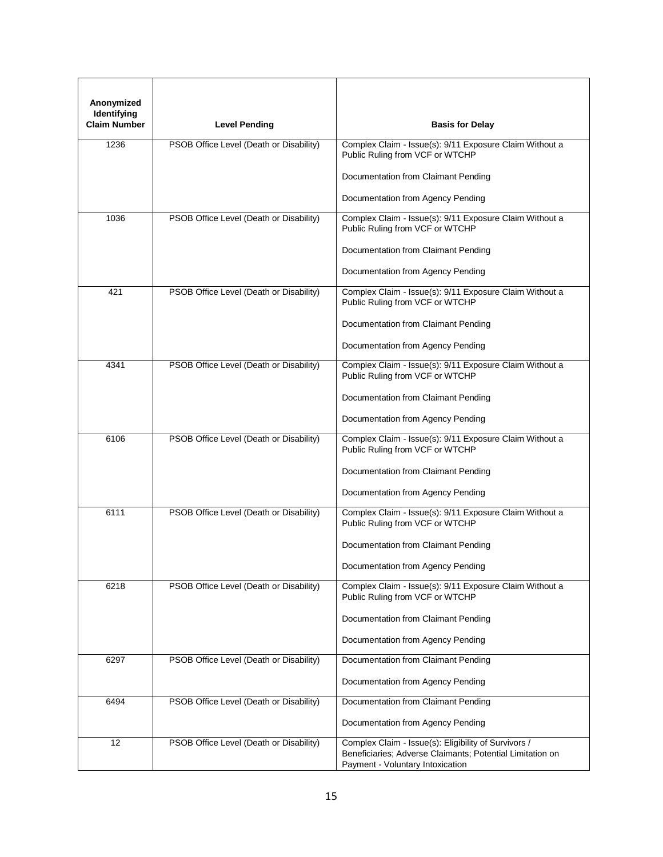| Anonymized<br>Identifying<br><b>Claim Number</b> | <b>Level Pending</b>                    | <b>Basis for Delay</b>                                                                                                                                |
|--------------------------------------------------|-----------------------------------------|-------------------------------------------------------------------------------------------------------------------------------------------------------|
| 1236                                             | PSOB Office Level (Death or Disability) | Complex Claim - Issue(s): 9/11 Exposure Claim Without a<br>Public Ruling from VCF or WTCHP                                                            |
|                                                  |                                         | Documentation from Claimant Pending                                                                                                                   |
|                                                  |                                         | Documentation from Agency Pending                                                                                                                     |
| 1036                                             | PSOB Office Level (Death or Disability) | Complex Claim - Issue(s): 9/11 Exposure Claim Without a<br>Public Ruling from VCF or WTCHP                                                            |
|                                                  |                                         | Documentation from Claimant Pending                                                                                                                   |
|                                                  |                                         | Documentation from Agency Pending                                                                                                                     |
| 421                                              | PSOB Office Level (Death or Disability) | Complex Claim - Issue(s): 9/11 Exposure Claim Without a<br>Public Ruling from VCF or WTCHP                                                            |
|                                                  |                                         | Documentation from Claimant Pending                                                                                                                   |
|                                                  |                                         | Documentation from Agency Pending                                                                                                                     |
| 4341                                             | PSOB Office Level (Death or Disability) | Complex Claim - Issue(s): 9/11 Exposure Claim Without a<br>Public Ruling from VCF or WTCHP                                                            |
|                                                  |                                         | Documentation from Claimant Pending                                                                                                                   |
|                                                  |                                         | Documentation from Agency Pending                                                                                                                     |
| 6106                                             | PSOB Office Level (Death or Disability) | Complex Claim - Issue(s): 9/11 Exposure Claim Without a<br>Public Ruling from VCF or WTCHP                                                            |
|                                                  |                                         | Documentation from Claimant Pending                                                                                                                   |
|                                                  |                                         | Documentation from Agency Pending                                                                                                                     |
| 6111                                             | PSOB Office Level (Death or Disability) | Complex Claim - Issue(s): 9/11 Exposure Claim Without a<br>Public Ruling from VCF or WTCHP                                                            |
|                                                  |                                         | Documentation from Claimant Pending                                                                                                                   |
|                                                  |                                         | Documentation from Agency Pending                                                                                                                     |
| 6218                                             | PSOB Office Level (Death or Disability) | Complex Claim - Issue(s): 9/11 Exposure Claim Without a<br>Public Ruling from VCF or WTCHP                                                            |
|                                                  |                                         | Documentation from Claimant Pending                                                                                                                   |
|                                                  |                                         | Documentation from Agency Pending                                                                                                                     |
| 6297                                             | PSOB Office Level (Death or Disability) | Documentation from Claimant Pending                                                                                                                   |
|                                                  |                                         | Documentation from Agency Pending                                                                                                                     |
| 6494                                             | PSOB Office Level (Death or Disability) | Documentation from Claimant Pending                                                                                                                   |
|                                                  |                                         | Documentation from Agency Pending                                                                                                                     |
| 12                                               | PSOB Office Level (Death or Disability) | Complex Claim - Issue(s): Eligibility of Survivors /<br>Beneficiaries; Adverse Claimants; Potential Limitation on<br>Payment - Voluntary Intoxication |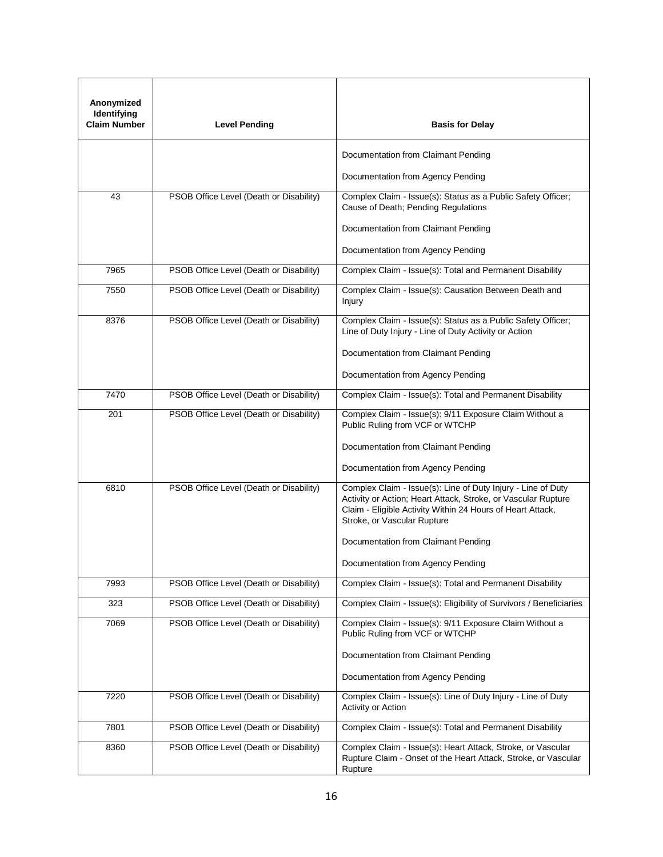| Anonymized<br>Identifying<br><b>Claim Number</b> | <b>Level Pending</b>                    | <b>Basis for Delay</b>                                                                                                                                                                                                     |
|--------------------------------------------------|-----------------------------------------|----------------------------------------------------------------------------------------------------------------------------------------------------------------------------------------------------------------------------|
|                                                  |                                         | Documentation from Claimant Pending                                                                                                                                                                                        |
|                                                  |                                         | Documentation from Agency Pending                                                                                                                                                                                          |
| 43                                               | PSOB Office Level (Death or Disability) | Complex Claim - Issue(s): Status as a Public Safety Officer;<br>Cause of Death; Pending Regulations                                                                                                                        |
|                                                  |                                         | Documentation from Claimant Pending                                                                                                                                                                                        |
|                                                  |                                         | Documentation from Agency Pending                                                                                                                                                                                          |
| 7965                                             | PSOB Office Level (Death or Disability) | Complex Claim - Issue(s): Total and Permanent Disability                                                                                                                                                                   |
| 7550                                             | PSOB Office Level (Death or Disability) | Complex Claim - Issue(s): Causation Between Death and<br>Injury                                                                                                                                                            |
| 8376                                             | PSOB Office Level (Death or Disability) | Complex Claim - Issue(s): Status as a Public Safety Officer;<br>Line of Duty Injury - Line of Duty Activity or Action                                                                                                      |
|                                                  |                                         | Documentation from Claimant Pending                                                                                                                                                                                        |
|                                                  |                                         | Documentation from Agency Pending                                                                                                                                                                                          |
| 7470                                             | PSOB Office Level (Death or Disability) | Complex Claim - Issue(s): Total and Permanent Disability                                                                                                                                                                   |
| 201                                              | PSOB Office Level (Death or Disability) | Complex Claim - Issue(s): 9/11 Exposure Claim Without a<br>Public Ruling from VCF or WTCHP                                                                                                                                 |
|                                                  |                                         | Documentation from Claimant Pending                                                                                                                                                                                        |
|                                                  |                                         | Documentation from Agency Pending                                                                                                                                                                                          |
| 6810                                             | PSOB Office Level (Death or Disability) | Complex Claim - Issue(s): Line of Duty Injury - Line of Duty<br>Activity or Action; Heart Attack, Stroke, or Vascular Rupture<br>Claim - Eligible Activity Within 24 Hours of Heart Attack,<br>Stroke, or Vascular Rupture |
|                                                  |                                         | Documentation from Claimant Pending                                                                                                                                                                                        |
|                                                  |                                         | Documentation from Agency Pending                                                                                                                                                                                          |
| 7993                                             | PSOB Office Level (Death or Disability) | Complex Claim - Issue(s): Total and Permanent Disability                                                                                                                                                                   |
| 323                                              | PSOB Office Level (Death or Disability) | Complex Claim - Issue(s): Eligibility of Survivors / Beneficiaries                                                                                                                                                         |
| 7069                                             | PSOB Office Level (Death or Disability) | Complex Claim - Issue(s): 9/11 Exposure Claim Without a<br>Public Ruling from VCF or WTCHP                                                                                                                                 |
|                                                  |                                         | Documentation from Claimant Pending                                                                                                                                                                                        |
|                                                  |                                         | Documentation from Agency Pending                                                                                                                                                                                          |
| 7220                                             | PSOB Office Level (Death or Disability) | Complex Claim - Issue(s): Line of Duty Injury - Line of Duty<br>Activity or Action                                                                                                                                         |
| 7801                                             | PSOB Office Level (Death or Disability) | Complex Claim - Issue(s): Total and Permanent Disability                                                                                                                                                                   |
| 8360                                             | PSOB Office Level (Death or Disability) | Complex Claim - Issue(s): Heart Attack, Stroke, or Vascular<br>Rupture Claim - Onset of the Heart Attack, Stroke, or Vascular<br>Rupture                                                                                   |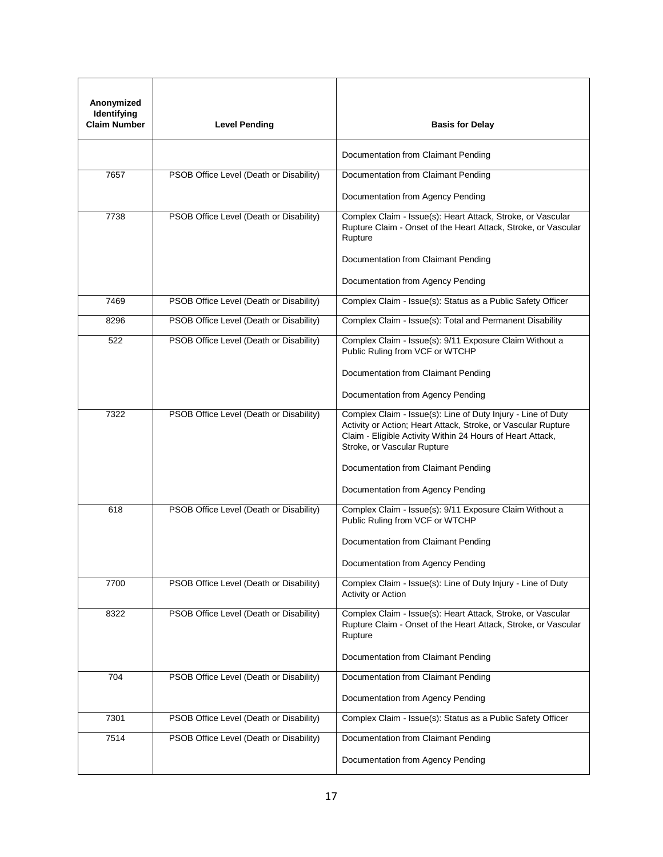| Anonymized<br>Identifying<br><b>Claim Number</b> | <b>Level Pending</b>                    | <b>Basis for Delay</b>                                                                                                                                                                                                     |
|--------------------------------------------------|-----------------------------------------|----------------------------------------------------------------------------------------------------------------------------------------------------------------------------------------------------------------------------|
|                                                  |                                         | Documentation from Claimant Pending                                                                                                                                                                                        |
| 7657                                             | PSOB Office Level (Death or Disability) | Documentation from Claimant Pending                                                                                                                                                                                        |
|                                                  |                                         | Documentation from Agency Pending                                                                                                                                                                                          |
| 7738                                             | PSOB Office Level (Death or Disability) | Complex Claim - Issue(s): Heart Attack, Stroke, or Vascular<br>Rupture Claim - Onset of the Heart Attack, Stroke, or Vascular<br>Rupture                                                                                   |
|                                                  |                                         | Documentation from Claimant Pending                                                                                                                                                                                        |
|                                                  |                                         | Documentation from Agency Pending                                                                                                                                                                                          |
| 7469                                             | PSOB Office Level (Death or Disability) | Complex Claim - Issue(s): Status as a Public Safety Officer                                                                                                                                                                |
| 8296                                             | PSOB Office Level (Death or Disability) | Complex Claim - Issue(s): Total and Permanent Disability                                                                                                                                                                   |
| 522                                              | PSOB Office Level (Death or Disability) | Complex Claim - Issue(s): 9/11 Exposure Claim Without a<br>Public Ruling from VCF or WTCHP                                                                                                                                 |
|                                                  |                                         | Documentation from Claimant Pending                                                                                                                                                                                        |
|                                                  |                                         | Documentation from Agency Pending                                                                                                                                                                                          |
| 7322                                             | PSOB Office Level (Death or Disability) | Complex Claim - Issue(s): Line of Duty Injury - Line of Duty<br>Activity or Action; Heart Attack, Stroke, or Vascular Rupture<br>Claim - Eligible Activity Within 24 Hours of Heart Attack,<br>Stroke, or Vascular Rupture |
|                                                  |                                         | Documentation from Claimant Pending                                                                                                                                                                                        |
|                                                  |                                         | Documentation from Agency Pending                                                                                                                                                                                          |
| 618                                              | PSOB Office Level (Death or Disability) | Complex Claim - Issue(s): 9/11 Exposure Claim Without a<br>Public Ruling from VCF or WTCHP                                                                                                                                 |
|                                                  |                                         | Documentation from Claimant Pending                                                                                                                                                                                        |
|                                                  |                                         | Documentation from Agency Pending                                                                                                                                                                                          |
| 7700                                             | PSOB Office Level (Death or Disability) | Complex Claim - Issue(s): Line of Duty Injury - Line of Duty<br>Activity or Action                                                                                                                                         |
| 8322                                             | PSOB Office Level (Death or Disability) | Complex Claim - Issue(s): Heart Attack, Stroke, or Vascular<br>Rupture Claim - Onset of the Heart Attack, Stroke, or Vascular<br>Rupture                                                                                   |
|                                                  |                                         | Documentation from Claimant Pending                                                                                                                                                                                        |
| 704                                              | PSOB Office Level (Death or Disability) | Documentation from Claimant Pending                                                                                                                                                                                        |
|                                                  |                                         | Documentation from Agency Pending                                                                                                                                                                                          |
| 7301                                             | PSOB Office Level (Death or Disability) | Complex Claim - Issue(s): Status as a Public Safety Officer                                                                                                                                                                |
| 7514                                             | PSOB Office Level (Death or Disability) | Documentation from Claimant Pending                                                                                                                                                                                        |
|                                                  |                                         | Documentation from Agency Pending                                                                                                                                                                                          |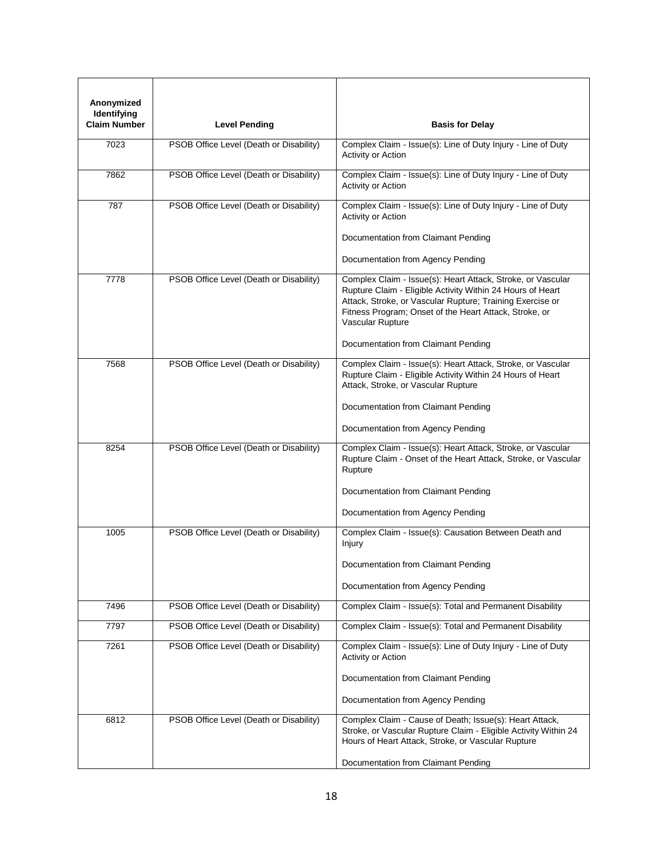| Anonymized<br>Identifying<br><b>Claim Number</b> | <b>Level Pending</b>                    | <b>Basis for Delay</b>                                                                                                                                                                                                                                               |
|--------------------------------------------------|-----------------------------------------|----------------------------------------------------------------------------------------------------------------------------------------------------------------------------------------------------------------------------------------------------------------------|
| 7023                                             | PSOB Office Level (Death or Disability) | Complex Claim - Issue(s): Line of Duty Injury - Line of Duty<br>Activity or Action                                                                                                                                                                                   |
| 7862                                             | PSOB Office Level (Death or Disability) | Complex Claim - Issue(s): Line of Duty Injury - Line of Duty<br>Activity or Action                                                                                                                                                                                   |
| 787                                              | PSOB Office Level (Death or Disability) | Complex Claim - Issue(s): Line of Duty Injury - Line of Duty<br>Activity or Action                                                                                                                                                                                   |
|                                                  |                                         | Documentation from Claimant Pending                                                                                                                                                                                                                                  |
|                                                  |                                         | Documentation from Agency Pending                                                                                                                                                                                                                                    |
| 7778                                             | PSOB Office Level (Death or Disability) | Complex Claim - Issue(s): Heart Attack, Stroke, or Vascular<br>Rupture Claim - Eligible Activity Within 24 Hours of Heart<br>Attack, Stroke, or Vascular Rupture; Training Exercise or<br>Fitness Program; Onset of the Heart Attack, Stroke, or<br>Vascular Rupture |
|                                                  |                                         | Documentation from Claimant Pending                                                                                                                                                                                                                                  |
| 7568                                             | PSOB Office Level (Death or Disability) | Complex Claim - Issue(s): Heart Attack, Stroke, or Vascular<br>Rupture Claim - Eligible Activity Within 24 Hours of Heart<br>Attack, Stroke, or Vascular Rupture                                                                                                     |
|                                                  |                                         | Documentation from Claimant Pending                                                                                                                                                                                                                                  |
|                                                  |                                         | Documentation from Agency Pending                                                                                                                                                                                                                                    |
| 8254                                             | PSOB Office Level (Death or Disability) | Complex Claim - Issue(s): Heart Attack, Stroke, or Vascular<br>Rupture Claim - Onset of the Heart Attack, Stroke, or Vascular<br>Rupture                                                                                                                             |
|                                                  |                                         | Documentation from Claimant Pending                                                                                                                                                                                                                                  |
|                                                  |                                         | Documentation from Agency Pending                                                                                                                                                                                                                                    |
| 1005                                             | PSOB Office Level (Death or Disability) | Complex Claim - Issue(s): Causation Between Death and<br>Injury                                                                                                                                                                                                      |
|                                                  |                                         | Documentation from Claimant Pending                                                                                                                                                                                                                                  |
|                                                  |                                         | Documentation from Agency Pending                                                                                                                                                                                                                                    |
| 7496                                             | PSOB Office Level (Death or Disability) | Complex Claim - Issue(s): Total and Permanent Disability                                                                                                                                                                                                             |
| 7797                                             | PSOB Office Level (Death or Disability) | Complex Claim - Issue(s): Total and Permanent Disability                                                                                                                                                                                                             |
| 7261                                             | PSOB Office Level (Death or Disability) | Complex Claim - Issue(s): Line of Duty Injury - Line of Duty<br>Activity or Action                                                                                                                                                                                   |
|                                                  |                                         | Documentation from Claimant Pending                                                                                                                                                                                                                                  |
|                                                  |                                         | Documentation from Agency Pending                                                                                                                                                                                                                                    |
| 6812                                             | PSOB Office Level (Death or Disability) | Complex Claim - Cause of Death; Issue(s): Heart Attack,<br>Stroke, or Vascular Rupture Claim - Eligible Activity Within 24<br>Hours of Heart Attack, Stroke, or Vascular Rupture                                                                                     |
|                                                  |                                         | Documentation from Claimant Pending                                                                                                                                                                                                                                  |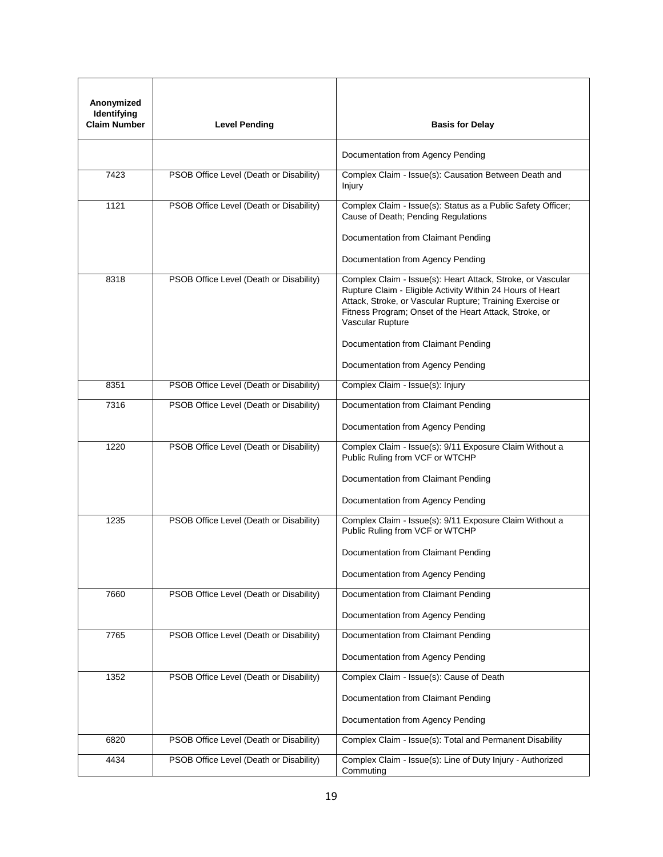| Anonymized<br>Identifying<br>Claim Number | <b>Level Pending</b>                    | <b>Basis for Delay</b>                                                                                                                                                                                                                                                                                                                           |
|-------------------------------------------|-----------------------------------------|--------------------------------------------------------------------------------------------------------------------------------------------------------------------------------------------------------------------------------------------------------------------------------------------------------------------------------------------------|
|                                           |                                         | Documentation from Agency Pending                                                                                                                                                                                                                                                                                                                |
| 7423                                      | PSOB Office Level (Death or Disability) | Complex Claim - Issue(s): Causation Between Death and<br>Injury                                                                                                                                                                                                                                                                                  |
| 1121                                      | PSOB Office Level (Death or Disability) | Complex Claim - Issue(s): Status as a Public Safety Officer;<br>Cause of Death; Pending Regulations                                                                                                                                                                                                                                              |
|                                           |                                         | Documentation from Claimant Pending                                                                                                                                                                                                                                                                                                              |
|                                           |                                         | Documentation from Agency Pending                                                                                                                                                                                                                                                                                                                |
| 8318                                      | PSOB Office Level (Death or Disability) | Complex Claim - Issue(s): Heart Attack, Stroke, or Vascular<br>Rupture Claim - Eligible Activity Within 24 Hours of Heart<br>Attack, Stroke, or Vascular Rupture; Training Exercise or<br>Fitness Program; Onset of the Heart Attack, Stroke, or<br>Vascular Rupture<br>Documentation from Claimant Pending<br>Documentation from Agency Pending |
| 8351                                      | PSOB Office Level (Death or Disability) | Complex Claim - Issue(s): Injury                                                                                                                                                                                                                                                                                                                 |
| 7316                                      | PSOB Office Level (Death or Disability) | Documentation from Claimant Pending                                                                                                                                                                                                                                                                                                              |
|                                           |                                         | Documentation from Agency Pending                                                                                                                                                                                                                                                                                                                |
| 1220                                      | PSOB Office Level (Death or Disability) | Complex Claim - Issue(s): 9/11 Exposure Claim Without a<br>Public Ruling from VCF or WTCHP<br>Documentation from Claimant Pending<br>Documentation from Agency Pending                                                                                                                                                                           |
| 1235                                      | PSOB Office Level (Death or Disability) | Complex Claim - Issue(s): 9/11 Exposure Claim Without a<br>Public Ruling from VCF or WTCHP<br>Documentation from Claimant Pending<br>Documentation from Agency Pending                                                                                                                                                                           |
| 7660                                      | PSOB Office Level (Death or Disability) | Documentation from Claimant Pending                                                                                                                                                                                                                                                                                                              |
|                                           |                                         | Documentation from Agency Pending                                                                                                                                                                                                                                                                                                                |
| 7765                                      | PSOB Office Level (Death or Disability) | Documentation from Claimant Pending                                                                                                                                                                                                                                                                                                              |
|                                           |                                         | Documentation from Agency Pending                                                                                                                                                                                                                                                                                                                |
| 1352                                      | PSOB Office Level (Death or Disability) | Complex Claim - Issue(s): Cause of Death                                                                                                                                                                                                                                                                                                         |
|                                           |                                         | Documentation from Claimant Pending                                                                                                                                                                                                                                                                                                              |
|                                           |                                         | Documentation from Agency Pending                                                                                                                                                                                                                                                                                                                |
| 6820                                      | PSOB Office Level (Death or Disability) | Complex Claim - Issue(s): Total and Permanent Disability                                                                                                                                                                                                                                                                                         |
| 4434                                      | PSOB Office Level (Death or Disability) | Complex Claim - Issue(s): Line of Duty Injury - Authorized<br>Commuting                                                                                                                                                                                                                                                                          |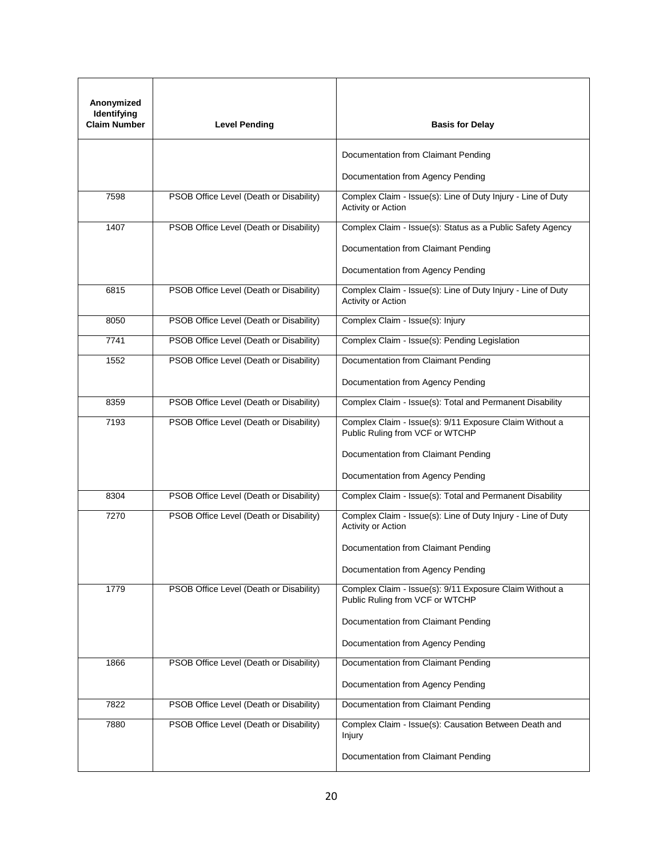| Anonymized<br>Identifying<br><b>Claim Number</b> | <b>Level Pending</b>                    | <b>Basis for Delay</b>                                                                     |
|--------------------------------------------------|-----------------------------------------|--------------------------------------------------------------------------------------------|
|                                                  |                                         | Documentation from Claimant Pending                                                        |
|                                                  |                                         | Documentation from Agency Pending                                                          |
| 7598                                             | PSOB Office Level (Death or Disability) | Complex Claim - Issue(s): Line of Duty Injury - Line of Duty<br>Activity or Action         |
| 1407                                             | PSOB Office Level (Death or Disability) | Complex Claim - Issue(s): Status as a Public Safety Agency                                 |
|                                                  |                                         | Documentation from Claimant Pending                                                        |
|                                                  |                                         | Documentation from Agency Pending                                                          |
| 6815                                             | PSOB Office Level (Death or Disability) | Complex Claim - Issue(s): Line of Duty Injury - Line of Duty<br>Activity or Action         |
| 8050                                             | PSOB Office Level (Death or Disability) | Complex Claim - Issue(s): Injury                                                           |
| 7741                                             | PSOB Office Level (Death or Disability) | Complex Claim - Issue(s): Pending Legislation                                              |
| 1552                                             | PSOB Office Level (Death or Disability) | Documentation from Claimant Pending                                                        |
|                                                  |                                         | Documentation from Agency Pending                                                          |
| 8359                                             | PSOB Office Level (Death or Disability) | Complex Claim - Issue(s): Total and Permanent Disability                                   |
| 7193                                             | PSOB Office Level (Death or Disability) | Complex Claim - Issue(s): 9/11 Exposure Claim Without a<br>Public Ruling from VCF or WTCHP |
|                                                  |                                         | Documentation from Claimant Pending                                                        |
|                                                  |                                         | Documentation from Agency Pending                                                          |
| 8304                                             | PSOB Office Level (Death or Disability) | Complex Claim - Issue(s): Total and Permanent Disability                                   |
| 7270                                             | PSOB Office Level (Death or Disability) | Complex Claim - Issue(s): Line of Duty Injury - Line of Duty<br>Activity or Action         |
|                                                  |                                         | Documentation from Claimant Pending                                                        |
|                                                  |                                         | Documentation from Agency Pending                                                          |
| 1779                                             | PSOB Office Level (Death or Disability) | Complex Claim - Issue(s): 9/11 Exposure Claim Without a<br>Public Ruling from VCF or WTCHP |
|                                                  |                                         | Documentation from Claimant Pending                                                        |
|                                                  |                                         | Documentation from Agency Pending                                                          |
| 1866                                             | PSOB Office Level (Death or Disability) | Documentation from Claimant Pending                                                        |
|                                                  |                                         | Documentation from Agency Pending                                                          |
| 7822                                             | PSOB Office Level (Death or Disability) | Documentation from Claimant Pending                                                        |
| 7880                                             | PSOB Office Level (Death or Disability) | Complex Claim - Issue(s): Causation Between Death and<br>Injury                            |
|                                                  |                                         | Documentation from Claimant Pending                                                        |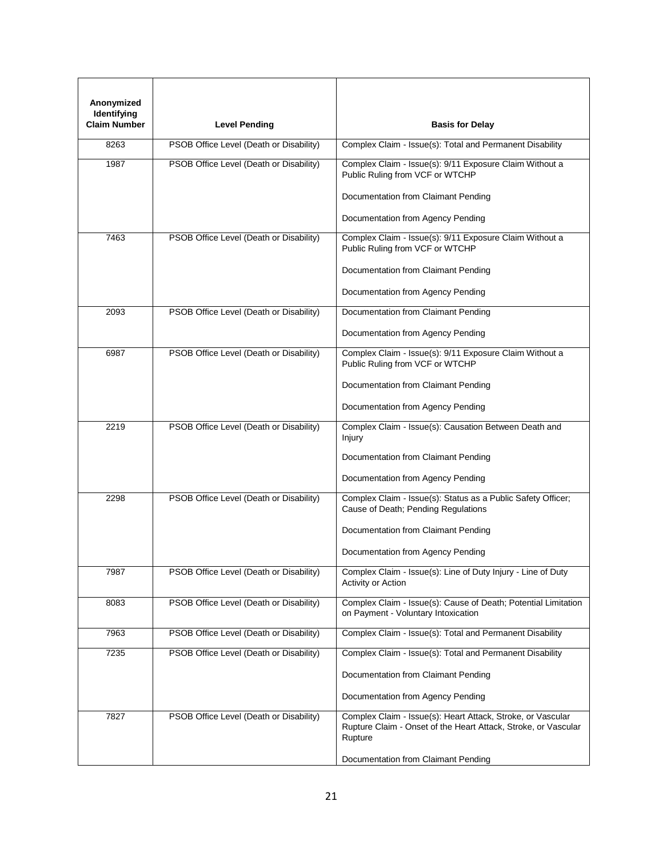| Anonymized<br>Identifying<br>Claim Number | <b>Level Pending</b>                    | <b>Basis for Delay</b>                                                                                                                   |
|-------------------------------------------|-----------------------------------------|------------------------------------------------------------------------------------------------------------------------------------------|
| 8263                                      | PSOB Office Level (Death or Disability) | Complex Claim - Issue(s): Total and Permanent Disability                                                                                 |
| 1987                                      | PSOB Office Level (Death or Disability) | Complex Claim - Issue(s): 9/11 Exposure Claim Without a<br>Public Ruling from VCF or WTCHP                                               |
|                                           |                                         | Documentation from Claimant Pending                                                                                                      |
|                                           |                                         | Documentation from Agency Pending                                                                                                        |
| 7463                                      | PSOB Office Level (Death or Disability) | Complex Claim - Issue(s): 9/11 Exposure Claim Without a<br>Public Ruling from VCF or WTCHP                                               |
|                                           |                                         | Documentation from Claimant Pending                                                                                                      |
|                                           |                                         | Documentation from Agency Pending                                                                                                        |
| 2093                                      | PSOB Office Level (Death or Disability) | Documentation from Claimant Pending                                                                                                      |
|                                           |                                         | Documentation from Agency Pending                                                                                                        |
| 6987                                      | PSOB Office Level (Death or Disability) | Complex Claim - Issue(s): 9/11 Exposure Claim Without a<br>Public Ruling from VCF or WTCHP                                               |
|                                           |                                         | Documentation from Claimant Pending                                                                                                      |
|                                           |                                         | Documentation from Agency Pending                                                                                                        |
| 2219                                      | PSOB Office Level (Death or Disability) | Complex Claim - Issue(s): Causation Between Death and<br>Injury                                                                          |
|                                           |                                         | Documentation from Claimant Pending                                                                                                      |
|                                           |                                         | Documentation from Agency Pending                                                                                                        |
| 2298                                      | PSOB Office Level (Death or Disability) | Complex Claim - Issue(s): Status as a Public Safety Officer;<br>Cause of Death; Pending Regulations                                      |
|                                           |                                         | Documentation from Claimant Pending                                                                                                      |
|                                           |                                         | Documentation from Agency Pending                                                                                                        |
| 7987                                      | PSOB Office Level (Death or Disability) | Complex Claim - Issue(s): Line of Duty Injury - Line of Duty<br><b>Activity or Action</b>                                                |
| 8083                                      | PSOB Office Level (Death or Disability) | Complex Claim - Issue(s): Cause of Death; Potential Limitation<br>on Payment - Voluntary Intoxication                                    |
| 7963                                      | PSOB Office Level (Death or Disability) | Complex Claim - Issue(s): Total and Permanent Disability                                                                                 |
| 7235                                      | PSOB Office Level (Death or Disability) | Complex Claim - Issue(s): Total and Permanent Disability                                                                                 |
|                                           |                                         | Documentation from Claimant Pending                                                                                                      |
|                                           |                                         | Documentation from Agency Pending                                                                                                        |
| 7827                                      | PSOB Office Level (Death or Disability) | Complex Claim - Issue(s): Heart Attack, Stroke, or Vascular<br>Rupture Claim - Onset of the Heart Attack, Stroke, or Vascular<br>Rupture |
|                                           |                                         | Documentation from Claimant Pending                                                                                                      |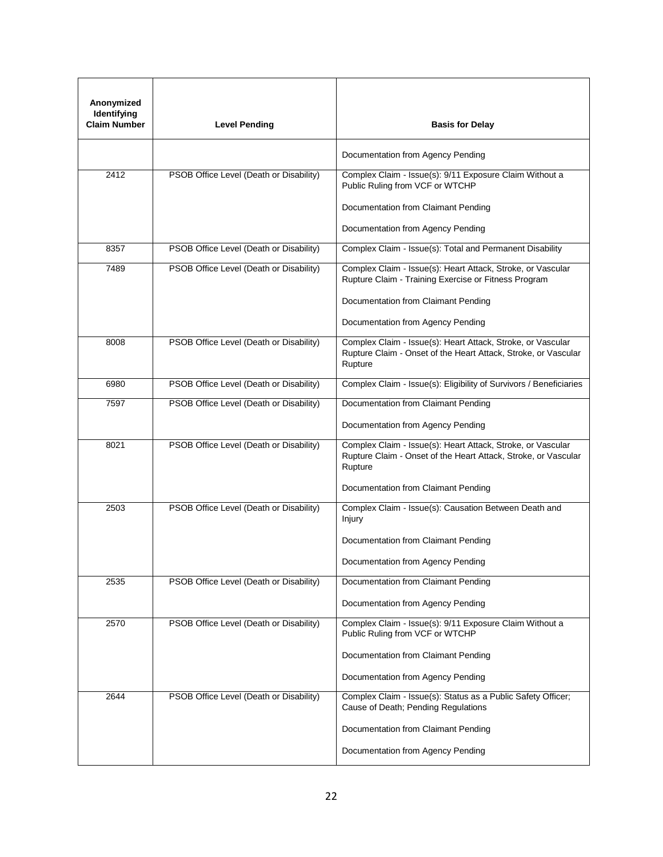| Anonymized<br>Identifying<br><b>Claim Number</b> | <b>Level Pending</b>                    | <b>Basis for Delay</b>                                                                                                                   |
|--------------------------------------------------|-----------------------------------------|------------------------------------------------------------------------------------------------------------------------------------------|
|                                                  |                                         | Documentation from Agency Pending                                                                                                        |
| 2412                                             | PSOB Office Level (Death or Disability) | Complex Claim - Issue(s): 9/11 Exposure Claim Without a<br>Public Ruling from VCF or WTCHP                                               |
|                                                  |                                         | Documentation from Claimant Pending                                                                                                      |
|                                                  |                                         | Documentation from Agency Pending                                                                                                        |
| 8357                                             | PSOB Office Level (Death or Disability) | Complex Claim - Issue(s): Total and Permanent Disability                                                                                 |
| 7489                                             | PSOB Office Level (Death or Disability) | Complex Claim - Issue(s): Heart Attack, Stroke, or Vascular<br>Rupture Claim - Training Exercise or Fitness Program                      |
|                                                  |                                         | Documentation from Claimant Pending                                                                                                      |
|                                                  |                                         | Documentation from Agency Pending                                                                                                        |
| 8008                                             | PSOB Office Level (Death or Disability) | Complex Claim - Issue(s): Heart Attack, Stroke, or Vascular<br>Rupture Claim - Onset of the Heart Attack, Stroke, or Vascular<br>Rupture |
| 6980                                             | PSOB Office Level (Death or Disability) | Complex Claim - Issue(s): Eligibility of Survivors / Beneficiaries                                                                       |
| 7597                                             | PSOB Office Level (Death or Disability) | Documentation from Claimant Pending                                                                                                      |
|                                                  |                                         | Documentation from Agency Pending                                                                                                        |
| 8021                                             | PSOB Office Level (Death or Disability) | Complex Claim - Issue(s): Heart Attack, Stroke, or Vascular<br>Rupture Claim - Onset of the Heart Attack, Stroke, or Vascular<br>Rupture |
|                                                  |                                         | Documentation from Claimant Pending                                                                                                      |
| 2503                                             | PSOB Office Level (Death or Disability) | Complex Claim - Issue(s): Causation Between Death and<br>Injury                                                                          |
|                                                  |                                         | Documentation from Claimant Pending                                                                                                      |
|                                                  |                                         | Documentation from Agency Pending                                                                                                        |
| 2535                                             | PSOB Office Level (Death or Disability) | Documentation from Claimant Pending                                                                                                      |
|                                                  |                                         | Documentation from Agency Pending                                                                                                        |
| 2570                                             | PSOB Office Level (Death or Disability) | Complex Claim - Issue(s): 9/11 Exposure Claim Without a<br>Public Ruling from VCF or WTCHP                                               |
|                                                  |                                         | Documentation from Claimant Pending                                                                                                      |
|                                                  |                                         | Documentation from Agency Pending                                                                                                        |
| 2644                                             | PSOB Office Level (Death or Disability) | Complex Claim - Issue(s): Status as a Public Safety Officer;<br>Cause of Death; Pending Regulations                                      |
|                                                  |                                         | Documentation from Claimant Pending                                                                                                      |
|                                                  |                                         | Documentation from Agency Pending                                                                                                        |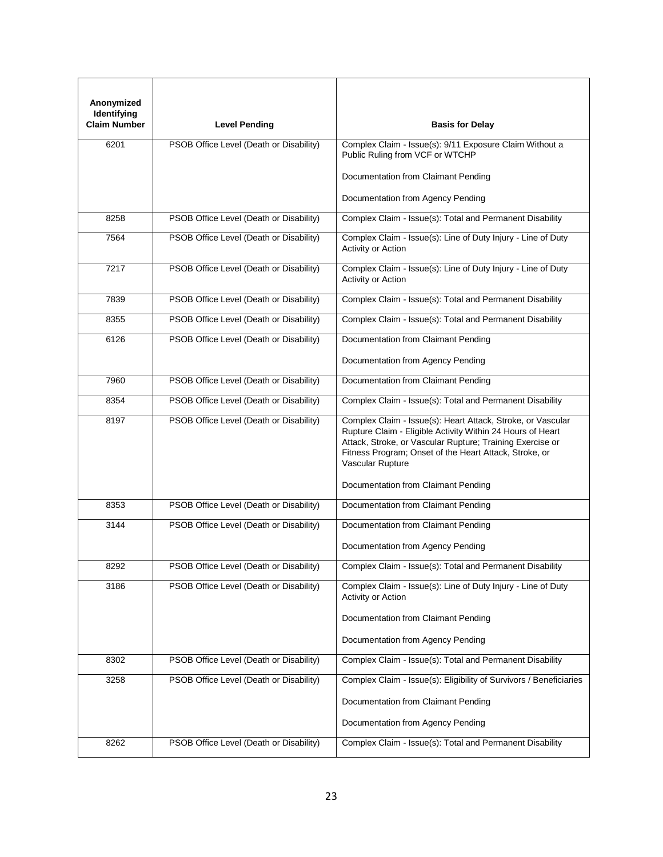| Anonymized<br>Identifying<br><b>Claim Number</b> | <b>Level Pending</b>                    | <b>Basis for Delay</b>                                                                                                                                                                                                                                                                                      |
|--------------------------------------------------|-----------------------------------------|-------------------------------------------------------------------------------------------------------------------------------------------------------------------------------------------------------------------------------------------------------------------------------------------------------------|
|                                                  |                                         |                                                                                                                                                                                                                                                                                                             |
| 6201                                             | PSOB Office Level (Death or Disability) | Complex Claim - Issue(s): 9/11 Exposure Claim Without a<br>Public Ruling from VCF or WTCHP                                                                                                                                                                                                                  |
|                                                  |                                         | Documentation from Claimant Pending                                                                                                                                                                                                                                                                         |
|                                                  |                                         | Documentation from Agency Pending                                                                                                                                                                                                                                                                           |
| 8258                                             | PSOB Office Level (Death or Disability) | Complex Claim - Issue(s): Total and Permanent Disability                                                                                                                                                                                                                                                    |
| 7564                                             | PSOB Office Level (Death or Disability) | Complex Claim - Issue(s): Line of Duty Injury - Line of Duty<br>Activity or Action                                                                                                                                                                                                                          |
| 7217                                             | PSOB Office Level (Death or Disability) | Complex Claim - Issue(s): Line of Duty Injury - Line of Duty<br>Activity or Action                                                                                                                                                                                                                          |
| 7839                                             | PSOB Office Level (Death or Disability) | Complex Claim - Issue(s): Total and Permanent Disability                                                                                                                                                                                                                                                    |
| 8355                                             | PSOB Office Level (Death or Disability) | Complex Claim - Issue(s): Total and Permanent Disability                                                                                                                                                                                                                                                    |
| 6126                                             | PSOB Office Level (Death or Disability) | Documentation from Claimant Pending                                                                                                                                                                                                                                                                         |
|                                                  |                                         | Documentation from Agency Pending                                                                                                                                                                                                                                                                           |
| 7960                                             | PSOB Office Level (Death or Disability) | Documentation from Claimant Pending                                                                                                                                                                                                                                                                         |
| 8354                                             | PSOB Office Level (Death or Disability) | Complex Claim - Issue(s): Total and Permanent Disability                                                                                                                                                                                                                                                    |
| 8197                                             | PSOB Office Level (Death or Disability) | Complex Claim - Issue(s): Heart Attack, Stroke, or Vascular<br>Rupture Claim - Eligible Activity Within 24 Hours of Heart<br>Attack, Stroke, or Vascular Rupture; Training Exercise or<br>Fitness Program; Onset of the Heart Attack, Stroke, or<br>Vascular Rupture<br>Documentation from Claimant Pending |
| 8353                                             | PSOB Office Level (Death or Disability) | Documentation from Claimant Pending                                                                                                                                                                                                                                                                         |
| 3144                                             | PSOB Office Level (Death or Disability) | Documentation from Claimant Pending                                                                                                                                                                                                                                                                         |
|                                                  |                                         | Documentation from Agency Pending                                                                                                                                                                                                                                                                           |
| 8292                                             | PSOB Office Level (Death or Disability) | Complex Claim - Issue(s): Total and Permanent Disability                                                                                                                                                                                                                                                    |
| 3186                                             | PSOB Office Level (Death or Disability) | Complex Claim - Issue(s): Line of Duty Injury - Line of Duty<br>Activity or Action                                                                                                                                                                                                                          |
|                                                  |                                         | Documentation from Claimant Pending                                                                                                                                                                                                                                                                         |
|                                                  |                                         | Documentation from Agency Pending                                                                                                                                                                                                                                                                           |
| 8302                                             | PSOB Office Level (Death or Disability) | Complex Claim - Issue(s): Total and Permanent Disability                                                                                                                                                                                                                                                    |
| 3258                                             | PSOB Office Level (Death or Disability) | Complex Claim - Issue(s): Eligibility of Survivors / Beneficiaries                                                                                                                                                                                                                                          |
|                                                  |                                         | Documentation from Claimant Pending                                                                                                                                                                                                                                                                         |
|                                                  |                                         | Documentation from Agency Pending                                                                                                                                                                                                                                                                           |
| 8262                                             | PSOB Office Level (Death or Disability) | Complex Claim - Issue(s): Total and Permanent Disability                                                                                                                                                                                                                                                    |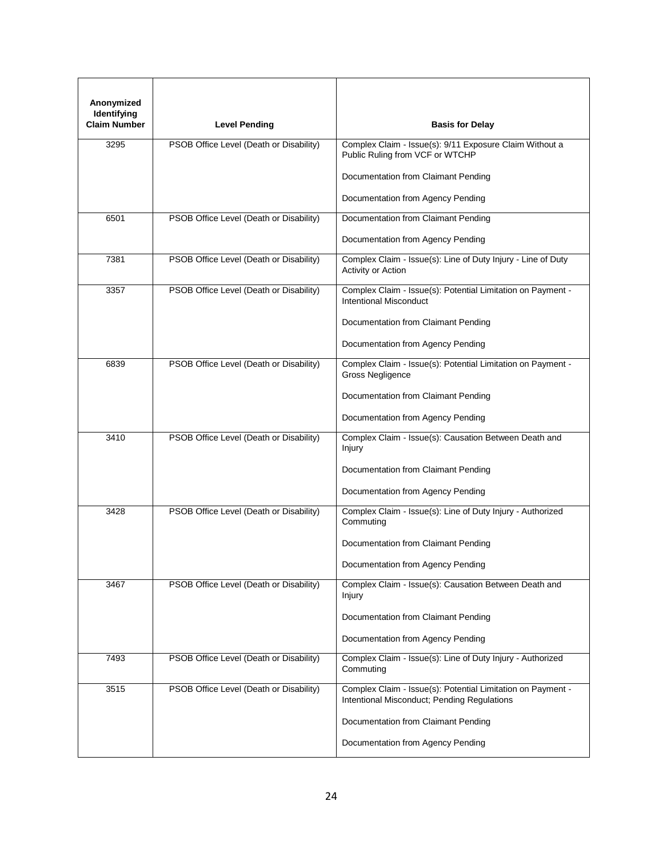| Anonymized<br>Identifying<br><b>Claim Number</b> | <b>Level Pending</b>                    | <b>Basis for Delay</b>                                                                                     |
|--------------------------------------------------|-----------------------------------------|------------------------------------------------------------------------------------------------------------|
|                                                  |                                         |                                                                                                            |
| 3295                                             | PSOB Office Level (Death or Disability) | Complex Claim - Issue(s): 9/11 Exposure Claim Without a<br>Public Ruling from VCF or WTCHP                 |
|                                                  |                                         | Documentation from Claimant Pending                                                                        |
|                                                  |                                         | Documentation from Agency Pending                                                                          |
| 6501                                             | PSOB Office Level (Death or Disability) | Documentation from Claimant Pending                                                                        |
|                                                  |                                         | Documentation from Agency Pending                                                                          |
| 7381                                             | PSOB Office Level (Death or Disability) | Complex Claim - Issue(s): Line of Duty Injury - Line of Duty<br>Activity or Action                         |
| 3357                                             | PSOB Office Level (Death or Disability) | Complex Claim - Issue(s): Potential Limitation on Payment -<br><b>Intentional Misconduct</b>               |
|                                                  |                                         | Documentation from Claimant Pending                                                                        |
|                                                  |                                         | Documentation from Agency Pending                                                                          |
| 6839                                             | PSOB Office Level (Death or Disability) | Complex Claim - Issue(s): Potential Limitation on Payment -<br>Gross Negligence                            |
|                                                  |                                         | Documentation from Claimant Pending                                                                        |
|                                                  |                                         | Documentation from Agency Pending                                                                          |
| 3410                                             | PSOB Office Level (Death or Disability) | Complex Claim - Issue(s): Causation Between Death and<br>Injury                                            |
|                                                  |                                         | Documentation from Claimant Pending                                                                        |
|                                                  |                                         | Documentation from Agency Pending                                                                          |
| 3428                                             | PSOB Office Level (Death or Disability) | Complex Claim - Issue(s): Line of Duty Injury - Authorized<br>Commuting                                    |
|                                                  |                                         | Documentation from Claimant Pending                                                                        |
|                                                  |                                         | Documentation from Agency Pending                                                                          |
| 3467                                             | PSOB Office Level (Death or Disability) | Complex Claim - Issue(s): Causation Between Death and<br>Injury                                            |
|                                                  |                                         | Documentation from Claimant Pending                                                                        |
|                                                  |                                         | Documentation from Agency Pending                                                                          |
| 7493                                             | PSOB Office Level (Death or Disability) | Complex Claim - Issue(s): Line of Duty Injury - Authorized<br>Commuting                                    |
| 3515                                             | PSOB Office Level (Death or Disability) | Complex Claim - Issue(s): Potential Limitation on Payment -<br>Intentional Misconduct; Pending Regulations |
|                                                  |                                         | Documentation from Claimant Pending                                                                        |
|                                                  |                                         | Documentation from Agency Pending                                                                          |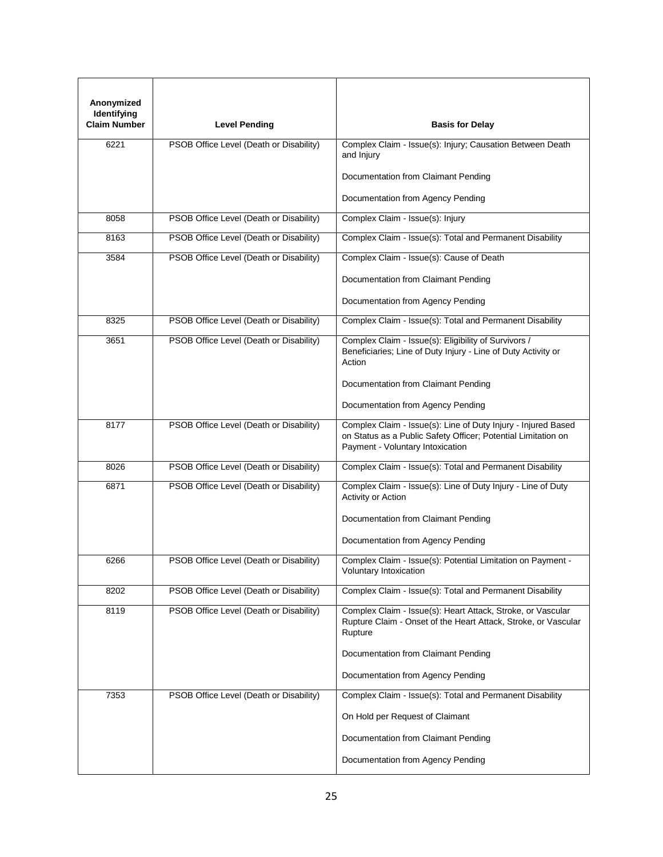| Anonymized<br>Identifying<br><b>Claim Number</b> | <b>Level Pending</b>                    | <b>Basis for Delay</b>                                                                                                                                             |
|--------------------------------------------------|-----------------------------------------|--------------------------------------------------------------------------------------------------------------------------------------------------------------------|
|                                                  |                                         |                                                                                                                                                                    |
| 6221                                             | PSOB Office Level (Death or Disability) | Complex Claim - Issue(s): Injury; Causation Between Death<br>and Injury                                                                                            |
|                                                  |                                         | Documentation from Claimant Pending                                                                                                                                |
|                                                  |                                         | Documentation from Agency Pending                                                                                                                                  |
| 8058                                             | PSOB Office Level (Death or Disability) | Complex Claim - Issue(s): Injury                                                                                                                                   |
| 8163                                             | PSOB Office Level (Death or Disability) | Complex Claim - Issue(s): Total and Permanent Disability                                                                                                           |
| 3584                                             | PSOB Office Level (Death or Disability) | Complex Claim - Issue(s): Cause of Death                                                                                                                           |
|                                                  |                                         | Documentation from Claimant Pending                                                                                                                                |
|                                                  |                                         | Documentation from Agency Pending                                                                                                                                  |
| 8325                                             | PSOB Office Level (Death or Disability) | Complex Claim - Issue(s): Total and Permanent Disability                                                                                                           |
| 3651                                             | PSOB Office Level (Death or Disability) | Complex Claim - Issue(s): Eligibility of Survivors /<br>Beneficiaries; Line of Duty Injury - Line of Duty Activity or<br>Action                                    |
|                                                  |                                         | Documentation from Claimant Pending                                                                                                                                |
|                                                  |                                         | Documentation from Agency Pending                                                                                                                                  |
| 8177                                             | PSOB Office Level (Death or Disability) | Complex Claim - Issue(s): Line of Duty Injury - Injured Based<br>on Status as a Public Safety Officer; Potential Limitation on<br>Payment - Voluntary Intoxication |
| 8026                                             | PSOB Office Level (Death or Disability) | Complex Claim - Issue(s): Total and Permanent Disability                                                                                                           |
| 6871                                             | PSOB Office Level (Death or Disability) | Complex Claim - Issue(s): Line of Duty Injury - Line of Duty<br>Activity or Action                                                                                 |
|                                                  |                                         | Documentation from Claimant Pending                                                                                                                                |
|                                                  |                                         | Documentation from Agency Pending                                                                                                                                  |
| 6266                                             | PSOB Office Level (Death or Disability) | Complex Claim - Issue(s): Potential Limitation on Payment -<br>Voluntary Intoxication                                                                              |
| 8202                                             | PSOB Office Level (Death or Disability) | Complex Claim - Issue(s): Total and Permanent Disability                                                                                                           |
| 8119                                             | PSOB Office Level (Death or Disability) | Complex Claim - Issue(s): Heart Attack, Stroke, or Vascular<br>Rupture Claim - Onset of the Heart Attack, Stroke, or Vascular<br>Rupture                           |
|                                                  |                                         | Documentation from Claimant Pending                                                                                                                                |
|                                                  |                                         | Documentation from Agency Pending                                                                                                                                  |
| 7353                                             | PSOB Office Level (Death or Disability) | Complex Claim - Issue(s): Total and Permanent Disability                                                                                                           |
|                                                  |                                         | On Hold per Request of Claimant                                                                                                                                    |
|                                                  |                                         | Documentation from Claimant Pending                                                                                                                                |
|                                                  |                                         | Documentation from Agency Pending                                                                                                                                  |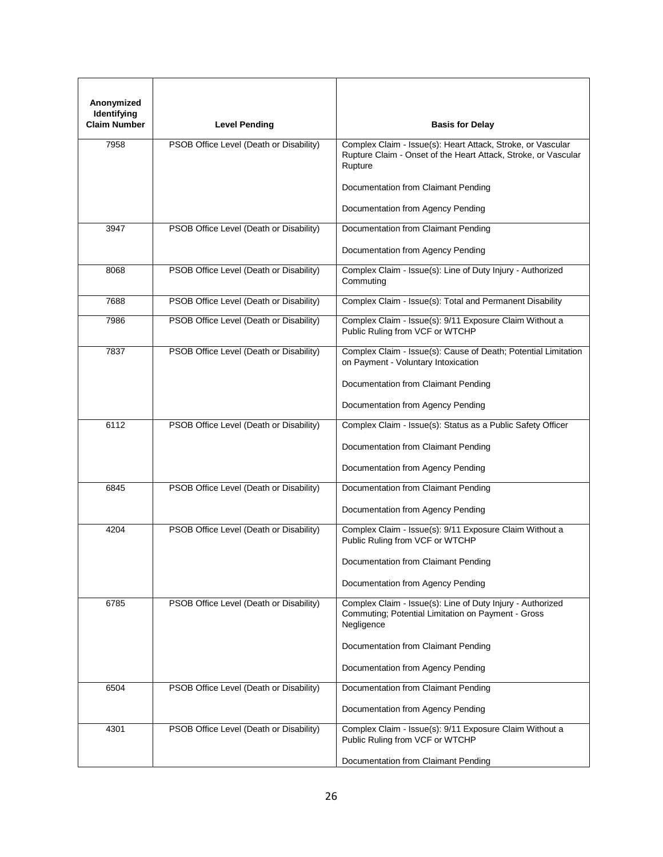| Anonymized<br>Identifying<br><b>Claim Number</b> | <b>Level Pending</b>                    | <b>Basis for Delay</b>                                                                                                                   |
|--------------------------------------------------|-----------------------------------------|------------------------------------------------------------------------------------------------------------------------------------------|
| 7958                                             | PSOB Office Level (Death or Disability) | Complex Claim - Issue(s): Heart Attack, Stroke, or Vascular<br>Rupture Claim - Onset of the Heart Attack, Stroke, or Vascular<br>Rupture |
|                                                  |                                         | Documentation from Claimant Pending                                                                                                      |
|                                                  |                                         | Documentation from Agency Pending                                                                                                        |
| 3947                                             | PSOB Office Level (Death or Disability) | Documentation from Claimant Pending<br>Documentation from Agency Pending                                                                 |
| 8068                                             | PSOB Office Level (Death or Disability) | Complex Claim - Issue(s): Line of Duty Injury - Authorized<br>Commuting                                                                  |
| 7688                                             | PSOB Office Level (Death or Disability) | Complex Claim - Issue(s): Total and Permanent Disability                                                                                 |
| 7986                                             | PSOB Office Level (Death or Disability) | Complex Claim - Issue(s): 9/11 Exposure Claim Without a<br>Public Ruling from VCF or WTCHP                                               |
| 7837                                             | PSOB Office Level (Death or Disability) | Complex Claim - Issue(s): Cause of Death; Potential Limitation<br>on Payment - Voluntary Intoxication                                    |
|                                                  |                                         | Documentation from Claimant Pending                                                                                                      |
|                                                  |                                         | Documentation from Agency Pending                                                                                                        |
| 6112                                             | PSOB Office Level (Death or Disability) | Complex Claim - Issue(s): Status as a Public Safety Officer                                                                              |
|                                                  |                                         | Documentation from Claimant Pending                                                                                                      |
|                                                  |                                         | Documentation from Agency Pending                                                                                                        |
| 6845                                             | PSOB Office Level (Death or Disability) | Documentation from Claimant Pending                                                                                                      |
|                                                  |                                         | Documentation from Agency Pending                                                                                                        |
| 4204                                             | PSOB Office Level (Death or Disability) | Complex Claim - Issue(s): 9/11 Exposure Claim Without a<br>Public Ruling from VCF or WTCHP                                               |
|                                                  |                                         | Documentation from Claimant Pending                                                                                                      |
|                                                  |                                         | Documentation from Agency Pending                                                                                                        |
| 6785                                             | PSOB Office Level (Death or Disability) | Complex Claim - Issue(s): Line of Duty Injury - Authorized<br>Commuting; Potential Limitation on Payment - Gross<br>Negligence           |
|                                                  |                                         | Documentation from Claimant Pending                                                                                                      |
|                                                  |                                         | Documentation from Agency Pending                                                                                                        |
| 6504                                             | PSOB Office Level (Death or Disability) | Documentation from Claimant Pending                                                                                                      |
|                                                  |                                         | Documentation from Agency Pending                                                                                                        |
| 4301                                             | PSOB Office Level (Death or Disability) | Complex Claim - Issue(s): 9/11 Exposure Claim Without a<br>Public Ruling from VCF or WTCHP                                               |
|                                                  |                                         | Documentation from Claimant Pending                                                                                                      |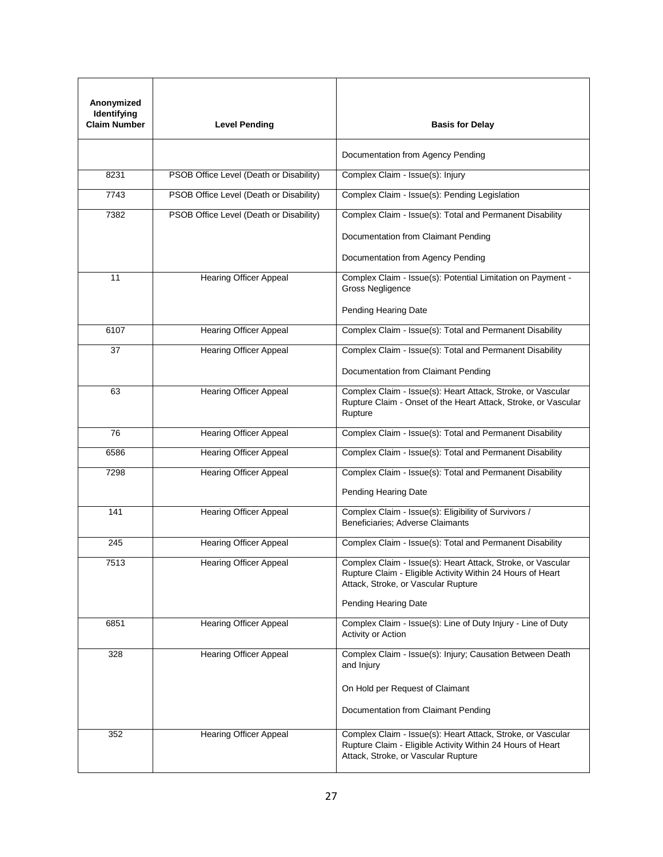| Anonymized<br>Identifying<br><b>Claim Number</b> | <b>Level Pending</b>                    | <b>Basis for Delay</b>                                                                                                                                           |
|--------------------------------------------------|-----------------------------------------|------------------------------------------------------------------------------------------------------------------------------------------------------------------|
|                                                  |                                         | Documentation from Agency Pending                                                                                                                                |
| 8231                                             | PSOB Office Level (Death or Disability) | Complex Claim - Issue(s): Injury                                                                                                                                 |
| 7743                                             | PSOB Office Level (Death or Disability) | Complex Claim - Issue(s): Pending Legislation                                                                                                                    |
| 7382                                             | PSOB Office Level (Death or Disability) | Complex Claim - Issue(s): Total and Permanent Disability                                                                                                         |
|                                                  |                                         | Documentation from Claimant Pending                                                                                                                              |
|                                                  |                                         | Documentation from Agency Pending                                                                                                                                |
| 11                                               | <b>Hearing Officer Appeal</b>           | Complex Claim - Issue(s): Potential Limitation on Payment -<br>Gross Negligence                                                                                  |
|                                                  |                                         | Pending Hearing Date                                                                                                                                             |
| 6107                                             | <b>Hearing Officer Appeal</b>           | Complex Claim - Issue(s): Total and Permanent Disability                                                                                                         |
| 37                                               | <b>Hearing Officer Appeal</b>           | Complex Claim - Issue(s): Total and Permanent Disability                                                                                                         |
|                                                  |                                         | Documentation from Claimant Pending                                                                                                                              |
| 63                                               | <b>Hearing Officer Appeal</b>           | Complex Claim - Issue(s): Heart Attack, Stroke, or Vascular<br>Rupture Claim - Onset of the Heart Attack, Stroke, or Vascular<br>Rupture                         |
| 76                                               | <b>Hearing Officer Appeal</b>           | Complex Claim - Issue(s): Total and Permanent Disability                                                                                                         |
| 6586                                             | <b>Hearing Officer Appeal</b>           | Complex Claim - Issue(s): Total and Permanent Disability                                                                                                         |
| 7298                                             | <b>Hearing Officer Appeal</b>           | Complex Claim - Issue(s): Total and Permanent Disability                                                                                                         |
|                                                  |                                         | Pending Hearing Date                                                                                                                                             |
| 141                                              | <b>Hearing Officer Appeal</b>           | Complex Claim - Issue(s): Eligibility of Survivors /<br>Beneficiaries: Adverse Claimants                                                                         |
| 245                                              | <b>Hearing Officer Appeal</b>           | Complex Claim - Issue(s): Total and Permanent Disability                                                                                                         |
| 7513                                             | <b>Hearing Officer Appeal</b>           | Complex Claim - Issue(s): Heart Attack, Stroke, or Vascular<br>Rupture Claim - Eligible Activity Within 24 Hours of Heart<br>Attack, Stroke, or Vascular Rupture |
|                                                  |                                         | Pending Hearing Date                                                                                                                                             |
| 6851                                             | <b>Hearing Officer Appeal</b>           | Complex Claim - Issue(s): Line of Duty Injury - Line of Duty<br>Activity or Action                                                                               |
| 328                                              | Hearing Officer Appeal                  | Complex Claim - Issue(s): Injury; Causation Between Death<br>and Injury                                                                                          |
|                                                  |                                         | On Hold per Request of Claimant                                                                                                                                  |
|                                                  |                                         | Documentation from Claimant Pending                                                                                                                              |
| 352                                              | <b>Hearing Officer Appeal</b>           | Complex Claim - Issue(s): Heart Attack, Stroke, or Vascular<br>Rupture Claim - Eligible Activity Within 24 Hours of Heart<br>Attack, Stroke, or Vascular Rupture |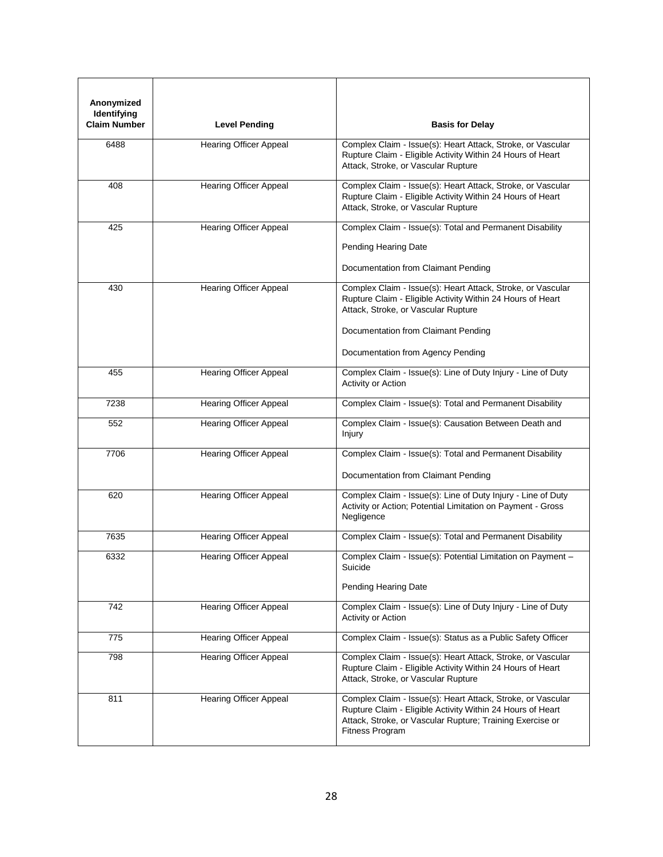| Anonymized<br>Identifying<br><b>Claim Number</b> | <b>Level Pending</b>          | <b>Basis for Delay</b>                                                                                                                                                                                                                       |
|--------------------------------------------------|-------------------------------|----------------------------------------------------------------------------------------------------------------------------------------------------------------------------------------------------------------------------------------------|
| 6488                                             | <b>Hearing Officer Appeal</b> | Complex Claim - Issue(s): Heart Attack, Stroke, or Vascular<br>Rupture Claim - Eligible Activity Within 24 Hours of Heart<br>Attack, Stroke, or Vascular Rupture                                                                             |
| 408                                              | <b>Hearing Officer Appeal</b> | Complex Claim - Issue(s): Heart Attack, Stroke, or Vascular<br>Rupture Claim - Eligible Activity Within 24 Hours of Heart<br>Attack, Stroke, or Vascular Rupture                                                                             |
| 425                                              | <b>Hearing Officer Appeal</b> | Complex Claim - Issue(s): Total and Permanent Disability<br>Pending Hearing Date<br>Documentation from Claimant Pending                                                                                                                      |
| 430                                              | <b>Hearing Officer Appeal</b> | Complex Claim - Issue(s): Heart Attack, Stroke, or Vascular<br>Rupture Claim - Eligible Activity Within 24 Hours of Heart<br>Attack, Stroke, or Vascular Rupture<br>Documentation from Claimant Pending<br>Documentation from Agency Pending |
| 455                                              | <b>Hearing Officer Appeal</b> | Complex Claim - Issue(s): Line of Duty Injury - Line of Duty<br>Activity or Action                                                                                                                                                           |
| 7238                                             | <b>Hearing Officer Appeal</b> | Complex Claim - Issue(s): Total and Permanent Disability                                                                                                                                                                                     |
| 552                                              | <b>Hearing Officer Appeal</b> | Complex Claim - Issue(s): Causation Between Death and<br>Injury                                                                                                                                                                              |
| 7706                                             | <b>Hearing Officer Appeal</b> | Complex Claim - Issue(s): Total and Permanent Disability<br>Documentation from Claimant Pending                                                                                                                                              |
| 620                                              | <b>Hearing Officer Appeal</b> | Complex Claim - Issue(s): Line of Duty Injury - Line of Duty<br>Activity or Action; Potential Limitation on Payment - Gross<br>Negligence                                                                                                    |
| 7635                                             | <b>Hearing Officer Appeal</b> | Complex Claim - Issue(s): Total and Permanent Disability                                                                                                                                                                                     |
| 6332                                             | <b>Hearing Officer Appeal</b> | Complex Claim - Issue(s): Potential Limitation on Payment -<br>Suicide<br>Pending Hearing Date                                                                                                                                               |
| 742                                              | <b>Hearing Officer Appeal</b> | Complex Claim - Issue(s): Line of Duty Injury - Line of Duty<br>Activity or Action                                                                                                                                                           |
| 775                                              | <b>Hearing Officer Appeal</b> | Complex Claim - Issue(s): Status as a Public Safety Officer                                                                                                                                                                                  |
| 798                                              | <b>Hearing Officer Appeal</b> | Complex Claim - Issue(s): Heart Attack, Stroke, or Vascular<br>Rupture Claim - Eligible Activity Within 24 Hours of Heart<br>Attack, Stroke, or Vascular Rupture                                                                             |
| 811                                              | <b>Hearing Officer Appeal</b> | Complex Claim - Issue(s): Heart Attack, Stroke, or Vascular<br>Rupture Claim - Eligible Activity Within 24 Hours of Heart<br>Attack, Stroke, or Vascular Rupture; Training Exercise or<br>Fitness Program                                    |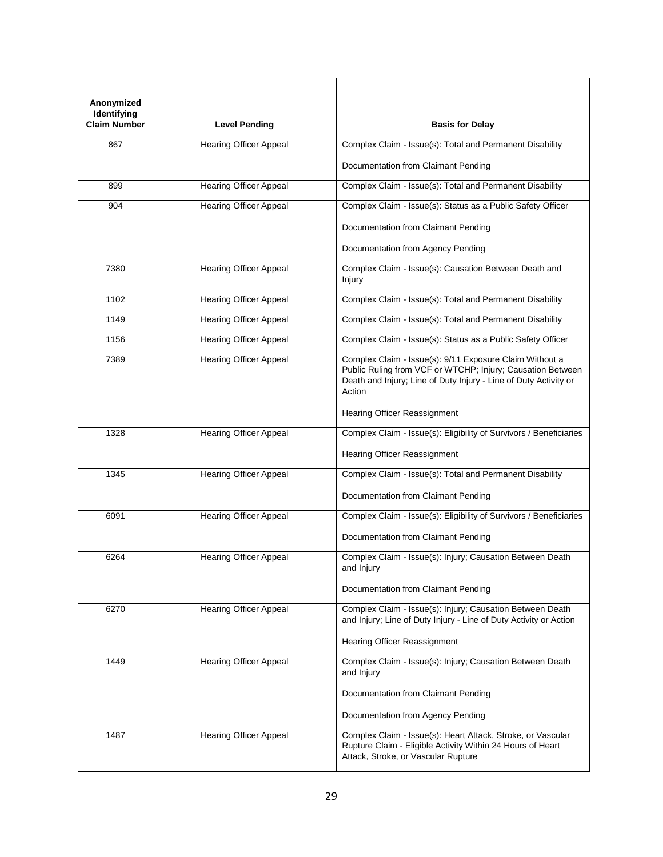| Anonymized<br>Identifying<br><b>Claim Number</b> | <b>Level Pending</b>          | <b>Basis for Delay</b>                                                                                                                                                                              |
|--------------------------------------------------|-------------------------------|-----------------------------------------------------------------------------------------------------------------------------------------------------------------------------------------------------|
| 867                                              | <b>Hearing Officer Appeal</b> | Complex Claim - Issue(s): Total and Permanent Disability                                                                                                                                            |
|                                                  |                               | Documentation from Claimant Pending                                                                                                                                                                 |
| 899                                              | <b>Hearing Officer Appeal</b> | Complex Claim - Issue(s): Total and Permanent Disability                                                                                                                                            |
| 904                                              | <b>Hearing Officer Appeal</b> | Complex Claim - Issue(s): Status as a Public Safety Officer                                                                                                                                         |
|                                                  |                               | Documentation from Claimant Pending                                                                                                                                                                 |
|                                                  |                               | Documentation from Agency Pending                                                                                                                                                                   |
| 7380                                             | <b>Hearing Officer Appeal</b> | Complex Claim - Issue(s): Causation Between Death and<br>Injury                                                                                                                                     |
| 1102                                             | <b>Hearing Officer Appeal</b> | Complex Claim - Issue(s): Total and Permanent Disability                                                                                                                                            |
| 1149                                             | <b>Hearing Officer Appeal</b> | Complex Claim - Issue(s): Total and Permanent Disability                                                                                                                                            |
| 1156                                             | <b>Hearing Officer Appeal</b> | Complex Claim - Issue(s): Status as a Public Safety Officer                                                                                                                                         |
| 7389                                             | <b>Hearing Officer Appeal</b> | Complex Claim - Issue(s): 9/11 Exposure Claim Without a<br>Public Ruling from VCF or WTCHP; Injury; Causation Between<br>Death and Injury; Line of Duty Injury - Line of Duty Activity or<br>Action |
|                                                  |                               | Hearing Officer Reassignment                                                                                                                                                                        |
| 1328                                             | <b>Hearing Officer Appeal</b> | Complex Claim - Issue(s): Eligibility of Survivors / Beneficiaries                                                                                                                                  |
|                                                  |                               | Hearing Officer Reassignment                                                                                                                                                                        |
| 1345                                             | <b>Hearing Officer Appeal</b> | Complex Claim - Issue(s): Total and Permanent Disability                                                                                                                                            |
|                                                  |                               | Documentation from Claimant Pending                                                                                                                                                                 |
| 6091                                             | Hearing Officer Appeal        | Complex Claim - Issue(s): Eligibility of Survivors / Beneficiaries                                                                                                                                  |
|                                                  |                               | Documentation from Claimant Pending                                                                                                                                                                 |
| 6264                                             | <b>Hearing Officer Appeal</b> | Complex Claim - Issue(s): Injury; Causation Between Death<br>and Injury                                                                                                                             |
|                                                  |                               | Documentation from Claimant Pending                                                                                                                                                                 |
| 6270                                             | <b>Hearing Officer Appeal</b> | Complex Claim - Issue(s): Injury; Causation Between Death<br>and Injury; Line of Duty Injury - Line of Duty Activity or Action                                                                      |
|                                                  |                               | Hearing Officer Reassignment                                                                                                                                                                        |
| 1449                                             | <b>Hearing Officer Appeal</b> | Complex Claim - Issue(s): Injury; Causation Between Death<br>and Injury                                                                                                                             |
|                                                  |                               | Documentation from Claimant Pending                                                                                                                                                                 |
|                                                  |                               | Documentation from Agency Pending                                                                                                                                                                   |
| 1487                                             | <b>Hearing Officer Appeal</b> | Complex Claim - Issue(s): Heart Attack, Stroke, or Vascular<br>Rupture Claim - Eligible Activity Within 24 Hours of Heart<br>Attack, Stroke, or Vascular Rupture                                    |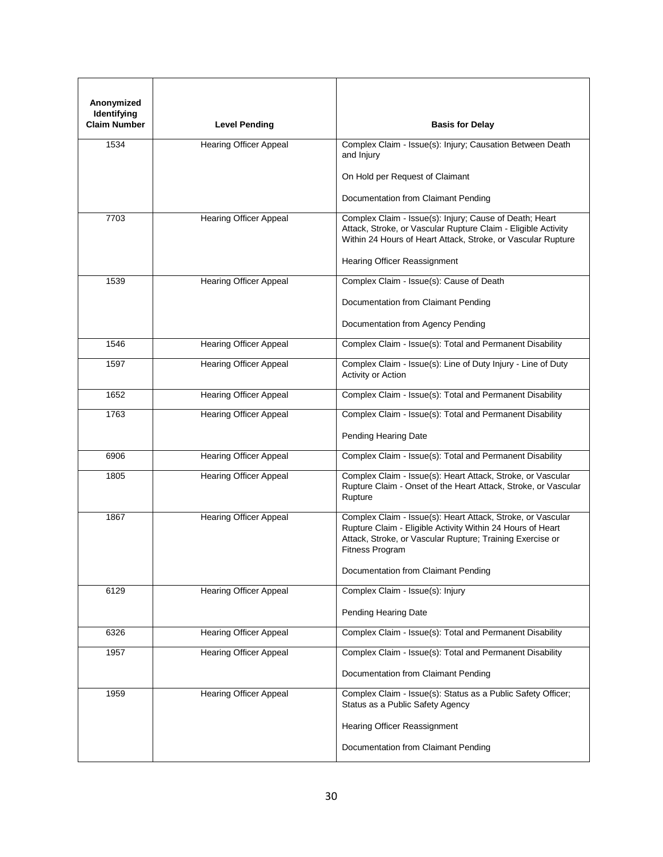| Anonymized<br>Identifying<br><b>Claim Number</b> | <b>Level Pending</b>          | <b>Basis for Delay</b>                                                                                                                                                                                    |
|--------------------------------------------------|-------------------------------|-----------------------------------------------------------------------------------------------------------------------------------------------------------------------------------------------------------|
|                                                  |                               |                                                                                                                                                                                                           |
| 1534                                             | <b>Hearing Officer Appeal</b> | Complex Claim - Issue(s): Injury; Causation Between Death<br>and Injury                                                                                                                                   |
|                                                  |                               | On Hold per Request of Claimant                                                                                                                                                                           |
|                                                  |                               | Documentation from Claimant Pending                                                                                                                                                                       |
| 7703                                             | <b>Hearing Officer Appeal</b> | Complex Claim - Issue(s): Injury; Cause of Death; Heart<br>Attack, Stroke, or Vascular Rupture Claim - Eligible Activity<br>Within 24 Hours of Heart Attack, Stroke, or Vascular Rupture                  |
|                                                  |                               | <b>Hearing Officer Reassignment</b>                                                                                                                                                                       |
| 1539                                             | <b>Hearing Officer Appeal</b> | Complex Claim - Issue(s): Cause of Death                                                                                                                                                                  |
|                                                  |                               | Documentation from Claimant Pending                                                                                                                                                                       |
|                                                  |                               | Documentation from Agency Pending                                                                                                                                                                         |
| 1546                                             | <b>Hearing Officer Appeal</b> | Complex Claim - Issue(s): Total and Permanent Disability                                                                                                                                                  |
| 1597                                             | <b>Hearing Officer Appeal</b> | Complex Claim - Issue(s): Line of Duty Injury - Line of Duty<br>Activity or Action                                                                                                                        |
| 1652                                             | <b>Hearing Officer Appeal</b> | Complex Claim - Issue(s): Total and Permanent Disability                                                                                                                                                  |
| 1763                                             | <b>Hearing Officer Appeal</b> | Complex Claim - Issue(s): Total and Permanent Disability                                                                                                                                                  |
|                                                  |                               | Pending Hearing Date                                                                                                                                                                                      |
| 6906                                             | <b>Hearing Officer Appeal</b> | Complex Claim - Issue(s): Total and Permanent Disability                                                                                                                                                  |
| 1805                                             | <b>Hearing Officer Appeal</b> | Complex Claim - Issue(s): Heart Attack, Stroke, or Vascular<br>Rupture Claim - Onset of the Heart Attack, Stroke, or Vascular<br>Rupture                                                                  |
| 1867                                             | <b>Hearing Officer Appeal</b> | Complex Claim - Issue(s): Heart Attack, Stroke, or Vascular<br>Rupture Claim - Eligible Activity Within 24 Hours of Heart<br>Attack, Stroke, or Vascular Rupture; Training Exercise or<br>Fitness Program |
|                                                  |                               | Documentation from Claimant Pending                                                                                                                                                                       |
| 6129                                             | Hearing Officer Appeal        | Complex Claim - Issue(s): Injury                                                                                                                                                                          |
|                                                  |                               | Pending Hearing Date                                                                                                                                                                                      |
| 6326                                             | <b>Hearing Officer Appeal</b> | Complex Claim - Issue(s): Total and Permanent Disability                                                                                                                                                  |
| 1957                                             | Hearing Officer Appeal        | Complex Claim - Issue(s): Total and Permanent Disability                                                                                                                                                  |
|                                                  |                               | Documentation from Claimant Pending                                                                                                                                                                       |
| 1959                                             | <b>Hearing Officer Appeal</b> | Complex Claim - Issue(s): Status as a Public Safety Officer;<br>Status as a Public Safety Agency                                                                                                          |
|                                                  |                               | Hearing Officer Reassignment                                                                                                                                                                              |
|                                                  |                               | Documentation from Claimant Pending                                                                                                                                                                       |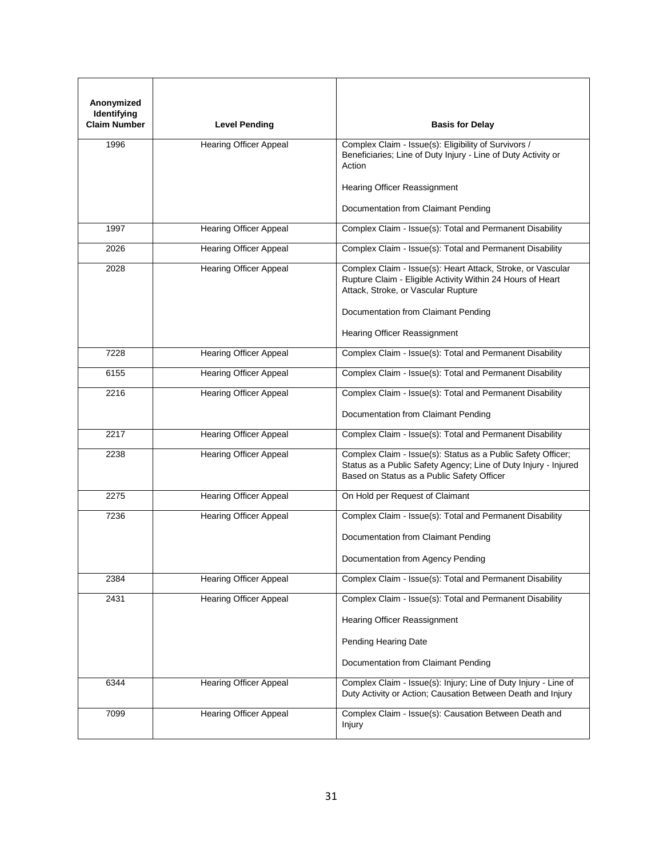| Anonymized<br>Identifying<br><b>Claim Number</b> | <b>Level Pending</b>          | <b>Basis for Delay</b>                                                                                                                                                        |
|--------------------------------------------------|-------------------------------|-------------------------------------------------------------------------------------------------------------------------------------------------------------------------------|
| 1996                                             | <b>Hearing Officer Appeal</b> | Complex Claim - Issue(s): Eligibility of Survivors /<br>Beneficiaries; Line of Duty Injury - Line of Duty Activity or<br>Action                                               |
|                                                  |                               | Hearing Officer Reassignment                                                                                                                                                  |
|                                                  |                               | Documentation from Claimant Pending                                                                                                                                           |
| 1997                                             | Hearing Officer Appeal        | Complex Claim - Issue(s): Total and Permanent Disability                                                                                                                      |
| 2026                                             | <b>Hearing Officer Appeal</b> | Complex Claim - Issue(s): Total and Permanent Disability                                                                                                                      |
| 2028                                             | <b>Hearing Officer Appeal</b> | Complex Claim - Issue(s): Heart Attack, Stroke, or Vascular<br>Rupture Claim - Eligible Activity Within 24 Hours of Heart<br>Attack, Stroke, or Vascular Rupture              |
|                                                  |                               | Documentation from Claimant Pending                                                                                                                                           |
|                                                  |                               | Hearing Officer Reassignment                                                                                                                                                  |
| 7228                                             | <b>Hearing Officer Appeal</b> | Complex Claim - Issue(s): Total and Permanent Disability                                                                                                                      |
| 6155                                             | <b>Hearing Officer Appeal</b> | Complex Claim - Issue(s): Total and Permanent Disability                                                                                                                      |
| 2216                                             | <b>Hearing Officer Appeal</b> | Complex Claim - Issue(s): Total and Permanent Disability                                                                                                                      |
|                                                  |                               | Documentation from Claimant Pending                                                                                                                                           |
| 2217                                             | <b>Hearing Officer Appeal</b> | Complex Claim - Issue(s): Total and Permanent Disability                                                                                                                      |
| 2238                                             | <b>Hearing Officer Appeal</b> | Complex Claim - Issue(s): Status as a Public Safety Officer;<br>Status as a Public Safety Agency; Line of Duty Injury - Injured<br>Based on Status as a Public Safety Officer |
| 2275                                             | <b>Hearing Officer Appeal</b> | On Hold per Request of Claimant                                                                                                                                               |
| 7236                                             | <b>Hearing Officer Appeal</b> | Complex Claim - Issue(s): Total and Permanent Disability                                                                                                                      |
|                                                  |                               | Documentation from Claimant Pending                                                                                                                                           |
|                                                  |                               | Documentation from Agency Pending                                                                                                                                             |
| 2384                                             | <b>Hearing Officer Appeal</b> | Complex Claim - Issue(s): Total and Permanent Disability                                                                                                                      |
| 2431                                             | <b>Hearing Officer Appeal</b> | Complex Claim - Issue(s): Total and Permanent Disability                                                                                                                      |
|                                                  |                               | Hearing Officer Reassignment                                                                                                                                                  |
|                                                  |                               | Pending Hearing Date                                                                                                                                                          |
|                                                  |                               | Documentation from Claimant Pending                                                                                                                                           |
| 6344                                             | <b>Hearing Officer Appeal</b> | Complex Claim - Issue(s): Injury; Line of Duty Injury - Line of<br>Duty Activity or Action; Causation Between Death and Injury                                                |
| 7099                                             | <b>Hearing Officer Appeal</b> | Complex Claim - Issue(s): Causation Between Death and<br>Injury                                                                                                               |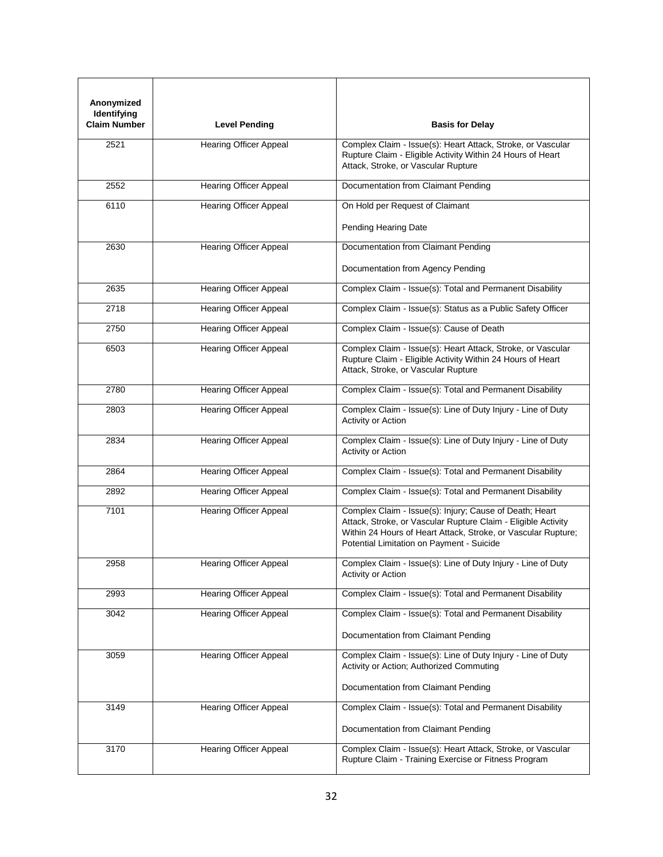| Anonymized<br>Identifying<br><b>Claim Number</b> | <b>Level Pending</b>          | <b>Basis for Delay</b>                                                                                                                                                                                                                 |
|--------------------------------------------------|-------------------------------|----------------------------------------------------------------------------------------------------------------------------------------------------------------------------------------------------------------------------------------|
| 2521                                             | <b>Hearing Officer Appeal</b> | Complex Claim - Issue(s): Heart Attack, Stroke, or Vascular<br>Rupture Claim - Eligible Activity Within 24 Hours of Heart<br>Attack, Stroke, or Vascular Rupture                                                                       |
| 2552                                             | <b>Hearing Officer Appeal</b> | Documentation from Claimant Pending                                                                                                                                                                                                    |
| 6110                                             | <b>Hearing Officer Appeal</b> | On Hold per Request of Claimant<br>Pending Hearing Date                                                                                                                                                                                |
| 2630                                             | <b>Hearing Officer Appeal</b> | Documentation from Claimant Pending                                                                                                                                                                                                    |
|                                                  |                               | Documentation from Agency Pending                                                                                                                                                                                                      |
| 2635                                             | <b>Hearing Officer Appeal</b> | Complex Claim - Issue(s): Total and Permanent Disability                                                                                                                                                                               |
| 2718                                             | <b>Hearing Officer Appeal</b> | Complex Claim - Issue(s): Status as a Public Safety Officer                                                                                                                                                                            |
| 2750                                             | Hearing Officer Appeal        | Complex Claim - Issue(s): Cause of Death                                                                                                                                                                                               |
| 6503                                             | <b>Hearing Officer Appeal</b> | Complex Claim - Issue(s): Heart Attack, Stroke, or Vascular<br>Rupture Claim - Eligible Activity Within 24 Hours of Heart<br>Attack, Stroke, or Vascular Rupture                                                                       |
| 2780                                             | Hearing Officer Appeal        | Complex Claim - Issue(s): Total and Permanent Disability                                                                                                                                                                               |
| 2803                                             | <b>Hearing Officer Appeal</b> | Complex Claim - Issue(s): Line of Duty Injury - Line of Duty<br>Activity or Action                                                                                                                                                     |
| 2834                                             | <b>Hearing Officer Appeal</b> | Complex Claim - Issue(s): Line of Duty Injury - Line of Duty<br>Activity or Action                                                                                                                                                     |
| 2864                                             | <b>Hearing Officer Appeal</b> | Complex Claim - Issue(s): Total and Permanent Disability                                                                                                                                                                               |
| 2892                                             | <b>Hearing Officer Appeal</b> | Complex Claim - Issue(s): Total and Permanent Disability                                                                                                                                                                               |
| 7101                                             | Hearing Officer Appeal        | Complex Claim - Issue(s): Injury; Cause of Death; Heart<br>Attack, Stroke, or Vascular Rupture Claim - Eligible Activity<br>Within 24 Hours of Heart Attack, Stroke, or Vascular Rupture;<br>Potential Limitation on Payment - Suicide |
| 2958                                             | Hearing Officer Appeal        | Complex Claim - Issue(s): Line of Duty Injury - Line of Duty<br>Activity or Action                                                                                                                                                     |
| 2993                                             | <b>Hearing Officer Appeal</b> | Complex Claim - Issue(s): Total and Permanent Disability                                                                                                                                                                               |
| 3042                                             | <b>Hearing Officer Appeal</b> | Complex Claim - Issue(s): Total and Permanent Disability                                                                                                                                                                               |
|                                                  |                               | Documentation from Claimant Pending                                                                                                                                                                                                    |
| 3059                                             | <b>Hearing Officer Appeal</b> | Complex Claim - Issue(s): Line of Duty Injury - Line of Duty<br>Activity or Action; Authorized Commuting<br>Documentation from Claimant Pending                                                                                        |
| 3149                                             | <b>Hearing Officer Appeal</b> | Complex Claim - Issue(s): Total and Permanent Disability<br>Documentation from Claimant Pending                                                                                                                                        |
| 3170                                             | <b>Hearing Officer Appeal</b> | Complex Claim - Issue(s): Heart Attack, Stroke, or Vascular<br>Rupture Claim - Training Exercise or Fitness Program                                                                                                                    |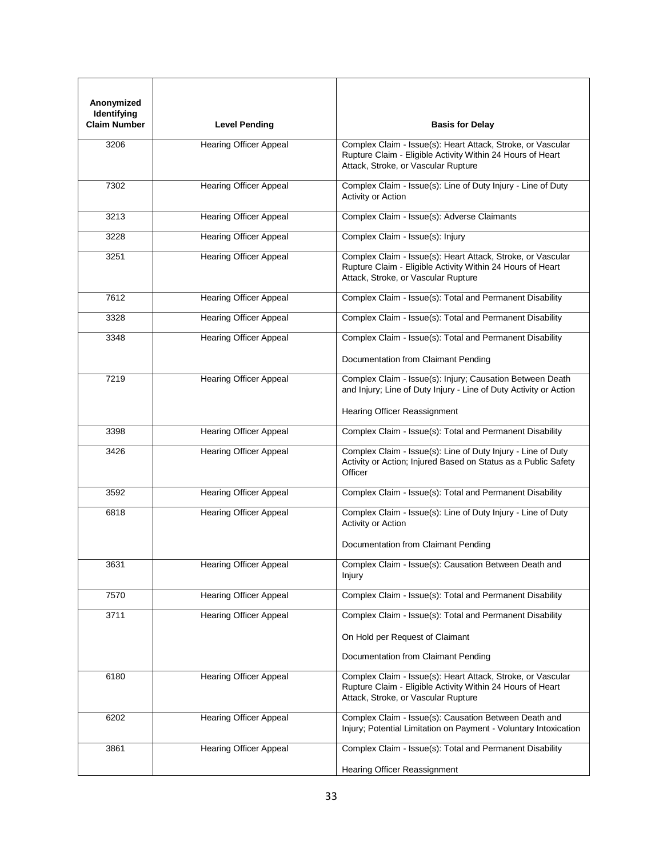| Anonymized<br>Identifying<br><b>Claim Number</b> | <b>Level Pending</b>          | <b>Basis for Delay</b>                                                                                                                                           |
|--------------------------------------------------|-------------------------------|------------------------------------------------------------------------------------------------------------------------------------------------------------------|
| 3206                                             | <b>Hearing Officer Appeal</b> | Complex Claim - Issue(s): Heart Attack, Stroke, or Vascular<br>Rupture Claim - Eligible Activity Within 24 Hours of Heart<br>Attack, Stroke, or Vascular Rupture |
| 7302                                             | <b>Hearing Officer Appeal</b> | Complex Claim - Issue(s): Line of Duty Injury - Line of Duty<br>Activity or Action                                                                               |
| 3213                                             | <b>Hearing Officer Appeal</b> | Complex Claim - Issue(s): Adverse Claimants                                                                                                                      |
| 3228                                             | <b>Hearing Officer Appeal</b> | Complex Claim - Issue(s): Injury                                                                                                                                 |
| 3251                                             | <b>Hearing Officer Appeal</b> | Complex Claim - Issue(s): Heart Attack, Stroke, or Vascular<br>Rupture Claim - Eligible Activity Within 24 Hours of Heart<br>Attack, Stroke, or Vascular Rupture |
| 7612                                             | <b>Hearing Officer Appeal</b> | Complex Claim - Issue(s): Total and Permanent Disability                                                                                                         |
| 3328                                             | <b>Hearing Officer Appeal</b> | Complex Claim - Issue(s): Total and Permanent Disability                                                                                                         |
| 3348                                             | <b>Hearing Officer Appeal</b> | Complex Claim - Issue(s): Total and Permanent Disability                                                                                                         |
|                                                  |                               | Documentation from Claimant Pending                                                                                                                              |
| 7219                                             | <b>Hearing Officer Appeal</b> | Complex Claim - Issue(s): Injury; Causation Between Death<br>and Injury; Line of Duty Injury - Line of Duty Activity or Action                                   |
|                                                  |                               | Hearing Officer Reassignment                                                                                                                                     |
| 3398                                             | <b>Hearing Officer Appeal</b> | Complex Claim - Issue(s): Total and Permanent Disability                                                                                                         |
| 3426                                             | <b>Hearing Officer Appeal</b> | Complex Claim - Issue(s): Line of Duty Injury - Line of Duty<br>Activity or Action; Injured Based on Status as a Public Safety<br>Officer                        |
| 3592                                             | <b>Hearing Officer Appeal</b> | Complex Claim - Issue(s): Total and Permanent Disability                                                                                                         |
| 6818                                             | <b>Hearing Officer Appeal</b> | Complex Claim - Issue(s): Line of Duty Injury - Line of Duty<br>Activity or Action                                                                               |
|                                                  |                               | Documentation from Claimant Pending                                                                                                                              |
| 3631                                             | <b>Hearing Officer Appeal</b> | Complex Claim - Issue(s): Causation Between Death and<br>Injury                                                                                                  |
| 7570                                             | <b>Hearing Officer Appeal</b> | Complex Claim - Issue(s): Total and Permanent Disability                                                                                                         |
| 3711                                             | <b>Hearing Officer Appeal</b> | Complex Claim - Issue(s): Total and Permanent Disability                                                                                                         |
|                                                  |                               | On Hold per Request of Claimant                                                                                                                                  |
|                                                  |                               | Documentation from Claimant Pending                                                                                                                              |
| 6180                                             | <b>Hearing Officer Appeal</b> | Complex Claim - Issue(s): Heart Attack, Stroke, or Vascular<br>Rupture Claim - Eligible Activity Within 24 Hours of Heart<br>Attack, Stroke, or Vascular Rupture |
| 6202                                             | <b>Hearing Officer Appeal</b> | Complex Claim - Issue(s): Causation Between Death and<br>Injury; Potential Limitation on Payment - Voluntary Intoxication                                        |
| 3861                                             | <b>Hearing Officer Appeal</b> | Complex Claim - Issue(s): Total and Permanent Disability                                                                                                         |
|                                                  |                               | Hearing Officer Reassignment                                                                                                                                     |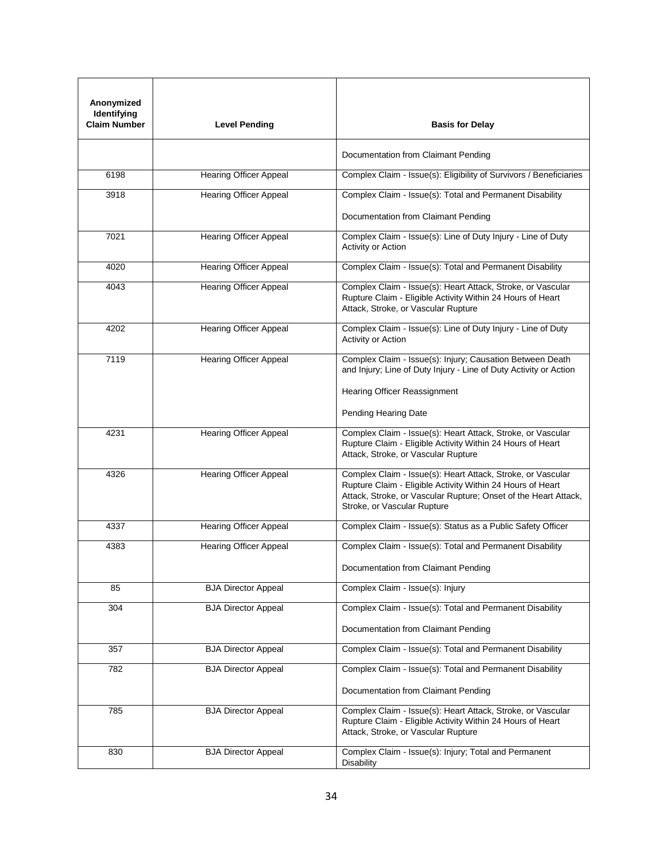| Anonymized<br>Identifying<br><b>Claim Number</b> | <b>Level Pending</b>          | <b>Basis for Delay</b>                                                                                                                                                                                                      |
|--------------------------------------------------|-------------------------------|-----------------------------------------------------------------------------------------------------------------------------------------------------------------------------------------------------------------------------|
|                                                  |                               | Documentation from Claimant Pending                                                                                                                                                                                         |
| 6198                                             | <b>Hearing Officer Appeal</b> | Complex Claim - Issue(s): Eligibility of Survivors / Beneficiaries                                                                                                                                                          |
| 3918                                             | <b>Hearing Officer Appeal</b> | Complex Claim - Issue(s): Total and Permanent Disability                                                                                                                                                                    |
|                                                  |                               | Documentation from Claimant Pending                                                                                                                                                                                         |
| 7021                                             | <b>Hearing Officer Appeal</b> | Complex Claim - Issue(s): Line of Duty Injury - Line of Duty<br>Activity or Action                                                                                                                                          |
| 4020                                             | <b>Hearing Officer Appeal</b> | Complex Claim - Issue(s): Total and Permanent Disability                                                                                                                                                                    |
| 4043                                             | Hearing Officer Appeal        | Complex Claim - Issue(s): Heart Attack, Stroke, or Vascular<br>Rupture Claim - Eligible Activity Within 24 Hours of Heart<br>Attack, Stroke, or Vascular Rupture                                                            |
| 4202                                             | <b>Hearing Officer Appeal</b> | Complex Claim - Issue(s): Line of Duty Injury - Line of Duty<br>Activity or Action                                                                                                                                          |
| 7119                                             | <b>Hearing Officer Appeal</b> | Complex Claim - Issue(s): Injury; Causation Between Death<br>and Injury; Line of Duty Injury - Line of Duty Activity or Action                                                                                              |
|                                                  |                               | Hearing Officer Reassignment                                                                                                                                                                                                |
|                                                  |                               | Pending Hearing Date                                                                                                                                                                                                        |
| 4231                                             | <b>Hearing Officer Appeal</b> | Complex Claim - Issue(s): Heart Attack, Stroke, or Vascular<br>Rupture Claim - Eligible Activity Within 24 Hours of Heart<br>Attack, Stroke, or Vascular Rupture                                                            |
| 4326                                             | <b>Hearing Officer Appeal</b> | Complex Claim - Issue(s): Heart Attack, Stroke, or Vascular<br>Rupture Claim - Eligible Activity Within 24 Hours of Heart<br>Attack, Stroke, or Vascular Rupture; Onset of the Heart Attack,<br>Stroke, or Vascular Rupture |
| 4337                                             | <b>Hearing Officer Appeal</b> | Complex Claim - Issue(s): Status as a Public Safety Officer                                                                                                                                                                 |
| 4383                                             | <b>Hearing Officer Appeal</b> | Complex Claim - Issue(s): Total and Permanent Disability                                                                                                                                                                    |
|                                                  |                               | Documentation from Claimant Pending                                                                                                                                                                                         |
| 85                                               | <b>BJA Director Appeal</b>    | Complex Claim - Issue(s): Injury                                                                                                                                                                                            |
| 304                                              | <b>BJA Director Appeal</b>    | Complex Claim - Issue(s): Total and Permanent Disability                                                                                                                                                                    |
|                                                  |                               | Documentation from Claimant Pending                                                                                                                                                                                         |
| 357                                              | <b>BJA Director Appeal</b>    | Complex Claim - Issue(s): Total and Permanent Disability                                                                                                                                                                    |
| 782                                              | <b>BJA Director Appeal</b>    | Complex Claim - Issue(s): Total and Permanent Disability                                                                                                                                                                    |
|                                                  |                               | Documentation from Claimant Pending                                                                                                                                                                                         |
| 785                                              | <b>BJA Director Appeal</b>    | Complex Claim - Issue(s): Heart Attack, Stroke, or Vascular<br>Rupture Claim - Eligible Activity Within 24 Hours of Heart<br>Attack, Stroke, or Vascular Rupture                                                            |
| 830                                              | <b>BJA Director Appeal</b>    | Complex Claim - Issue(s): Injury; Total and Permanent<br><b>Disability</b>                                                                                                                                                  |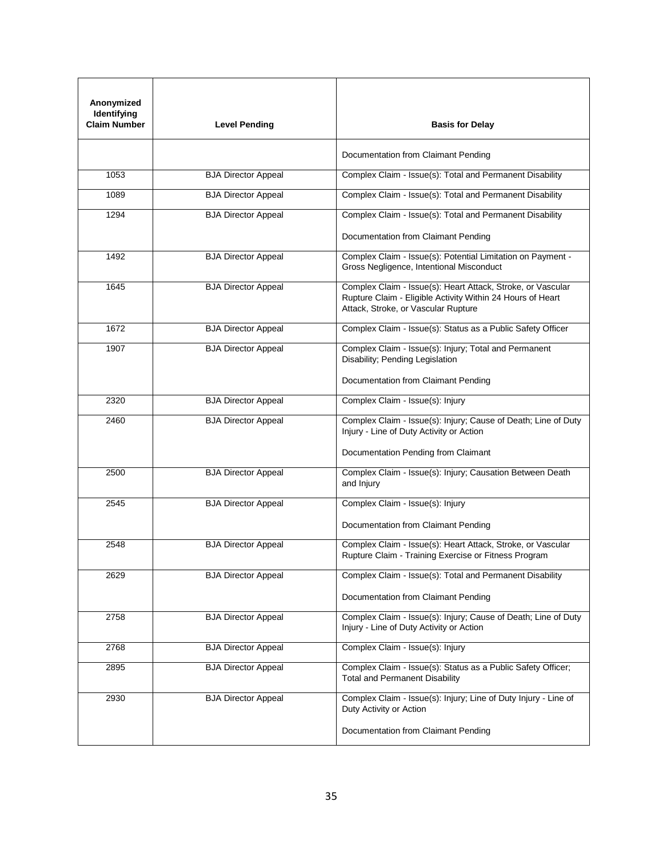| Anonymized<br>Identifying<br><b>Claim Number</b> | <b>Level Pending</b>       | <b>Basis for Delay</b>                                                                                                                                           |
|--------------------------------------------------|----------------------------|------------------------------------------------------------------------------------------------------------------------------------------------------------------|
|                                                  |                            | Documentation from Claimant Pending                                                                                                                              |
| 1053                                             | <b>BJA Director Appeal</b> | Complex Claim - Issue(s): Total and Permanent Disability                                                                                                         |
| 1089                                             | <b>BJA Director Appeal</b> | Complex Claim - Issue(s): Total and Permanent Disability                                                                                                         |
| 1294                                             | <b>BJA Director Appeal</b> | Complex Claim - Issue(s): Total and Permanent Disability                                                                                                         |
|                                                  |                            | Documentation from Claimant Pending                                                                                                                              |
| 1492                                             | <b>BJA Director Appeal</b> | Complex Claim - Issue(s): Potential Limitation on Payment -<br>Gross Negligence, Intentional Misconduct                                                          |
| 1645                                             | <b>BJA Director Appeal</b> | Complex Claim - Issue(s): Heart Attack, Stroke, or Vascular<br>Rupture Claim - Eligible Activity Within 24 Hours of Heart<br>Attack, Stroke, or Vascular Rupture |
| 1672                                             | <b>BJA Director Appeal</b> | Complex Claim - Issue(s): Status as a Public Safety Officer                                                                                                      |
| 1907                                             | <b>BJA Director Appeal</b> | Complex Claim - Issue(s): Injury; Total and Permanent<br>Disability; Pending Legislation                                                                         |
|                                                  |                            | Documentation from Claimant Pending                                                                                                                              |
| 2320                                             | <b>BJA Director Appeal</b> | Complex Claim - Issue(s): Injury                                                                                                                                 |
| 2460                                             | <b>BJA Director Appeal</b> | Complex Claim - Issue(s): Injury; Cause of Death; Line of Duty<br>Injury - Line of Duty Activity or Action                                                       |
|                                                  |                            | Documentation Pending from Claimant                                                                                                                              |
| 2500                                             | <b>BJA Director Appeal</b> | Complex Claim - Issue(s): Injury; Causation Between Death<br>and Injury                                                                                          |
| 2545                                             | <b>BJA Director Appeal</b> | Complex Claim - Issue(s): Injury                                                                                                                                 |
|                                                  |                            | Documentation from Claimant Pending                                                                                                                              |
| 2548                                             | <b>BJA Director Appeal</b> | Complex Claim - Issue(s): Heart Attack, Stroke, or Vascular<br>Rupture Claim - Training Exercise or Fitness Program                                              |
| 2629                                             | <b>BJA Director Appeal</b> | Complex Claim - Issue(s): Total and Permanent Disability                                                                                                         |
|                                                  |                            | Documentation from Claimant Pending                                                                                                                              |
| 2758                                             | <b>BJA Director Appeal</b> | Complex Claim - Issue(s): Injury; Cause of Death; Line of Duty<br>Injury - Line of Duty Activity or Action                                                       |
| 2768                                             | <b>BJA Director Appeal</b> | Complex Claim - Issue(s): Injury                                                                                                                                 |
| 2895                                             | <b>BJA Director Appeal</b> | Complex Claim - Issue(s): Status as a Public Safety Officer;<br><b>Total and Permanent Disability</b>                                                            |
| 2930                                             | <b>BJA Director Appeal</b> | Complex Claim - Issue(s): Injury; Line of Duty Injury - Line of<br>Duty Activity or Action                                                                       |
|                                                  |                            | Documentation from Claimant Pending                                                                                                                              |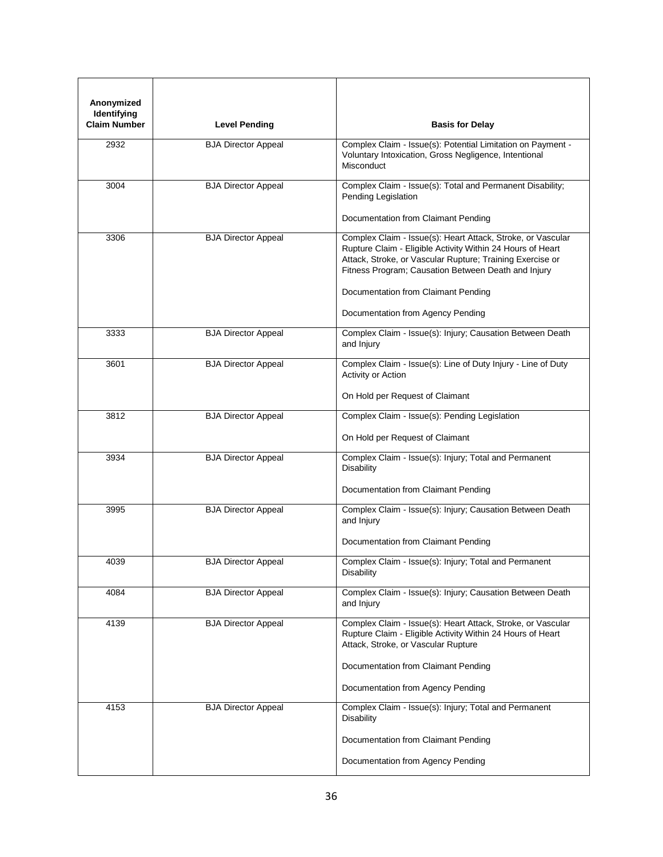| Anonymized<br>Identifying<br><b>Claim Number</b> | <b>Level Pending</b>       | <b>Basis for Delay</b>                                                                                                                                                                                                                                                               |
|--------------------------------------------------|----------------------------|--------------------------------------------------------------------------------------------------------------------------------------------------------------------------------------------------------------------------------------------------------------------------------------|
| 2932                                             | <b>BJA Director Appeal</b> | Complex Claim - Issue(s): Potential Limitation on Payment -<br>Voluntary Intoxication, Gross Negligence, Intentional<br>Misconduct                                                                                                                                                   |
| 3004                                             | <b>BJA Director Appeal</b> | Complex Claim - Issue(s): Total and Permanent Disability;<br>Pending Legislation<br>Documentation from Claimant Pending                                                                                                                                                              |
| 3306                                             | <b>BJA Director Appeal</b> | Complex Claim - Issue(s): Heart Attack, Stroke, or Vascular<br>Rupture Claim - Eligible Activity Within 24 Hours of Heart<br>Attack, Stroke, or Vascular Rupture; Training Exercise or<br>Fitness Program; Causation Between Death and Injury<br>Documentation from Claimant Pending |
| 3333                                             | <b>BJA Director Appeal</b> | Documentation from Agency Pending<br>Complex Claim - Issue(s): Injury; Causation Between Death<br>and Injury                                                                                                                                                                         |
| 3601                                             | <b>BJA Director Appeal</b> | Complex Claim - Issue(s): Line of Duty Injury - Line of Duty<br>Activity or Action                                                                                                                                                                                                   |
| 3812                                             | <b>BJA Director Appeal</b> | On Hold per Request of Claimant<br>Complex Claim - Issue(s): Pending Legislation<br>On Hold per Request of Claimant                                                                                                                                                                  |
| 3934                                             | <b>BJA Director Appeal</b> | Complex Claim - Issue(s): Injury; Total and Permanent<br>Disability<br>Documentation from Claimant Pending                                                                                                                                                                           |
| 3995                                             | <b>BJA Director Appeal</b> | Complex Claim - Issue(s): Injury; Causation Between Death<br>and Injury<br>Documentation from Claimant Pending                                                                                                                                                                       |
| 4039                                             | <b>BJA Director Appeal</b> | Complex Claim - Issue(s): Injury; Total and Permanent<br><b>Disability</b>                                                                                                                                                                                                           |
| 4084                                             | <b>BJA Director Appeal</b> | Complex Claim - Issue(s): Injury; Causation Between Death<br>and Injury                                                                                                                                                                                                              |
| 4139                                             | <b>BJA Director Appeal</b> | Complex Claim - Issue(s): Heart Attack, Stroke, or Vascular<br>Rupture Claim - Eligible Activity Within 24 Hours of Heart<br>Attack, Stroke, or Vascular Rupture<br>Documentation from Claimant Pending<br>Documentation from Agency Pending                                         |
| 4153                                             | <b>BJA Director Appeal</b> | Complex Claim - Issue(s): Injury; Total and Permanent<br><b>Disability</b><br>Documentation from Claimant Pending<br>Documentation from Agency Pending                                                                                                                               |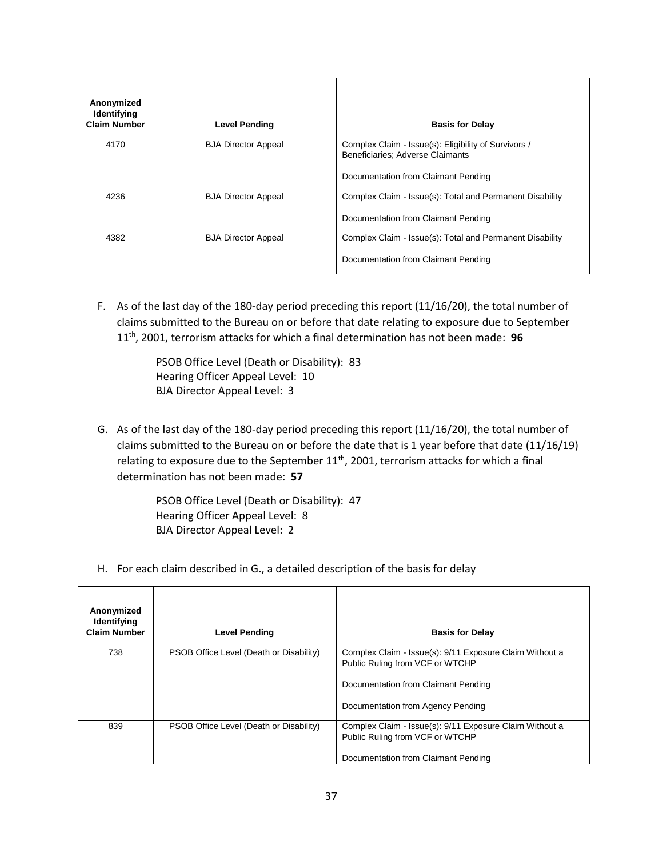| Anonymized<br>Identifying<br><b>Claim Number</b> | <b>Level Pending</b>       | <b>Basis for Delay</b>                                                                                                          |
|--------------------------------------------------|----------------------------|---------------------------------------------------------------------------------------------------------------------------------|
| 4170                                             | <b>BJA Director Appeal</b> | Complex Claim - Issue(s): Eligibility of Survivors /<br>Beneficiaries; Adverse Claimants<br>Documentation from Claimant Pending |
| 4236                                             | <b>BJA Director Appeal</b> | Complex Claim - Issue(s): Total and Permanent Disability<br>Documentation from Claimant Pending                                 |
| 4382                                             | <b>BJA Director Appeal</b> | Complex Claim - Issue(s): Total and Permanent Disability<br>Documentation from Claimant Pending                                 |

F. As of the last day of the 180-day period preceding this report (11/16/20), the total number of claims submitted to the Bureau on or before that date relating to exposure due to September 11th, 2001, terrorism attacks for which a final determination has not been made: **96**

> PSOB Office Level (Death or Disability): 83 Hearing Officer Appeal Level: 10 BJA Director Appeal Level: 3

G. As of the last day of the 180-day period preceding this report (11/16/20), the total number of claims submitted to the Bureau on or before the date that is 1 year before that date (11/16/19) relating to exposure due to the September  $11<sup>th</sup>$ , 2001, terrorism attacks for which a final determination has not been made: **57**

> PSOB Office Level (Death or Disability): 47 Hearing Officer Appeal Level: 8 BJA Director Appeal Level: 2

H. For each claim described in G., a detailed description of the basis for delay

| Anonymized<br><b>Identifying</b><br><b>Claim Number</b> | <b>Level Pending</b>                    | <b>Basis for Delay</b>                                                                                                                                                 |
|---------------------------------------------------------|-----------------------------------------|------------------------------------------------------------------------------------------------------------------------------------------------------------------------|
| 738                                                     | PSOB Office Level (Death or Disability) | Complex Claim - Issue(s): 9/11 Exposure Claim Without a<br>Public Ruling from VCF or WTCHP<br>Documentation from Claimant Pending<br>Documentation from Agency Pending |
| 839                                                     | PSOB Office Level (Death or Disability) | Complex Claim - Issue(s): 9/11 Exposure Claim Without a<br>Public Ruling from VCF or WTCHP<br>Documentation from Claimant Pending                                      |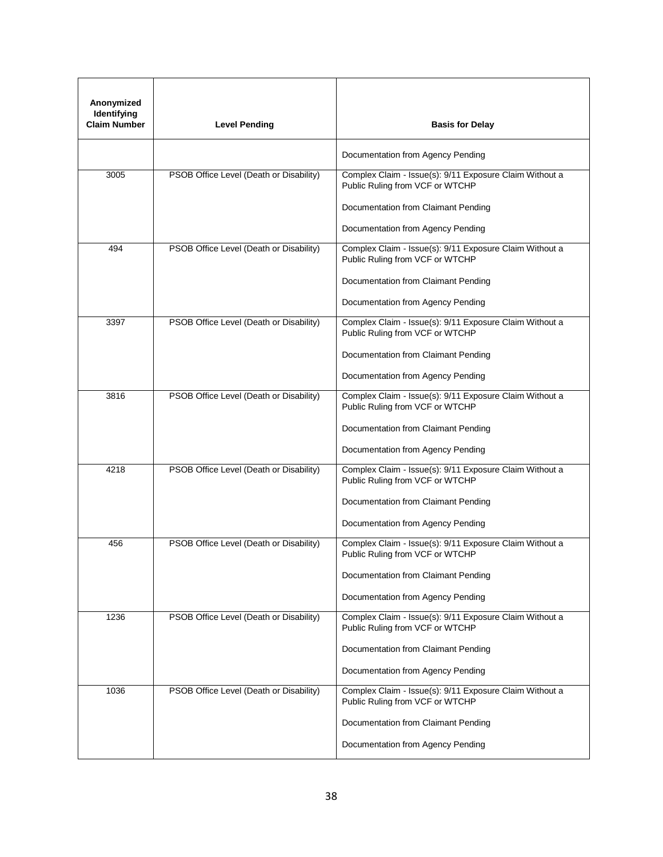| Anonymized<br>Identifying<br><b>Claim Number</b> | <b>Level Pending</b>                    | <b>Basis for Delay</b>                                                                     |
|--------------------------------------------------|-----------------------------------------|--------------------------------------------------------------------------------------------|
|                                                  |                                         | Documentation from Agency Pending                                                          |
| 3005                                             | PSOB Office Level (Death or Disability) | Complex Claim - Issue(s): 9/11 Exposure Claim Without a<br>Public Ruling from VCF or WTCHP |
|                                                  |                                         | Documentation from Claimant Pending                                                        |
|                                                  |                                         | Documentation from Agency Pending                                                          |
| 494                                              | PSOB Office Level (Death or Disability) | Complex Claim - Issue(s): 9/11 Exposure Claim Without a<br>Public Ruling from VCF or WTCHP |
|                                                  |                                         | Documentation from Claimant Pending                                                        |
|                                                  |                                         | Documentation from Agency Pending                                                          |
| 3397                                             | PSOB Office Level (Death or Disability) | Complex Claim - Issue(s): 9/11 Exposure Claim Without a<br>Public Ruling from VCF or WTCHP |
|                                                  |                                         | Documentation from Claimant Pending                                                        |
|                                                  |                                         | Documentation from Agency Pending                                                          |
| 3816                                             | PSOB Office Level (Death or Disability) | Complex Claim - Issue(s): 9/11 Exposure Claim Without a<br>Public Ruling from VCF or WTCHP |
|                                                  |                                         | Documentation from Claimant Pending                                                        |
|                                                  |                                         | Documentation from Agency Pending                                                          |
| 4218                                             | PSOB Office Level (Death or Disability) | Complex Claim - Issue(s): 9/11 Exposure Claim Without a<br>Public Ruling from VCF or WTCHP |
|                                                  |                                         | Documentation from Claimant Pending                                                        |
|                                                  |                                         | Documentation from Agency Pending                                                          |
| 456                                              | PSOB Office Level (Death or Disability) | Complex Claim - Issue(s): 9/11 Exposure Claim Without a<br>Public Ruling from VCF or WTCHP |
|                                                  |                                         | Documentation from Claimant Pending                                                        |
|                                                  |                                         | Documentation from Agency Pending                                                          |
| 1236                                             | PSOB Office Level (Death or Disability) | Complex Claim - Issue(s): 9/11 Exposure Claim Without a<br>Public Ruling from VCF or WTCHP |
|                                                  |                                         | Documentation from Claimant Pending                                                        |
|                                                  |                                         | Documentation from Agency Pending                                                          |
| 1036                                             | PSOB Office Level (Death or Disability) | Complex Claim - Issue(s): 9/11 Exposure Claim Without a<br>Public Ruling from VCF or WTCHP |
|                                                  |                                         | Documentation from Claimant Pending                                                        |
|                                                  |                                         | Documentation from Agency Pending                                                          |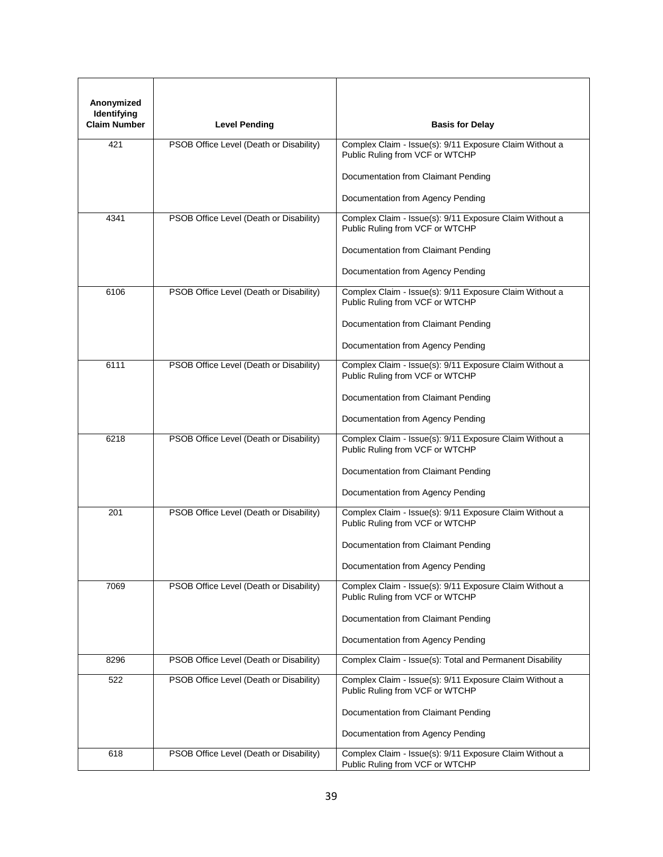| Anonymized<br>Identifying<br><b>Claim Number</b> | <b>Level Pending</b>                    | <b>Basis for Delay</b>                                                                     |
|--------------------------------------------------|-----------------------------------------|--------------------------------------------------------------------------------------------|
|                                                  |                                         |                                                                                            |
| 421                                              | PSOB Office Level (Death or Disability) | Complex Claim - Issue(s): 9/11 Exposure Claim Without a<br>Public Ruling from VCF or WTCHP |
|                                                  |                                         | Documentation from Claimant Pending                                                        |
|                                                  |                                         | Documentation from Agency Pending                                                          |
| 4341                                             | PSOB Office Level (Death or Disability) | Complex Claim - Issue(s): 9/11 Exposure Claim Without a<br>Public Ruling from VCF or WTCHP |
|                                                  |                                         | Documentation from Claimant Pending                                                        |
|                                                  |                                         | Documentation from Agency Pending                                                          |
| 6106                                             | PSOB Office Level (Death or Disability) | Complex Claim - Issue(s): 9/11 Exposure Claim Without a<br>Public Ruling from VCF or WTCHP |
|                                                  |                                         | Documentation from Claimant Pending                                                        |
|                                                  |                                         | Documentation from Agency Pending                                                          |
| 6111                                             | PSOB Office Level (Death or Disability) | Complex Claim - Issue(s): 9/11 Exposure Claim Without a<br>Public Ruling from VCF or WTCHP |
|                                                  |                                         | Documentation from Claimant Pending                                                        |
|                                                  |                                         | Documentation from Agency Pending                                                          |
| 6218                                             | PSOB Office Level (Death or Disability) | Complex Claim - Issue(s): 9/11 Exposure Claim Without a<br>Public Ruling from VCF or WTCHP |
|                                                  |                                         | Documentation from Claimant Pending                                                        |
|                                                  |                                         | Documentation from Agency Pending                                                          |
| 201                                              | PSOB Office Level (Death or Disability) | Complex Claim - Issue(s): 9/11 Exposure Claim Without a<br>Public Ruling from VCF or WTCHP |
|                                                  |                                         | Documentation from Claimant Pending                                                        |
|                                                  |                                         | Documentation from Agency Pending                                                          |
| 7069                                             | PSOB Office Level (Death or Disability) | Complex Claim - Issue(s): 9/11 Exposure Claim Without a<br>Public Ruling from VCF or WTCHP |
|                                                  |                                         | Documentation from Claimant Pending                                                        |
|                                                  |                                         | Documentation from Agency Pending                                                          |
| 8296                                             | PSOB Office Level (Death or Disability) | Complex Claim - Issue(s): Total and Permanent Disability                                   |
| 522                                              | PSOB Office Level (Death or Disability) | Complex Claim - Issue(s): 9/11 Exposure Claim Without a<br>Public Ruling from VCF or WTCHP |
|                                                  |                                         | Documentation from Claimant Pending                                                        |
|                                                  |                                         | Documentation from Agency Pending                                                          |
| 618                                              | PSOB Office Level (Death or Disability) | Complex Claim - Issue(s): 9/11 Exposure Claim Without a<br>Public Ruling from VCF or WTCHP |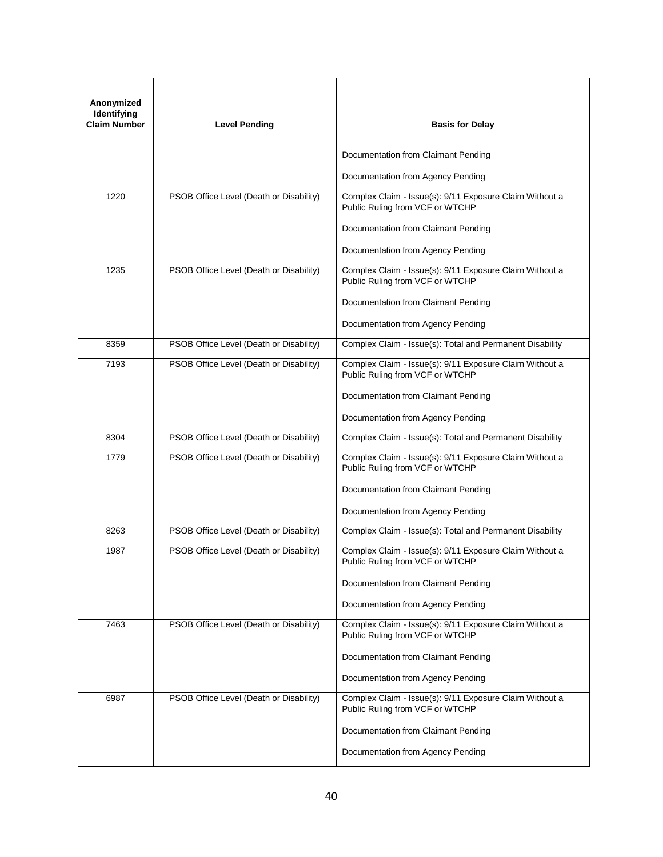| Anonymized<br>Identifying<br><b>Claim Number</b> | <b>Level Pending</b>                    | <b>Basis for Delay</b>                                                                     |  |
|--------------------------------------------------|-----------------------------------------|--------------------------------------------------------------------------------------------|--|
|                                                  |                                         | Documentation from Claimant Pending                                                        |  |
|                                                  |                                         | Documentation from Agency Pending                                                          |  |
| 1220                                             | PSOB Office Level (Death or Disability) | Complex Claim - Issue(s): 9/11 Exposure Claim Without a<br>Public Ruling from VCF or WTCHP |  |
|                                                  |                                         | Documentation from Claimant Pending                                                        |  |
|                                                  |                                         | Documentation from Agency Pending                                                          |  |
| 1235                                             | PSOB Office Level (Death or Disability) | Complex Claim - Issue(s): 9/11 Exposure Claim Without a<br>Public Ruling from VCF or WTCHP |  |
|                                                  |                                         | Documentation from Claimant Pending                                                        |  |
|                                                  |                                         | Documentation from Agency Pending                                                          |  |
| 8359                                             | PSOB Office Level (Death or Disability) | Complex Claim - Issue(s): Total and Permanent Disability                                   |  |
| 7193                                             | PSOB Office Level (Death or Disability) | Complex Claim - Issue(s): 9/11 Exposure Claim Without a<br>Public Ruling from VCF or WTCHP |  |
|                                                  |                                         | Documentation from Claimant Pending                                                        |  |
|                                                  |                                         | Documentation from Agency Pending                                                          |  |
| 8304                                             | PSOB Office Level (Death or Disability) | Complex Claim - Issue(s): Total and Permanent Disability                                   |  |
| 1779                                             | PSOB Office Level (Death or Disability) | Complex Claim - Issue(s): 9/11 Exposure Claim Without a<br>Public Ruling from VCF or WTCHP |  |
|                                                  |                                         | Documentation from Claimant Pending                                                        |  |
|                                                  |                                         | Documentation from Agency Pending                                                          |  |
| 8263                                             | PSOB Office Level (Death or Disability) | Complex Claim - Issue(s): Total and Permanent Disability                                   |  |
| 1987                                             | PSOB Office Level (Death or Disability) | Complex Claim - Issue(s): 9/11 Exposure Claim Without a<br>Public Ruling from VCF or WTCHP |  |
|                                                  |                                         | Documentation from Claimant Pending                                                        |  |
|                                                  |                                         | Documentation from Agency Pending                                                          |  |
| 7463                                             | PSOB Office Level (Death or Disability) | Complex Claim - Issue(s): 9/11 Exposure Claim Without a<br>Public Ruling from VCF or WTCHP |  |
|                                                  |                                         | Documentation from Claimant Pending                                                        |  |
|                                                  |                                         | Documentation from Agency Pending                                                          |  |
| 6987                                             | PSOB Office Level (Death or Disability) | Complex Claim - Issue(s): 9/11 Exposure Claim Without a<br>Public Ruling from VCF or WTCHP |  |
|                                                  |                                         | Documentation from Claimant Pending                                                        |  |
|                                                  |                                         | Documentation from Agency Pending                                                          |  |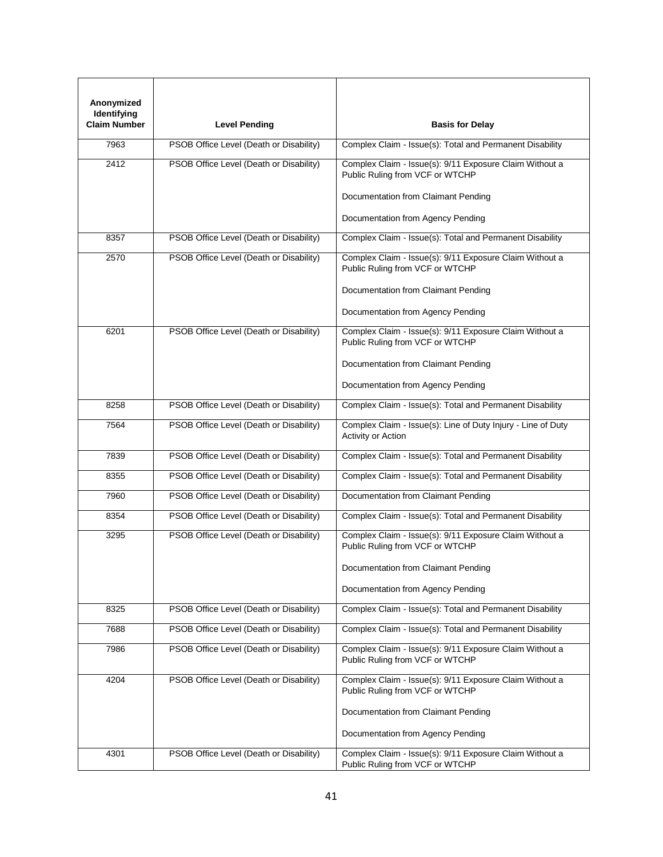| Anonymized<br>Identifying<br><b>Claim Number</b> | <b>Level Pending</b>                    | <b>Basis for Delay</b>                                                                     |
|--------------------------------------------------|-----------------------------------------|--------------------------------------------------------------------------------------------|
| 7963                                             | PSOB Office Level (Death or Disability) | Complex Claim - Issue(s): Total and Permanent Disability                                   |
| 2412                                             | PSOB Office Level (Death or Disability) | Complex Claim - Issue(s): 9/11 Exposure Claim Without a<br>Public Ruling from VCF or WTCHP |
|                                                  |                                         | Documentation from Claimant Pending<br>Documentation from Agency Pending                   |
|                                                  |                                         |                                                                                            |
| 8357                                             | PSOB Office Level (Death or Disability) | Complex Claim - Issue(s): Total and Permanent Disability                                   |
| 2570                                             | PSOB Office Level (Death or Disability) | Complex Claim - Issue(s): 9/11 Exposure Claim Without a<br>Public Ruling from VCF or WTCHP |
|                                                  |                                         | Documentation from Claimant Pending                                                        |
|                                                  |                                         | Documentation from Agency Pending                                                          |
| 6201                                             | PSOB Office Level (Death or Disability) | Complex Claim - Issue(s): 9/11 Exposure Claim Without a<br>Public Ruling from VCF or WTCHP |
|                                                  |                                         | Documentation from Claimant Pending                                                        |
|                                                  |                                         | Documentation from Agency Pending                                                          |
| 8258                                             | PSOB Office Level (Death or Disability) | Complex Claim - Issue(s): Total and Permanent Disability                                   |
| 7564                                             | PSOB Office Level (Death or Disability) | Complex Claim - Issue(s): Line of Duty Injury - Line of Duty<br>Activity or Action         |
| 7839                                             | PSOB Office Level (Death or Disability) | Complex Claim - Issue(s): Total and Permanent Disability                                   |
| 8355                                             | PSOB Office Level (Death or Disability) | Complex Claim - Issue(s): Total and Permanent Disability                                   |
| 7960                                             | PSOB Office Level (Death or Disability) | Documentation from Claimant Pending                                                        |
| 8354                                             | PSOB Office Level (Death or Disability) | Complex Claim - Issue(s): Total and Permanent Disability                                   |
| 3295                                             | PSOB Office Level (Death or Disability) | Complex Claim - Issue(s): 9/11 Exposure Claim Without a<br>Public Ruling from VCF or WTCHP |
|                                                  |                                         | Documentation from Claimant Pending                                                        |
|                                                  |                                         | Documentation from Agency Pending                                                          |
| 8325                                             | PSOB Office Level (Death or Disability) | Complex Claim - Issue(s): Total and Permanent Disability                                   |
| 7688                                             | PSOB Office Level (Death or Disability) | Complex Claim - Issue(s): Total and Permanent Disability                                   |
| 7986                                             | PSOB Office Level (Death or Disability) | Complex Claim - Issue(s): 9/11 Exposure Claim Without a<br>Public Ruling from VCF or WTCHP |
| 4204                                             | PSOB Office Level (Death or Disability) | Complex Claim - Issue(s): 9/11 Exposure Claim Without a<br>Public Ruling from VCF or WTCHP |
|                                                  |                                         | Documentation from Claimant Pending                                                        |
|                                                  |                                         | Documentation from Agency Pending                                                          |
| 4301                                             | PSOB Office Level (Death or Disability) | Complex Claim - Issue(s): 9/11 Exposure Claim Without a<br>Public Ruling from VCF or WTCHP |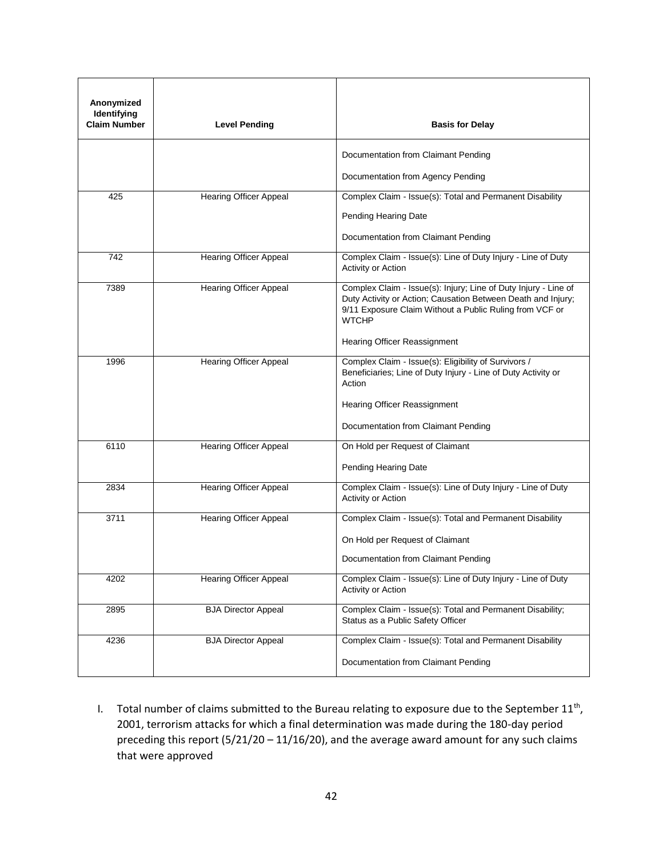| Anonymized<br>Identifying<br><b>Claim Number</b> | <b>Level Pending</b>          | <b>Basis for Delay</b>                                                                                                                                                                                     |
|--------------------------------------------------|-------------------------------|------------------------------------------------------------------------------------------------------------------------------------------------------------------------------------------------------------|
|                                                  |                               | Documentation from Claimant Pending                                                                                                                                                                        |
|                                                  |                               | Documentation from Agency Pending                                                                                                                                                                          |
| 425                                              | <b>Hearing Officer Appeal</b> | Complex Claim - Issue(s): Total and Permanent Disability                                                                                                                                                   |
|                                                  |                               | Pending Hearing Date                                                                                                                                                                                       |
|                                                  |                               | Documentation from Claimant Pending                                                                                                                                                                        |
| 742                                              | <b>Hearing Officer Appeal</b> | Complex Claim - Issue(s): Line of Duty Injury - Line of Duty<br>Activity or Action                                                                                                                         |
| 7389                                             | <b>Hearing Officer Appeal</b> | Complex Claim - Issue(s): Injury; Line of Duty Injury - Line of<br>Duty Activity or Action; Causation Between Death and Injury;<br>9/11 Exposure Claim Without a Public Ruling from VCF or<br><b>WTCHP</b> |
|                                                  |                               | Hearing Officer Reassignment                                                                                                                                                                               |
| 1996                                             | <b>Hearing Officer Appeal</b> | Complex Claim - Issue(s): Eligibility of Survivors /<br>Beneficiaries; Line of Duty Injury - Line of Duty Activity or<br>Action                                                                            |
|                                                  |                               | Hearing Officer Reassignment<br>Documentation from Claimant Pending                                                                                                                                        |
|                                                  |                               |                                                                                                                                                                                                            |
| 6110                                             | <b>Hearing Officer Appeal</b> | On Hold per Request of Claimant                                                                                                                                                                            |
|                                                  |                               | Pending Hearing Date                                                                                                                                                                                       |
| 2834                                             | <b>Hearing Officer Appeal</b> | Complex Claim - Issue(s): Line of Duty Injury - Line of Duty<br>Activity or Action                                                                                                                         |
| 3711                                             | <b>Hearing Officer Appeal</b> | Complex Claim - Issue(s): Total and Permanent Disability                                                                                                                                                   |
|                                                  |                               | On Hold per Request of Claimant                                                                                                                                                                            |
|                                                  |                               | Documentation from Claimant Pending                                                                                                                                                                        |
| 4202                                             | <b>Hearing Officer Appeal</b> | Complex Claim - Issue(s): Line of Duty Injury - Line of Duty<br>Activity or Action                                                                                                                         |
| 2895                                             | <b>BJA Director Appeal</b>    | Complex Claim - Issue(s): Total and Permanent Disability;<br>Status as a Public Safety Officer                                                                                                             |
| 4236                                             | <b>BJA Director Appeal</b>    | Complex Claim - Issue(s): Total and Permanent Disability                                                                                                                                                   |
|                                                  |                               | Documentation from Claimant Pending                                                                                                                                                                        |

I. Total number of claims submitted to the Bureau relating to exposure due to the September  $11^{th}$ , 2001, terrorism attacks for which a final determination was made during the 180-day period preceding this report (5/21/20 – 11/16/20), and the average award amount for any such claims that were approved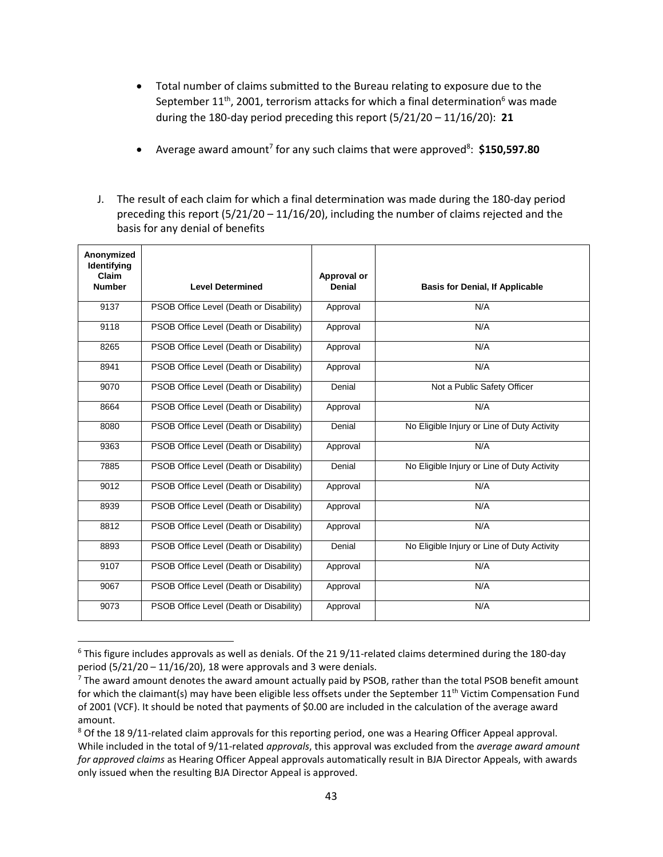- Total number of claims submitted to the Bureau relating to exposure due to the September  $11<sup>th</sup>$ , 2001, terrorism attacks for which a final determination<sup>6</sup> was made during the 180-day period preceding this report (5/21/20 – 11/16/20): **21**
- Average award amount<sup>7</sup> for any such claims that were approved<sup>8</sup>: \$150,597.80
- J. The result of each claim for which a final determination was made during the 180-day period preceding this report (5/21/20 – 11/16/20), including the number of claims rejected and the basis for any denial of benefits

| Anonymized<br>Identifying<br>Claim<br><b>Number</b> | <b>Level Determined</b>                 | Approval or<br><b>Denial</b> | <b>Basis for Denial, If Applicable</b>      |
|-----------------------------------------------------|-----------------------------------------|------------------------------|---------------------------------------------|
|                                                     |                                         |                              |                                             |
| 9137                                                | PSOB Office Level (Death or Disability) | Approval                     | N/A                                         |
| 9118                                                | PSOB Office Level (Death or Disability) | Approval                     | N/A                                         |
| 8265                                                | PSOB Office Level (Death or Disability) | Approval                     | N/A                                         |
| 8941                                                | PSOB Office Level (Death or Disability) | Approval                     | N/A                                         |
| 9070                                                | PSOB Office Level (Death or Disability) | Denial                       | Not a Public Safety Officer                 |
| 8664                                                | PSOB Office Level (Death or Disability) | Approval                     | N/A                                         |
| 8080                                                | PSOB Office Level (Death or Disability) | Denial                       | No Eligible Injury or Line of Duty Activity |
| 9363                                                | PSOB Office Level (Death or Disability) | Approval                     | N/A                                         |
| 7885                                                | PSOB Office Level (Death or Disability) | Denial                       | No Eligible Injury or Line of Duty Activity |
| 9012                                                | PSOB Office Level (Death or Disability) | Approval                     | N/A                                         |
| 8939                                                | PSOB Office Level (Death or Disability) | Approval                     | N/A                                         |
| 8812                                                | PSOB Office Level (Death or Disability) | Approval                     | N/A                                         |
| 8893                                                | PSOB Office Level (Death or Disability) | Denial                       | No Eligible Injury or Line of Duty Activity |
| 9107                                                | PSOB Office Level (Death or Disability) | Approval                     | N/A                                         |
| 9067                                                | PSOB Office Level (Death or Disability) | Approval                     | N/A                                         |
| 9073                                                | PSOB Office Level (Death or Disability) | Approval                     | N/A                                         |

 $6$  This figure includes approvals as well as denials. Of the 21 9/11-related claims determined during the 180-day period (5/21/20 – 11/16/20), 18 were approvals and 3 were denials.

 $\overline{a}$ 

 $<sup>7</sup>$  The award amount denotes the award amount actually paid by PSOB, rather than the total PSOB benefit amount</sup> for which the claimant(s) may have been eligible less offsets under the September 11<sup>th</sup> Victim Compensation Fund of 2001 (VCF). It should be noted that payments of \$0.00 are included in the calculation of the average award amount.

<sup>&</sup>lt;sup>8</sup> Of the 18 9/11-related claim approvals for this reporting period, one was a Hearing Officer Appeal approval. While included in the total of 9/11-related *approvals*, this approval was excluded from the *average award amount for approved claims* as Hearing Officer Appeal approvals automatically result in BJA Director Appeals, with awards only issued when the resulting BJA Director Appeal is approved.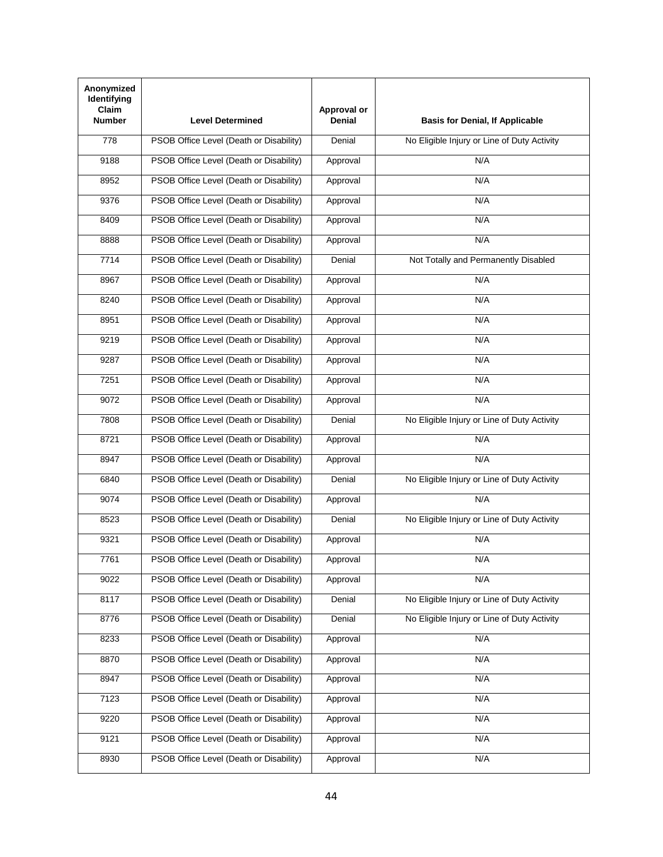| Anonymized<br><b>Identifying</b><br>Claim<br><b>Number</b> | <b>Level Determined</b>                 | Approval or<br>Denial | <b>Basis for Denial, If Applicable</b>      |
|------------------------------------------------------------|-----------------------------------------|-----------------------|---------------------------------------------|
| 778                                                        | PSOB Office Level (Death or Disability) | Denial                | No Eligible Injury or Line of Duty Activity |
| 9188                                                       | PSOB Office Level (Death or Disability) | Approval              | N/A                                         |
| 8952                                                       | PSOB Office Level (Death or Disability) | Approval              | N/A                                         |
| 9376                                                       | PSOB Office Level (Death or Disability) | Approval              | N/A                                         |
| 8409                                                       | PSOB Office Level (Death or Disability) | Approval              | N/A                                         |
| 8888                                                       | PSOB Office Level (Death or Disability) | Approval              | N/A                                         |
| 7714                                                       | PSOB Office Level (Death or Disability) | Denial                | Not Totally and Permanently Disabled        |
| 8967                                                       | PSOB Office Level (Death or Disability) | Approval              | N/A                                         |
| 8240                                                       | PSOB Office Level (Death or Disability) | Approval              | N/A                                         |
| 8951                                                       | PSOB Office Level (Death or Disability) | Approval              | N/A                                         |
| 9219                                                       | PSOB Office Level (Death or Disability) | Approval              | N/A                                         |
| 9287                                                       | PSOB Office Level (Death or Disability) | Approval              | N/A                                         |
| 7251                                                       | PSOB Office Level (Death or Disability) | Approval              | N/A                                         |
| 9072                                                       | PSOB Office Level (Death or Disability) | Approval              | N/A                                         |
| 7808                                                       | PSOB Office Level (Death or Disability) | Denial                | No Eligible Injury or Line of Duty Activity |
| 8721                                                       | PSOB Office Level (Death or Disability) | Approval              | N/A                                         |
| 8947                                                       | PSOB Office Level (Death or Disability) | Approval              | N/A                                         |
| 6840                                                       | PSOB Office Level (Death or Disability) | Denial                | No Eligible Injury or Line of Duty Activity |
| 9074                                                       | PSOB Office Level (Death or Disability) | Approval              | N/A                                         |
| 8523                                                       | PSOB Office Level (Death or Disability) | Denial                | No Eligible Injury or Line of Duty Activity |
| 9321                                                       | PSOB Office Level (Death or Disability) | Approval              | N/A                                         |
| 7761                                                       | PSOB Office Level (Death or Disability) | Approval              | N/A                                         |
| 9022                                                       | PSOB Office Level (Death or Disability) | Approval              | N/A                                         |
| 8117                                                       | PSOB Office Level (Death or Disability) | Denial                | No Eligible Injury or Line of Duty Activity |
| 8776                                                       | PSOB Office Level (Death or Disability) | Denial                | No Eligible Injury or Line of Duty Activity |
| 8233                                                       | PSOB Office Level (Death or Disability) | Approval              | N/A                                         |
| 8870                                                       | PSOB Office Level (Death or Disability) | Approval              | N/A                                         |
| 8947                                                       | PSOB Office Level (Death or Disability) | Approval              | N/A                                         |
| 7123                                                       | PSOB Office Level (Death or Disability) | Approval              | N/A                                         |
| 9220                                                       | PSOB Office Level (Death or Disability) | Approval              | N/A                                         |
| 9121                                                       | PSOB Office Level (Death or Disability) | Approval              | N/A                                         |
| 8930                                                       | PSOB Office Level (Death or Disability) | Approval              | N/A                                         |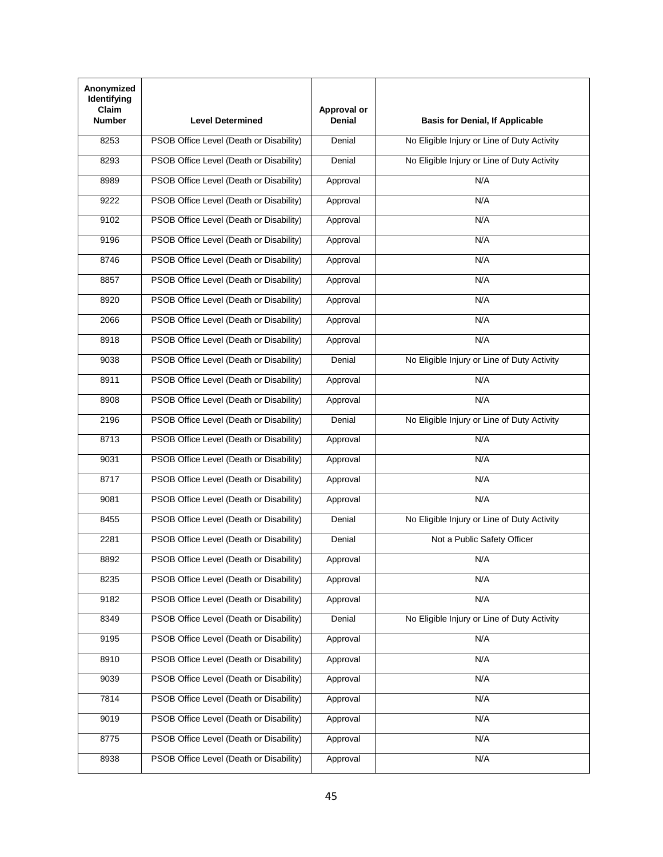| Anonymized<br><b>Identifying</b><br>Claim<br><b>Number</b> | <b>Level Determined</b>                 | Approval or<br>Denial | <b>Basis for Denial, If Applicable</b>      |
|------------------------------------------------------------|-----------------------------------------|-----------------------|---------------------------------------------|
| 8253                                                       | PSOB Office Level (Death or Disability) | Denial                | No Eligible Injury or Line of Duty Activity |
| 8293                                                       | PSOB Office Level (Death or Disability) | Denial                | No Eligible Injury or Line of Duty Activity |
| 8989                                                       | PSOB Office Level (Death or Disability) | Approval              | N/A                                         |
| 9222                                                       | PSOB Office Level (Death or Disability) | Approval              | N/A                                         |
| 9102                                                       | PSOB Office Level (Death or Disability) | Approval              | N/A                                         |
| 9196                                                       | PSOB Office Level (Death or Disability) | Approval              | N/A                                         |
| 8746                                                       | PSOB Office Level (Death or Disability) | Approval              | N/A                                         |
| 8857                                                       | PSOB Office Level (Death or Disability) | Approval              | N/A                                         |
| 8920                                                       | PSOB Office Level (Death or Disability) | Approval              | N/A                                         |
| 2066                                                       | PSOB Office Level (Death or Disability) | Approval              | N/A                                         |
| 8918                                                       | PSOB Office Level (Death or Disability) | Approval              | N/A                                         |
| 9038                                                       | PSOB Office Level (Death or Disability) | Denial                | No Eligible Injury or Line of Duty Activity |
| 8911                                                       | PSOB Office Level (Death or Disability) | Approval              | N/A                                         |
| 8908                                                       | PSOB Office Level (Death or Disability) | Approval              | N/A                                         |
| 2196                                                       | PSOB Office Level (Death or Disability) | Denial                | No Eligible Injury or Line of Duty Activity |
| 8713                                                       | PSOB Office Level (Death or Disability) | Approval              | N/A                                         |
| 9031                                                       | PSOB Office Level (Death or Disability) | Approval              | N/A                                         |
| 8717                                                       | PSOB Office Level (Death or Disability) | Approval              | N/A                                         |
| 9081                                                       | PSOB Office Level (Death or Disability) | Approval              | N/A                                         |
| 8455                                                       | PSOB Office Level (Death or Disability) | Denial                | No Eligible Injury or Line of Duty Activity |
| 2281                                                       | PSOB Office Level (Death or Disability) | Denial                | Not a Public Safety Officer                 |
| 8892                                                       | PSOB Office Level (Death or Disability) | Approval              | N/A                                         |
| 8235                                                       | PSOB Office Level (Death or Disability) | Approval              | N/A                                         |
| 9182                                                       | PSOB Office Level (Death or Disability) | Approval              | N/A                                         |
| 8349                                                       | PSOB Office Level (Death or Disability) | Denial                | No Eligible Injury or Line of Duty Activity |
| 9195                                                       | PSOB Office Level (Death or Disability) | Approval              | N/A                                         |
| 8910                                                       | PSOB Office Level (Death or Disability) | Approval              | N/A                                         |
| 9039                                                       | PSOB Office Level (Death or Disability) | Approval              | N/A                                         |
| 7814                                                       | PSOB Office Level (Death or Disability) | Approval              | N/A                                         |
| 9019                                                       | PSOB Office Level (Death or Disability) | Approval              | N/A                                         |
| 8775                                                       | PSOB Office Level (Death or Disability) | Approval              | N/A                                         |
| 8938                                                       | PSOB Office Level (Death or Disability) | Approval              | N/A                                         |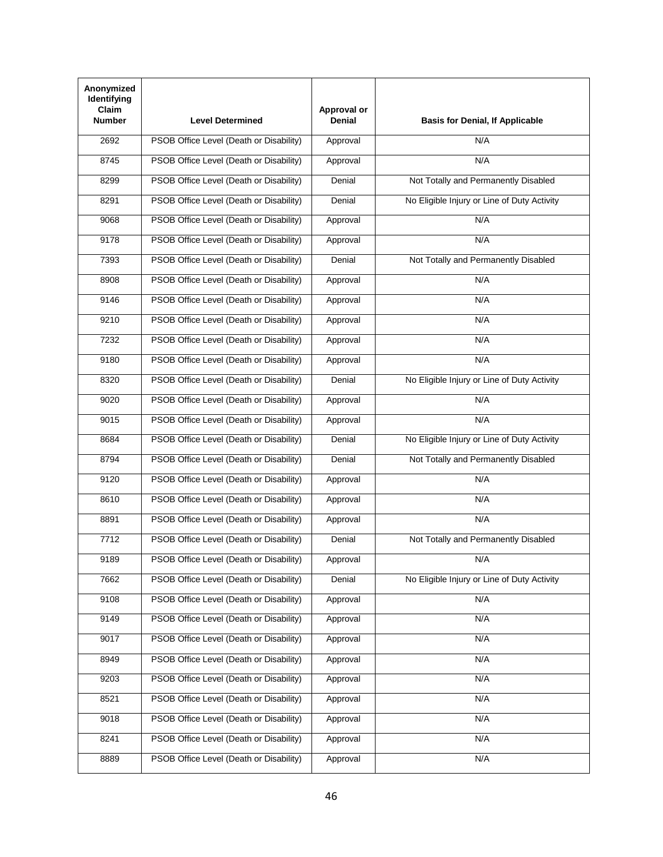| Anonymized<br>Identifying<br>Claim<br><b>Number</b> | <b>Level Determined</b>                 | Approval or<br><b>Denial</b> | <b>Basis for Denial, If Applicable</b>      |
|-----------------------------------------------------|-----------------------------------------|------------------------------|---------------------------------------------|
| 2692                                                | PSOB Office Level (Death or Disability) | Approval                     | N/A                                         |
| 8745                                                | PSOB Office Level (Death or Disability) | Approval                     | N/A                                         |
| 8299                                                | PSOB Office Level (Death or Disability) | Denial                       | Not Totally and Permanently Disabled        |
| 8291                                                | PSOB Office Level (Death or Disability) | Denial                       | No Eligible Injury or Line of Duty Activity |
| 9068                                                | PSOB Office Level (Death or Disability) | Approval                     | N/A                                         |
| 9178                                                | PSOB Office Level (Death or Disability) | Approval                     | N/A                                         |
| 7393                                                | PSOB Office Level (Death or Disability) | Denial                       | Not Totally and Permanently Disabled        |
| 8908                                                | PSOB Office Level (Death or Disability) | Approval                     | N/A                                         |
| 9146                                                | PSOB Office Level (Death or Disability) | Approval                     | N/A                                         |
| 9210                                                | PSOB Office Level (Death or Disability) | Approval                     | N/A                                         |
| 7232                                                | PSOB Office Level (Death or Disability) | Approval                     | N/A                                         |
| 9180                                                | PSOB Office Level (Death or Disability) | Approval                     | N/A                                         |
| 8320                                                | PSOB Office Level (Death or Disability) | Denial                       | No Eligible Injury or Line of Duty Activity |
| 9020                                                | PSOB Office Level (Death or Disability) | Approval                     | N/A                                         |
| 9015                                                | PSOB Office Level (Death or Disability) | Approval                     | N/A                                         |
| 8684                                                | PSOB Office Level (Death or Disability) | Denial                       | No Eligible Injury or Line of Duty Activity |
| 8794                                                | PSOB Office Level (Death or Disability) | Denial                       | Not Totally and Permanently Disabled        |
| 9120                                                | PSOB Office Level (Death or Disability) | Approval                     | N/A                                         |
| 8610                                                | PSOB Office Level (Death or Disability) | Approval                     | N/A                                         |
| 8891                                                | PSOB Office Level (Death or Disability) | Approval                     | N/A                                         |
| 7712                                                | PSOB Office Level (Death or Disability) | Denial                       | Not Totally and Permanently Disabled        |
| 9189                                                | PSOB Office Level (Death or Disability) | Approval                     | N/A                                         |
| 7662                                                | PSOB Office Level (Death or Disability) | Denial                       | No Eligible Injury or Line of Duty Activity |
| 9108                                                | PSOB Office Level (Death or Disability) | Approval                     | N/A                                         |
| 9149                                                | PSOB Office Level (Death or Disability) | Approval                     | N/A                                         |
| 9017                                                | PSOB Office Level (Death or Disability) | Approval                     | N/A                                         |
| 8949                                                | PSOB Office Level (Death or Disability) | Approval                     | N/A                                         |
| 9203                                                | PSOB Office Level (Death or Disability) | Approval                     | N/A                                         |
| 8521                                                | PSOB Office Level (Death or Disability) | Approval                     | N/A                                         |
| 9018                                                | PSOB Office Level (Death or Disability) | Approval                     | N/A                                         |
| 8241                                                | PSOB Office Level (Death or Disability) | Approval                     | N/A                                         |
| 8889                                                | PSOB Office Level (Death or Disability) | Approval                     | N/A                                         |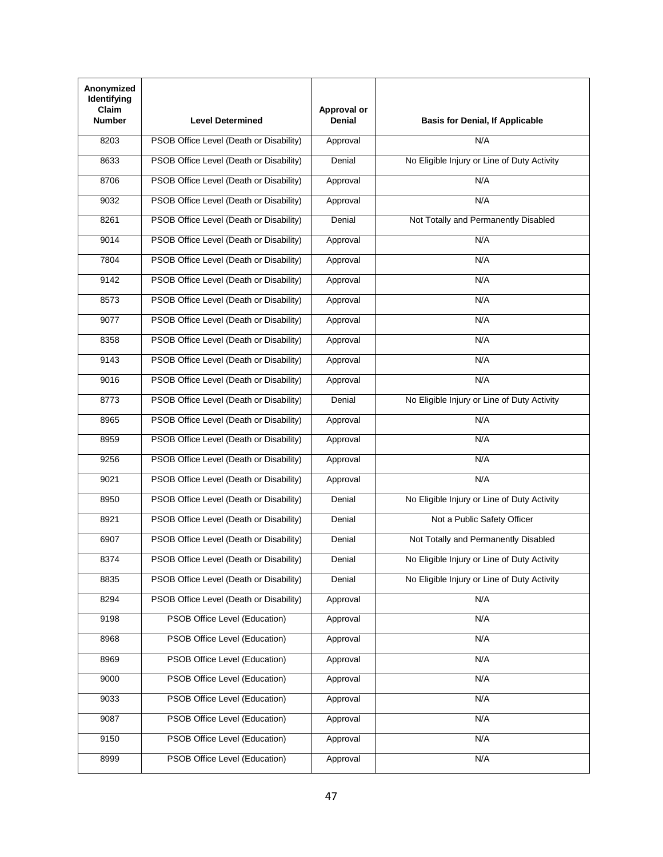| Anonymized<br>Identifying<br>Claim<br><b>Number</b> | <b>Level Determined</b>                 | Approval or<br><b>Denial</b> | <b>Basis for Denial, If Applicable</b>      |
|-----------------------------------------------------|-----------------------------------------|------------------------------|---------------------------------------------|
| 8203                                                | PSOB Office Level (Death or Disability) | Approval                     | N/A                                         |
| 8633                                                | PSOB Office Level (Death or Disability) | Denial                       | No Eligible Injury or Line of Duty Activity |
| 8706                                                | PSOB Office Level (Death or Disability) | Approval                     | N/A                                         |
| 9032                                                | PSOB Office Level (Death or Disability) | Approval                     | N/A                                         |
| 8261                                                | PSOB Office Level (Death or Disability) | Denial                       | Not Totally and Permanently Disabled        |
| 9014                                                | PSOB Office Level (Death or Disability) | Approval                     | N/A                                         |
| 7804                                                | PSOB Office Level (Death or Disability) | Approval                     | N/A                                         |
| 9142                                                | PSOB Office Level (Death or Disability) | Approval                     | N/A                                         |
| 8573                                                | PSOB Office Level (Death or Disability) | Approval                     | N/A                                         |
| 9077                                                | PSOB Office Level (Death or Disability) | Approval                     | N/A                                         |
| 8358                                                | PSOB Office Level (Death or Disability) | Approval                     | N/A                                         |
| 9143                                                | PSOB Office Level (Death or Disability) | Approval                     | N/A                                         |
| 9016                                                | PSOB Office Level (Death or Disability) | Approval                     | N/A                                         |
| 8773                                                | PSOB Office Level (Death or Disability) | Denial                       | No Eligible Injury or Line of Duty Activity |
| 8965                                                | PSOB Office Level (Death or Disability) | Approval                     | N/A                                         |
| 8959                                                | PSOB Office Level (Death or Disability) | Approval                     | N/A                                         |
| 9256                                                | PSOB Office Level (Death or Disability) | Approval                     | N/A                                         |
| 9021                                                | PSOB Office Level (Death or Disability) | Approval                     | N/A                                         |
| 8950                                                | PSOB Office Level (Death or Disability) | Denial                       | No Eligible Injury or Line of Duty Activity |
| 8921                                                | PSOB Office Level (Death or Disability) | Denial                       | Not a Public Safety Officer                 |
| 6907                                                | PSOB Office Level (Death or Disability) | Denial                       | Not Totally and Permanently Disabled        |
| 8374                                                | PSOB Office Level (Death or Disability) | Denial                       | No Eligible Injury or Line of Duty Activity |
| 8835                                                | PSOB Office Level (Death or Disability) | Denial                       | No Eligible Injury or Line of Duty Activity |
| 8294                                                | PSOB Office Level (Death or Disability) | Approval                     | N/A                                         |
| 9198                                                | PSOB Office Level (Education)           | Approval                     | N/A                                         |
| 8968                                                | PSOB Office Level (Education)           | Approval                     | N/A                                         |
| 8969                                                | PSOB Office Level (Education)           | Approval                     | N/A                                         |
| 9000                                                | PSOB Office Level (Education)           | Approval                     | N/A                                         |
| 9033                                                | PSOB Office Level (Education)           | Approval                     | N/A                                         |
| 9087                                                | PSOB Office Level (Education)           | Approval                     | N/A                                         |
| 9150                                                | PSOB Office Level (Education)           | Approval                     | N/A                                         |
| 8999                                                | PSOB Office Level (Education)           | Approval                     | N/A                                         |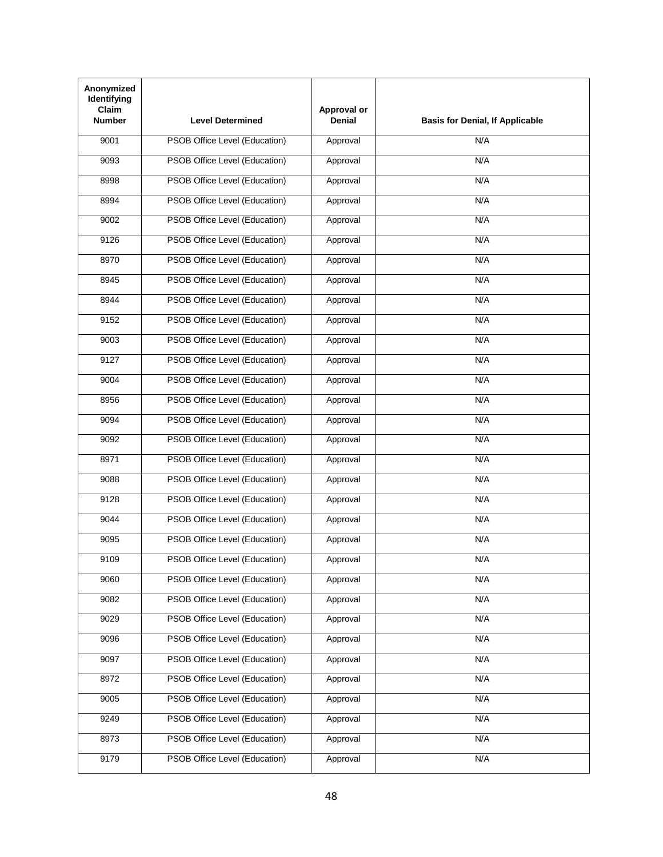| Anonymized<br>Identifying<br><b>Claim</b><br><b>Number</b> | <b>Level Determined</b>              | Approval or<br><b>Denial</b> | <b>Basis for Denial, If Applicable</b> |
|------------------------------------------------------------|--------------------------------------|------------------------------|----------------------------------------|
| 9001                                                       | PSOB Office Level (Education)        | Approval                     | N/A                                    |
| 9093                                                       | PSOB Office Level (Education)        | Approval                     | N/A                                    |
| 8998                                                       | PSOB Office Level (Education)        | Approval                     | N/A                                    |
| 8994                                                       | PSOB Office Level (Education)        | Approval                     | N/A                                    |
| 9002                                                       | PSOB Office Level (Education)        | Approval                     | N/A                                    |
| 9126                                                       | PSOB Office Level (Education)        | Approval                     | N/A                                    |
| 8970                                                       | PSOB Office Level (Education)        | Approval                     | N/A                                    |
| 8945                                                       | PSOB Office Level (Education)        | Approval                     | N/A                                    |
| 8944                                                       | PSOB Office Level (Education)        | Approval                     | N/A                                    |
| 9152                                                       | PSOB Office Level (Education)        | Approval                     | N/A                                    |
| 9003                                                       | PSOB Office Level (Education)        | Approval                     | N/A                                    |
| 9127                                                       | PSOB Office Level (Education)        | Approval                     | N/A                                    |
| 9004                                                       | PSOB Office Level (Education)        | Approval                     | N/A                                    |
| 8956                                                       | PSOB Office Level (Education)        | Approval                     | N/A                                    |
| 9094                                                       | PSOB Office Level (Education)        | Approval                     | N/A                                    |
| 9092                                                       | PSOB Office Level (Education)        | Approval                     | N/A                                    |
| 8971                                                       | PSOB Office Level (Education)        | Approval                     | N/A                                    |
| 9088                                                       | PSOB Office Level (Education)        | Approval                     | N/A                                    |
| 9128                                                       | PSOB Office Level (Education)        | Approval                     | N/A                                    |
| 9044                                                       | PSOB Office Level (Education)        | Approval                     | N/A                                    |
| 9095                                                       | PSOB Office Level (Education)        | Approval                     | N/A                                    |
| 9109                                                       | PSOB Office Level (Education)        | Approval                     | N/A                                    |
| 9060                                                       | PSOB Office Level (Education)        | Approval                     | N/A                                    |
| 9082                                                       | PSOB Office Level (Education)        | Approval                     | N/A                                    |
| 9029                                                       | <b>PSOB Office Level (Education)</b> | Approval                     | N/A                                    |
| 9096                                                       | PSOB Office Level (Education)        | Approval                     | N/A                                    |
| 9097                                                       | PSOB Office Level (Education)        | Approval                     | N/A                                    |
| 8972                                                       | PSOB Office Level (Education)        | Approval                     | N/A                                    |
| 9005                                                       | PSOB Office Level (Education)        | Approval                     | N/A                                    |
| 9249                                                       | PSOB Office Level (Education)        | Approval                     | N/A                                    |
| 8973                                                       | PSOB Office Level (Education)        | Approval                     | N/A                                    |
| 9179                                                       | PSOB Office Level (Education)        | Approval                     | N/A                                    |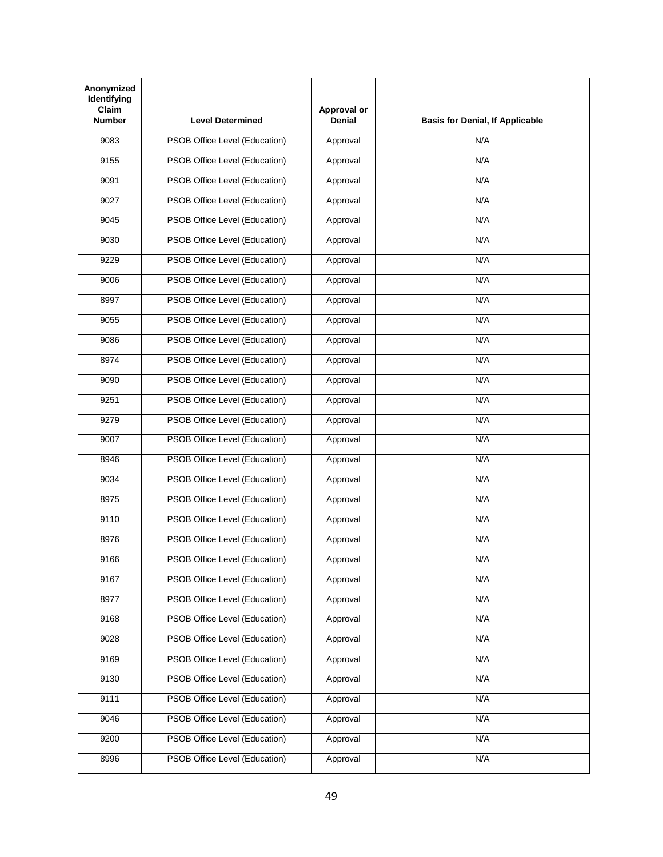| Anonymized<br>Identifying<br><b>Claim</b><br><b>Number</b> | <b>Level Determined</b>              | Approval or<br><b>Denial</b> | <b>Basis for Denial, If Applicable</b> |
|------------------------------------------------------------|--------------------------------------|------------------------------|----------------------------------------|
| 9083                                                       | PSOB Office Level (Education)        | Approval                     | N/A                                    |
| 9155                                                       | PSOB Office Level (Education)        | Approval                     | N/A                                    |
| 9091                                                       | PSOB Office Level (Education)        | Approval                     | N/A                                    |
| 9027                                                       | PSOB Office Level (Education)        | Approval                     | N/A                                    |
| 9045                                                       | PSOB Office Level (Education)        | Approval                     | N/A                                    |
| 9030                                                       | PSOB Office Level (Education)        | Approval                     | N/A                                    |
| 9229                                                       | PSOB Office Level (Education)        | Approval                     | N/A                                    |
| 9006                                                       | PSOB Office Level (Education)        | Approval                     | N/A                                    |
| 8997                                                       | PSOB Office Level (Education)        | Approval                     | N/A                                    |
| 9055                                                       | PSOB Office Level (Education)        | Approval                     | N/A                                    |
| 9086                                                       | PSOB Office Level (Education)        | Approval                     | N/A                                    |
| 8974                                                       | PSOB Office Level (Education)        | Approval                     | N/A                                    |
| 9090                                                       | PSOB Office Level (Education)        | Approval                     | N/A                                    |
| 9251                                                       | PSOB Office Level (Education)        | Approval                     | N/A                                    |
| 9279                                                       | PSOB Office Level (Education)        | Approval                     | N/A                                    |
| 9007                                                       | PSOB Office Level (Education)        | Approval                     | N/A                                    |
| 8946                                                       | PSOB Office Level (Education)        | Approval                     | N/A                                    |
| 9034                                                       | PSOB Office Level (Education)        | Approval                     | N/A                                    |
| 8975                                                       | PSOB Office Level (Education)        | Approval                     | N/A                                    |
| 9110                                                       | PSOB Office Level (Education)        | Approval                     | N/A                                    |
| 8976                                                       | PSOB Office Level (Education)        | Approval                     | N/A                                    |
| 9166                                                       | PSOB Office Level (Education)        | Approval                     | N/A                                    |
| 9167                                                       | PSOB Office Level (Education)        | Approval                     | N/A                                    |
| 8977                                                       | PSOB Office Level (Education)        | Approval                     | N/A                                    |
| 9168                                                       | <b>PSOB Office Level (Education)</b> | Approval                     | N/A                                    |
| 9028                                                       | PSOB Office Level (Education)        | Approval                     | N/A                                    |
| 9169                                                       | PSOB Office Level (Education)        | Approval                     | N/A                                    |
| 9130                                                       | PSOB Office Level (Education)        | Approval                     | N/A                                    |
| 9111                                                       | PSOB Office Level (Education)        | Approval                     | N/A                                    |
| 9046                                                       | PSOB Office Level (Education)        | Approval                     | N/A                                    |
| 9200                                                       | PSOB Office Level (Education)        | Approval                     | N/A                                    |
| 8996                                                       | PSOB Office Level (Education)        | Approval                     | N/A                                    |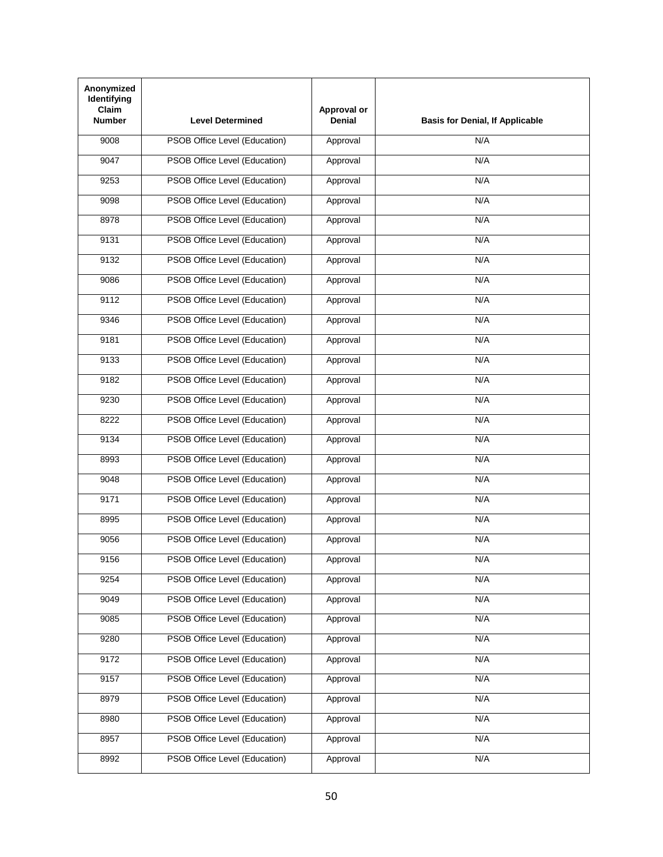| Anonymized<br>Identifying<br><b>Claim</b><br><b>Number</b> | <b>Level Determined</b>              | Approval or<br><b>Denial</b> | <b>Basis for Denial, If Applicable</b> |
|------------------------------------------------------------|--------------------------------------|------------------------------|----------------------------------------|
| 9008                                                       | PSOB Office Level (Education)        | Approval                     | N/A                                    |
| 9047                                                       | PSOB Office Level (Education)        | Approval                     | N/A                                    |
| 9253                                                       | PSOB Office Level (Education)        | Approval                     | N/A                                    |
| 9098                                                       | PSOB Office Level (Education)        | Approval                     | N/A                                    |
| 8978                                                       | PSOB Office Level (Education)        | Approval                     | N/A                                    |
| 9131                                                       | PSOB Office Level (Education)        | Approval                     | N/A                                    |
| 9132                                                       | PSOB Office Level (Education)        | Approval                     | N/A                                    |
| 9086                                                       | PSOB Office Level (Education)        | Approval                     | N/A                                    |
| 9112                                                       | PSOB Office Level (Education)        | Approval                     | N/A                                    |
| 9346                                                       | PSOB Office Level (Education)        | Approval                     | N/A                                    |
| 9181                                                       | PSOB Office Level (Education)        | Approval                     | N/A                                    |
| 9133                                                       | PSOB Office Level (Education)        | Approval                     | N/A                                    |
| 9182                                                       | PSOB Office Level (Education)        | Approval                     | N/A                                    |
| 9230                                                       | PSOB Office Level (Education)        | Approval                     | N/A                                    |
| 8222                                                       | PSOB Office Level (Education)        | Approval                     | N/A                                    |
| 9134                                                       | PSOB Office Level (Education)        | Approval                     | N/A                                    |
| 8993                                                       | PSOB Office Level (Education)        | Approval                     | N/A                                    |
| 9048                                                       | PSOB Office Level (Education)        | Approval                     | N/A                                    |
| 9171                                                       | PSOB Office Level (Education)        | Approval                     | N/A                                    |
| 8995                                                       | PSOB Office Level (Education)        | Approval                     | N/A                                    |
| 9056                                                       | PSOB Office Level (Education)        | Approval                     | N/A                                    |
| 9156                                                       | PSOB Office Level (Education)        | Approval                     | N/A                                    |
| 9254                                                       | PSOB Office Level (Education)        | Approval                     | N/A                                    |
| 9049                                                       | PSOB Office Level (Education)        | Approval                     | N/A                                    |
| 9085                                                       | <b>PSOB Office Level (Education)</b> | Approval                     | N/A                                    |
| 9280                                                       | PSOB Office Level (Education)        | Approval                     | N/A                                    |
| 9172                                                       | PSOB Office Level (Education)        | Approval                     | N/A                                    |
| 9157                                                       | PSOB Office Level (Education)        | Approval                     | N/A                                    |
| 8979                                                       | PSOB Office Level (Education)        | Approval                     | N/A                                    |
| 8980                                                       | PSOB Office Level (Education)        | Approval                     | N/A                                    |
| 8957                                                       | PSOB Office Level (Education)        | Approval                     | N/A                                    |
| 8992                                                       | PSOB Office Level (Education)        | Approval                     | N/A                                    |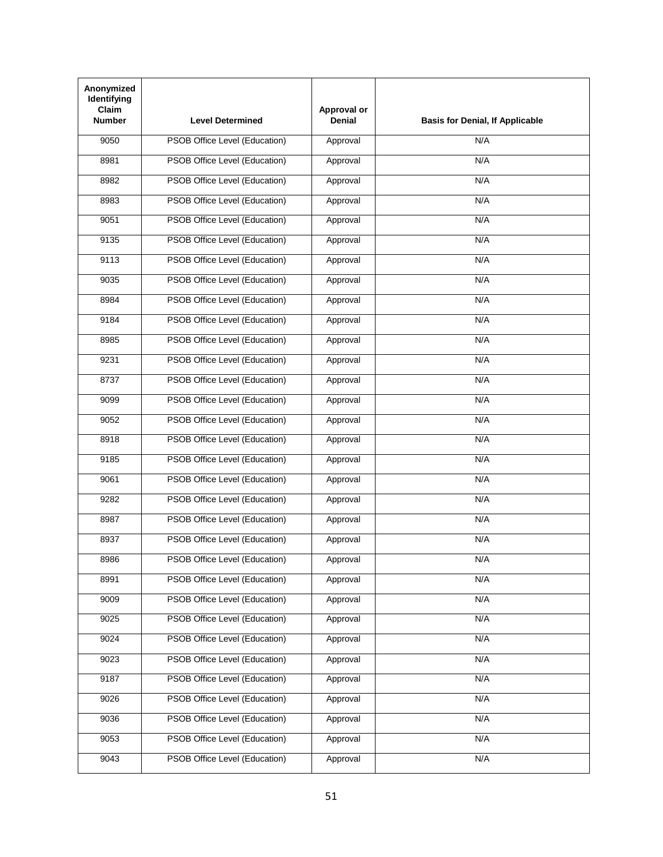| Anonymized<br>Identifying<br><b>Claim</b><br><b>Number</b> | <b>Level Determined</b>              | Approval or<br><b>Denial</b> | <b>Basis for Denial, If Applicable</b> |
|------------------------------------------------------------|--------------------------------------|------------------------------|----------------------------------------|
| 9050                                                       | PSOB Office Level (Education)        | Approval                     | N/A                                    |
| 8981                                                       | PSOB Office Level (Education)        | Approval                     | N/A                                    |
| 8982                                                       | PSOB Office Level (Education)        | Approval                     | N/A                                    |
| 8983                                                       | PSOB Office Level (Education)        | Approval                     | N/A                                    |
| 9051                                                       | PSOB Office Level (Education)        | Approval                     | N/A                                    |
| 9135                                                       | PSOB Office Level (Education)        | Approval                     | N/A                                    |
| 9113                                                       | PSOB Office Level (Education)        | Approval                     | N/A                                    |
| 9035                                                       | PSOB Office Level (Education)        | Approval                     | N/A                                    |
| 8984                                                       | PSOB Office Level (Education)        | Approval                     | N/A                                    |
| 9184                                                       | PSOB Office Level (Education)        | Approval                     | N/A                                    |
| 8985                                                       | PSOB Office Level (Education)        | Approval                     | N/A                                    |
| 9231                                                       | PSOB Office Level (Education)        | Approval                     | N/A                                    |
| 8737                                                       | PSOB Office Level (Education)        | Approval                     | N/A                                    |
| 9099                                                       | PSOB Office Level (Education)        | Approval                     | N/A                                    |
| 9052                                                       | PSOB Office Level (Education)        | Approval                     | N/A                                    |
| 8918                                                       | PSOB Office Level (Education)        | Approval                     | N/A                                    |
| 9185                                                       | PSOB Office Level (Education)        | Approval                     | N/A                                    |
| 9061                                                       | PSOB Office Level (Education)        | Approval                     | N/A                                    |
| 9282                                                       | PSOB Office Level (Education)        | Approval                     | N/A                                    |
| 8987                                                       | PSOB Office Level (Education)        | Approval                     | N/A                                    |
| 8937                                                       | PSOB Office Level (Education)        | Approval                     | N/A                                    |
| 8986                                                       | PSOB Office Level (Education)        | Approval                     | N/A                                    |
| 8991                                                       | PSOB Office Level (Education)        | Approval                     | N/A                                    |
| 9009                                                       | PSOB Office Level (Education)        | Approval                     | N/A                                    |
| 9025                                                       | <b>PSOB Office Level (Education)</b> | Approval                     | N/A                                    |
| 9024                                                       | PSOB Office Level (Education)        | Approval                     | N/A                                    |
| 9023                                                       | PSOB Office Level (Education)        | Approval                     | N/A                                    |
| 9187                                                       | PSOB Office Level (Education)        | Approval                     | N/A                                    |
| 9026                                                       | PSOB Office Level (Education)        | Approval                     | N/A                                    |
| 9036                                                       | PSOB Office Level (Education)        | Approval                     | N/A                                    |
| 9053                                                       | PSOB Office Level (Education)        | Approval                     | N/A                                    |
| 9043                                                       | PSOB Office Level (Education)        | Approval                     | N/A                                    |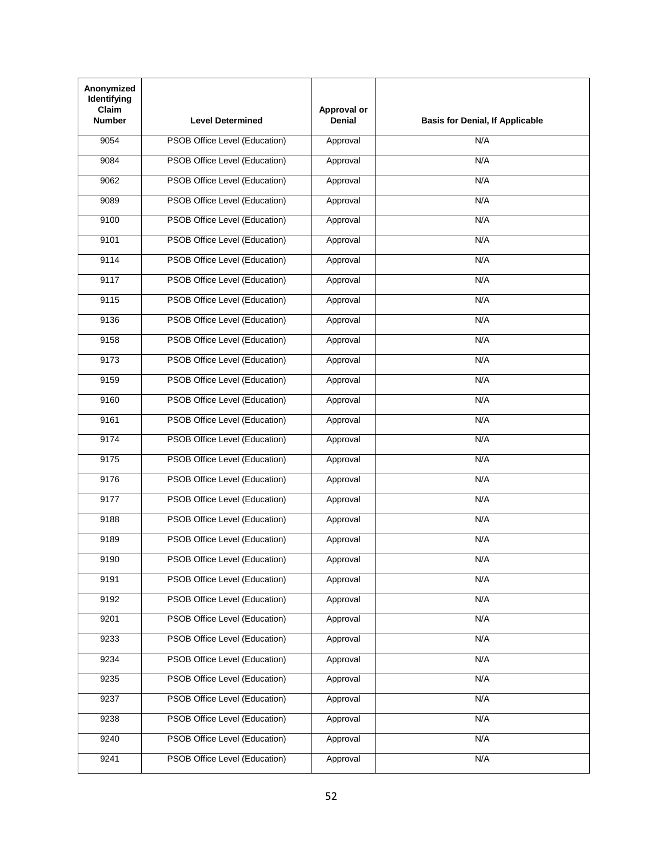| Anonymized<br>Identifying<br><b>Claim</b><br><b>Number</b> | <b>Level Determined</b>              | Approval or<br><b>Denial</b> | <b>Basis for Denial, If Applicable</b> |
|------------------------------------------------------------|--------------------------------------|------------------------------|----------------------------------------|
| 9054                                                       | PSOB Office Level (Education)        | Approval                     | N/A                                    |
| 9084                                                       | PSOB Office Level (Education)        | Approval                     | N/A                                    |
| 9062                                                       | PSOB Office Level (Education)        | Approval                     | N/A                                    |
| 9089                                                       | PSOB Office Level (Education)        | Approval                     | N/A                                    |
| 9100                                                       | PSOB Office Level (Education)        | Approval                     | N/A                                    |
| 9101                                                       | PSOB Office Level (Education)        | Approval                     | N/A                                    |
| 9114                                                       | PSOB Office Level (Education)        | Approval                     | N/A                                    |
| 9117                                                       | PSOB Office Level (Education)        | Approval                     | N/A                                    |
| 9115                                                       | PSOB Office Level (Education)        | Approval                     | N/A                                    |
| 9136                                                       | PSOB Office Level (Education)        | Approval                     | N/A                                    |
| 9158                                                       | PSOB Office Level (Education)        | Approval                     | N/A                                    |
| 9173                                                       | PSOB Office Level (Education)        | Approval                     | N/A                                    |
| 9159                                                       | PSOB Office Level (Education)        | Approval                     | N/A                                    |
| 9160                                                       | PSOB Office Level (Education)        | Approval                     | N/A                                    |
| 9161                                                       | PSOB Office Level (Education)        | Approval                     | N/A                                    |
| 9174                                                       | PSOB Office Level (Education)        | Approval                     | N/A                                    |
| 9175                                                       | PSOB Office Level (Education)        | Approval                     | N/A                                    |
| 9176                                                       | PSOB Office Level (Education)        | Approval                     | N/A                                    |
| 9177                                                       | PSOB Office Level (Education)        | Approval                     | N/A                                    |
| 9188                                                       | PSOB Office Level (Education)        | Approval                     | N/A                                    |
| 9189                                                       | PSOB Office Level (Education)        | Approval                     | N/A                                    |
| 9190                                                       | PSOB Office Level (Education)        | Approval                     | N/A                                    |
| 9191                                                       | PSOB Office Level (Education)        | Approval                     | N/A                                    |
| 9192                                                       | PSOB Office Level (Education)        | Approval                     | N/A                                    |
| 9201                                                       | <b>PSOB Office Level (Education)</b> | Approval                     | N/A                                    |
| 9233                                                       | PSOB Office Level (Education)        | Approval                     | N/A                                    |
| 9234                                                       | PSOB Office Level (Education)        | Approval                     | N/A                                    |
| 9235                                                       | PSOB Office Level (Education)        | Approval                     | N/A                                    |
| 9237                                                       | PSOB Office Level (Education)        | Approval                     | N/A                                    |
| 9238                                                       | PSOB Office Level (Education)        | Approval                     | N/A                                    |
| 9240                                                       | PSOB Office Level (Education)        | Approval                     | N/A                                    |
| 9241                                                       | PSOB Office Level (Education)        | Approval                     | N/A                                    |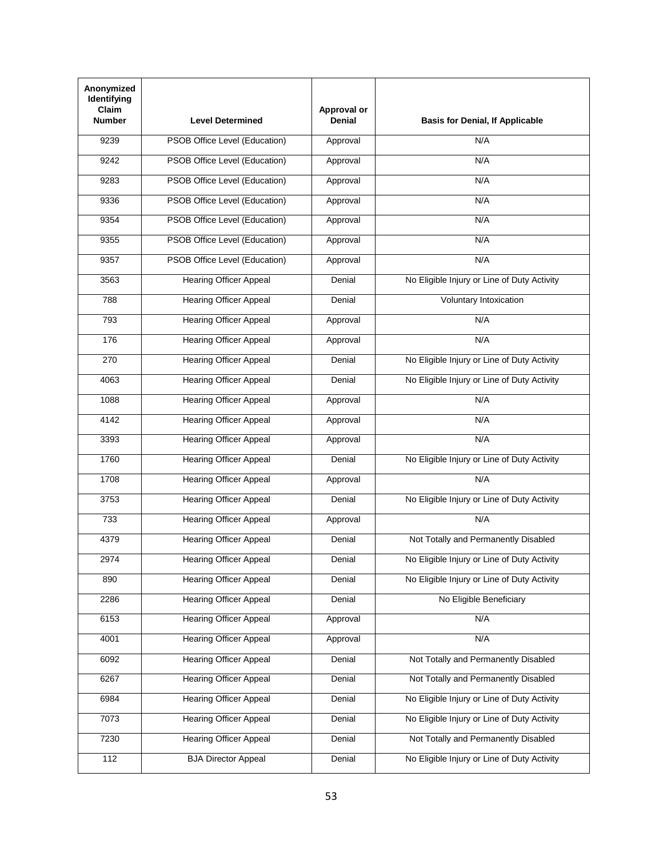| Anonymized<br><b>Identifying</b><br>Claim<br><b>Number</b> | <b>Level Determined</b>       | Approval or<br><b>Denial</b> | <b>Basis for Denial, If Applicable</b>      |
|------------------------------------------------------------|-------------------------------|------------------------------|---------------------------------------------|
| 9239                                                       | PSOB Office Level (Education) | Approval                     | N/A                                         |
| 9242                                                       | PSOB Office Level (Education) | Approval                     | N/A                                         |
| 9283                                                       | PSOB Office Level (Education) | Approval                     | N/A                                         |
| 9336                                                       | PSOB Office Level (Education) | Approval                     | N/A                                         |
| 9354                                                       | PSOB Office Level (Education) | Approval                     | N/A                                         |
| 9355                                                       | PSOB Office Level (Education) | Approval                     | N/A                                         |
| 9357                                                       | PSOB Office Level (Education) | Approval                     | N/A                                         |
| 3563                                                       | <b>Hearing Officer Appeal</b> | Denial                       | No Eligible Injury or Line of Duty Activity |
| 788                                                        | <b>Hearing Officer Appeal</b> | Denial                       | Voluntary Intoxication                      |
| 793                                                        | <b>Hearing Officer Appeal</b> | Approval                     | N/A                                         |
| 176                                                        | <b>Hearing Officer Appeal</b> | Approval                     | N/A                                         |
| 270                                                        | <b>Hearing Officer Appeal</b> | Denial                       | No Eligible Injury or Line of Duty Activity |
| 4063                                                       | <b>Hearing Officer Appeal</b> | Denial                       | No Eligible Injury or Line of Duty Activity |
| 1088                                                       | <b>Hearing Officer Appeal</b> | Approval                     | N/A                                         |
| 4142                                                       | <b>Hearing Officer Appeal</b> | Approval                     | N/A                                         |
| 3393                                                       | <b>Hearing Officer Appeal</b> | Approval                     | N/A                                         |
| 1760                                                       | <b>Hearing Officer Appeal</b> | Denial                       | No Eligible Injury or Line of Duty Activity |
| 1708                                                       | <b>Hearing Officer Appeal</b> | Approval                     | N/A                                         |
| 3753                                                       | <b>Hearing Officer Appeal</b> | Denial                       | No Eligible Injury or Line of Duty Activity |
| 733                                                        | <b>Hearing Officer Appeal</b> | Approval                     | N/A                                         |
| 4379                                                       | <b>Hearing Officer Appeal</b> | Denial                       | Not Totally and Permanently Disabled        |
| 2974                                                       | Hearing Officer Appeal        | Denial                       | No Eligible Injury or Line of Duty Activity |
| 890                                                        | <b>Hearing Officer Appeal</b> | Denial                       | No Eligible Injury or Line of Duty Activity |
| 2286                                                       | <b>Hearing Officer Appeal</b> | Denial                       | No Eligible Beneficiary                     |
| 6153                                                       | <b>Hearing Officer Appeal</b> | Approval                     | N/A                                         |
| 4001                                                       | <b>Hearing Officer Appeal</b> | Approval                     | N/A                                         |
| 6092                                                       | <b>Hearing Officer Appeal</b> | Denial                       | Not Totally and Permanently Disabled        |
| 6267                                                       | <b>Hearing Officer Appeal</b> | Denial                       | Not Totally and Permanently Disabled        |
| 6984                                                       | <b>Hearing Officer Appeal</b> | Denial                       | No Eligible Injury or Line of Duty Activity |
| 7073                                                       | <b>Hearing Officer Appeal</b> | Denial                       | No Eligible Injury or Line of Duty Activity |
| 7230                                                       | <b>Hearing Officer Appeal</b> | Denial                       | Not Totally and Permanently Disabled        |
| 112                                                        | <b>BJA Director Appeal</b>    | Denial                       | No Eligible Injury or Line of Duty Activity |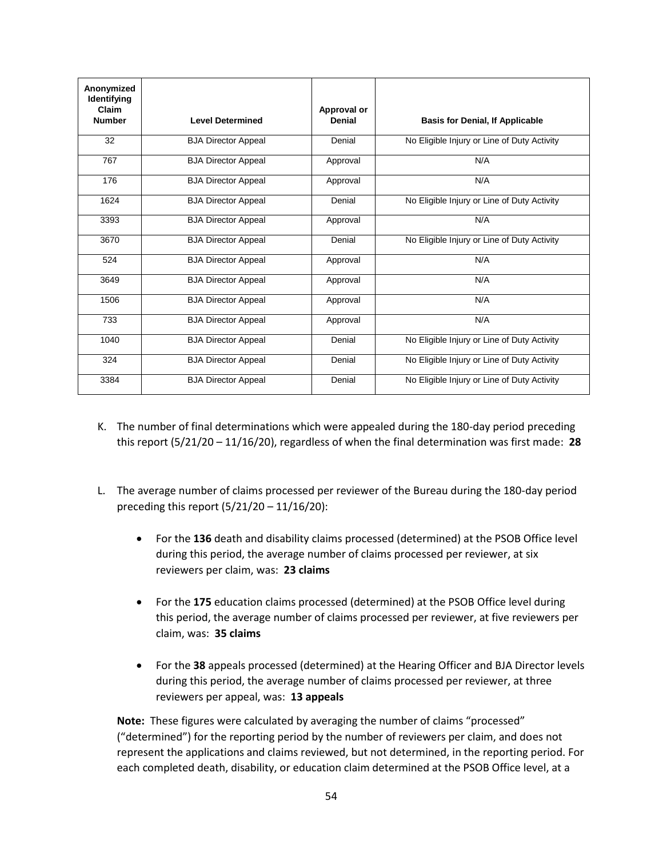| Anonymized<br>Identifying<br>Claim |                            | Approval or |                                             |
|------------------------------------|----------------------------|-------------|---------------------------------------------|
| <b>Number</b>                      | <b>Level Determined</b>    | Denial      | <b>Basis for Denial, If Applicable</b>      |
| 32                                 | <b>BJA Director Appeal</b> | Denial      | No Eligible Injury or Line of Duty Activity |
| 767                                | <b>BJA Director Appeal</b> | Approval    | N/A                                         |
| 176                                | <b>BJA Director Appeal</b> | Approval    | N/A                                         |
| 1624                               | <b>BJA Director Appeal</b> | Denial      | No Eligible Injury or Line of Duty Activity |
| 3393                               | <b>BJA Director Appeal</b> | Approval    | N/A                                         |
| 3670                               | <b>BJA Director Appeal</b> | Denial      | No Eligible Injury or Line of Duty Activity |
| 524                                | <b>BJA Director Appeal</b> | Approval    | N/A                                         |
| 3649                               | <b>BJA Director Appeal</b> | Approval    | N/A                                         |
| 1506                               | <b>BJA Director Appeal</b> | Approval    | N/A                                         |
| 733                                | <b>BJA Director Appeal</b> | Approval    | N/A                                         |
| 1040                               | <b>BJA Director Appeal</b> | Denial      | No Eligible Injury or Line of Duty Activity |
| 324                                | <b>BJA Director Appeal</b> | Denial      | No Eligible Injury or Line of Duty Activity |
| 3384                               | <b>BJA Director Appeal</b> | Denial      | No Eligible Injury or Line of Duty Activity |

- K. The number of final determinations which were appealed during the 180-day period preceding this report (5/21/20 – 11/16/20), regardless of when the final determination was first made: **28**
- L. The average number of claims processed per reviewer of the Bureau during the 180-day period preceding this report (5/21/20 – 11/16/20):
	- For the **136** death and disability claims processed (determined) at the PSOB Office level during this period, the average number of claims processed per reviewer, at six reviewers per claim, was: **23 claims**
	- For the **175** education claims processed (determined) at the PSOB Office level during this period, the average number of claims processed per reviewer, at five reviewers per claim, was: **35 claims**
	- For the **38** appeals processed (determined) at the Hearing Officer and BJA Director levels during this period, the average number of claims processed per reviewer, at three reviewers per appeal, was: **13 appeals**

**Note:** These figures were calculated by averaging the number of claims "processed" ("determined") for the reporting period by the number of reviewers per claim, and does not represent the applications and claims reviewed, but not determined, in the reporting period. For each completed death, disability, or education claim determined at the PSOB Office level, at a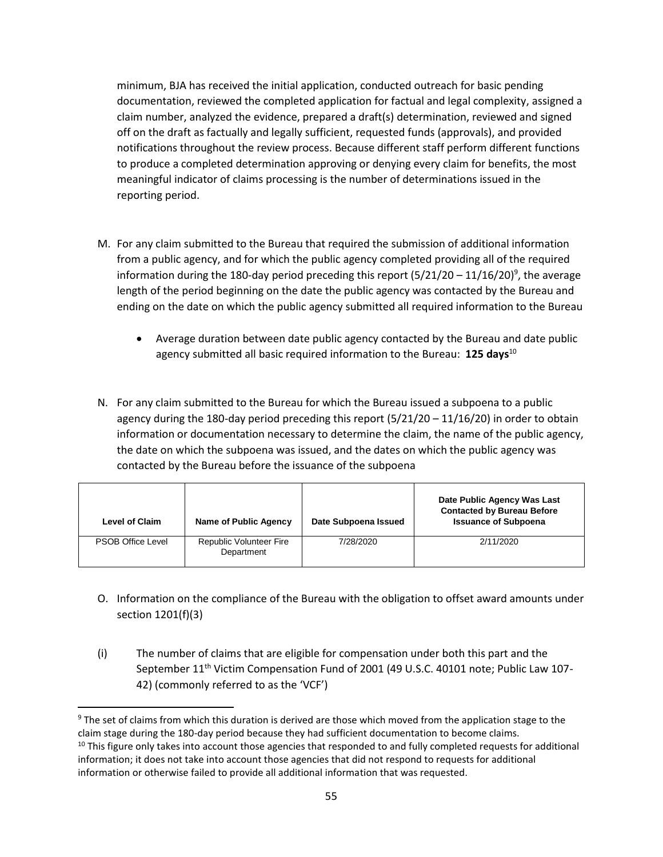minimum, BJA has received the initial application, conducted outreach for basic pending documentation, reviewed the completed application for factual and legal complexity, assigned a claim number, analyzed the evidence, prepared a draft(s) determination, reviewed and signed off on the draft as factually and legally sufficient, requested funds (approvals), and provided notifications throughout the review process. Because different staff perform different functions to produce a completed determination approving or denying every claim for benefits, the most meaningful indicator of claims processing is the number of determinations issued in the reporting period.

- M. For any claim submitted to the Bureau that required the submission of additional information from a public agency, and for which the public agency completed providing all of the required information during the 180-day period preceding this report (5/21/20 – 11/16/20)<sup>9</sup>, the average length of the period beginning on the date the public agency was contacted by the Bureau and ending on the date on which the public agency submitted all required information to the Bureau
	- Average duration between date public agency contacted by the Bureau and date public agency submitted all basic required information to the Bureau: **125 days**<sup>10</sup>
- N. For any claim submitted to the Bureau for which the Bureau issued a subpoena to a public agency during the 180-day period preceding this report  $(5/21/20 - 11/16/20)$  in order to obtain information or documentation necessary to determine the claim, the name of the public agency, the date on which the subpoena was issued, and the dates on which the public agency was contacted by the Bureau before the issuance of the subpoena

| <b>Level of Claim</b>    | Name of Public Agency                 | Date Subpoena Issued | Date Public Agency Was Last<br><b>Contacted by Bureau Before</b><br><b>Issuance of Subpoena</b> |
|--------------------------|---------------------------------------|----------------------|-------------------------------------------------------------------------------------------------|
| <b>PSOB Office Level</b> | Republic Volunteer Fire<br>Department | 7/28/2020            | 2/11/2020                                                                                       |

- O. Information on the compliance of the Bureau with the obligation to offset award amounts under section 1201(f)(3)
- (i) The number of claims that are eligible for compensation under both this part and the September 11<sup>th</sup> Victim Compensation Fund of 2001 (49 U.S.C. 40101 note; Public Law 107-42) (commonly referred to as the 'VCF')

 $\overline{\phantom{a}}$ 

<sup>&</sup>lt;sup>9</sup> The set of claims from which this duration is derived are those which moved from the application stage to the claim stage during the 180-day period because they had sufficient documentation to become claims.  $10$  This figure only takes into account those agencies that responded to and fully completed requests for additional information; it does not take into account those agencies that did not respond to requests for additional information or otherwise failed to provide all additional information that was requested.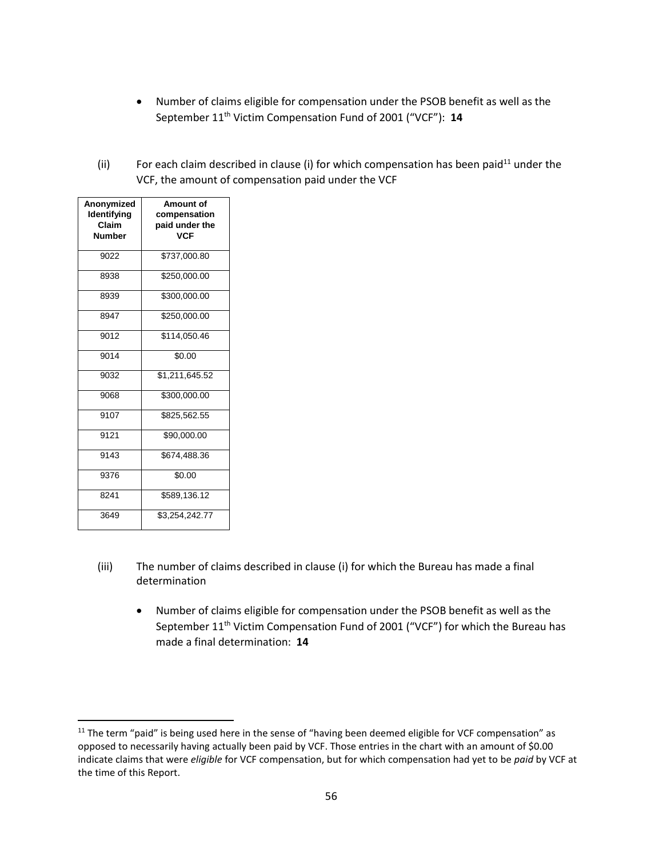- Number of claims eligible for compensation under the PSOB benefit as well as the September 11<sup>th</sup> Victim Compensation Fund of 2001 ("VCF"): 14
- (ii) For each claim described in clause (i) for which compensation has been paid<sup>11</sup> under the VCF, the amount of compensation paid under the VCF

| Anonymized<br>Identifying<br>Claim<br><b>Number</b> | Amount of<br>compensation<br>paid under the<br><b>VCF</b> |
|-----------------------------------------------------|-----------------------------------------------------------|
| 9022                                                | \$737,000.80                                              |
| 8938                                                | \$250,000.00                                              |
| 8939                                                | \$300,000.00                                              |
| 8947                                                | \$250,000.00                                              |
| 9012                                                | \$114,050.46                                              |
| 9014                                                | \$0.00                                                    |
| 9032                                                | \$1,211,645.52                                            |
| 9068                                                | \$300,000.00                                              |
| 9107                                                | \$825,562.55                                              |
| 9121                                                | \$90,000.00                                               |
| 9143                                                | \$674,488.36                                              |
| 9376                                                | \$0.00                                                    |
| 8241                                                | \$589,136.12                                              |
| 3649                                                | \$3,254,242.77                                            |

l

- (iii) The number of claims described in clause (i) for which the Bureau has made a final determination
	- Number of claims eligible for compensation under the PSOB benefit as well as the September 11<sup>th</sup> Victim Compensation Fund of 2001 ("VCF") for which the Bureau has made a final determination: **14**

 $11$  The term "paid" is being used here in the sense of "having been deemed eligible for VCF compensation" as opposed to necessarily having actually been paid by VCF. Those entries in the chart with an amount of \$0.00 indicate claims that were *eligible* for VCF compensation, but for which compensation had yet to be *paid* by VCF at the time of this Report.